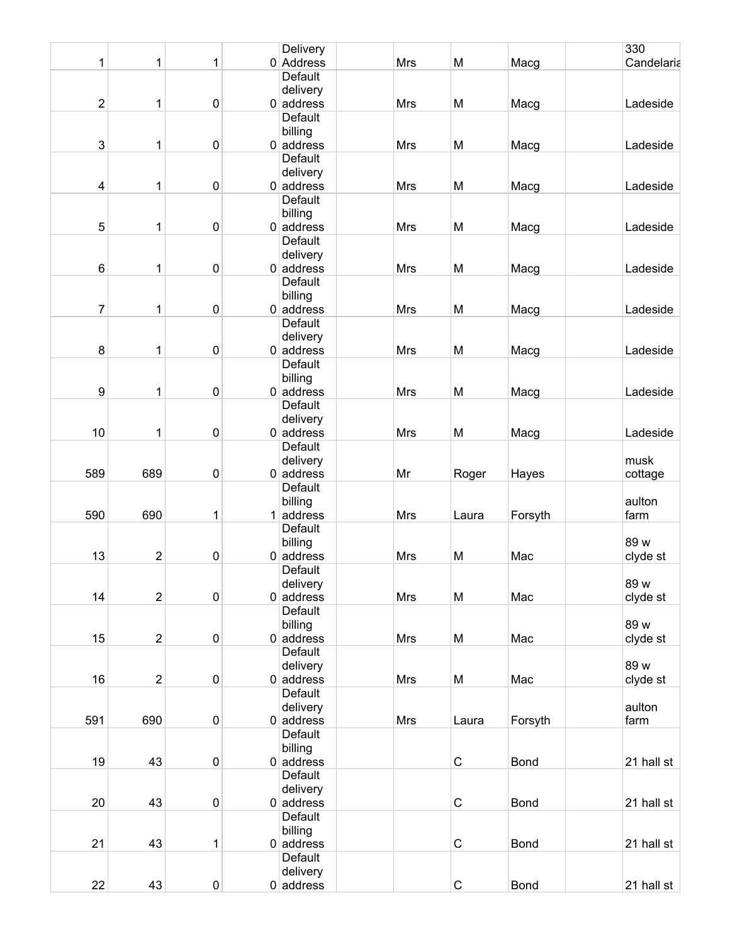|                         |                  |           | Delivery       |            |             |             | 330        |
|-------------------------|------------------|-----------|----------------|------------|-------------|-------------|------------|
| 1                       | 1                | 1         | $0$ Address    | Mrs        | M           | Macg        | Candelaria |
|                         |                  |           | Default        |            |             |             |            |
|                         |                  |           | delivery       |            |             |             |            |
| $\sqrt{2}$              | 1                | $\pmb{0}$ | $0$ address    | Mrs        | M           | Macg        | Ladeside   |
|                         |                  |           | Default        |            |             |             |            |
|                         |                  |           | billing        |            |             |             |            |
| 3                       | 1                | $\pmb{0}$ | $0$ address    | Mrs        | M           | Macg        | Ladeside   |
|                         |                  |           | <b>Default</b> |            |             |             |            |
|                         |                  |           | delivery       |            |             |             |            |
| $\overline{\mathbf{4}}$ | 1                | 0         | $0$ address    | <b>Mrs</b> | M           | Macg        | Ladeside   |
|                         |                  |           | <b>Default</b> |            |             |             |            |
|                         |                  |           | billing        |            |             |             |            |
| 5                       | 1                | $\pmb{0}$ | $0$ address    | Mrs        | M           | Macg        | Ladeside   |
|                         |                  |           | Default        |            |             |             |            |
|                         |                  |           | delivery       |            |             |             |            |
| $\,6$                   | 1                | 0         | $0$ address    | <b>Mrs</b> | M           | Macg        | Ladeside   |
|                         |                  |           | <b>Default</b> |            |             |             |            |
|                         |                  |           |                |            |             |             |            |
|                         |                  |           | billing        |            |             |             |            |
| $\overline{7}$          | 1                | $\pmb{0}$ | $0$ address    | Mrs        | M           | Macg        | Ladeside   |
|                         |                  |           | <b>Default</b> |            |             |             |            |
|                         |                  |           | delivery       |            |             |             |            |
| 8                       | 1                | 0         | $0$ address    | Mrs        | M           | Macg        | Ladeside   |
|                         |                  |           | <b>Default</b> |            |             |             |            |
|                         |                  |           | billing        |            |             |             |            |
| $\boldsymbol{9}$        | 1                | $\pmb{0}$ | $0$ address    | Mrs        | M           | Macg        | Ladeside   |
|                         |                  |           | Default        |            |             |             |            |
|                         |                  |           | delivery       |            |             |             |            |
| 10                      | 1                | $\pmb{0}$ | $0$ address    | <b>Mrs</b> | M           | Macg        | Ladeside   |
|                         |                  |           | Default        |            |             |             |            |
|                         |                  |           | delivery       |            |             |             | musk       |
| 589                     | 689              | $\pmb{0}$ | $0$ address    | Mr         | Roger       | Hayes       | cottage    |
|                         |                  |           | Default        |            |             |             |            |
|                         |                  |           | billing        |            |             |             | aulton     |
| 590                     | 690              | 1         | $1$ address    | <b>Mrs</b> | Laura       | Forsyth     | farm       |
|                         |                  |           | Default        |            |             |             |            |
|                         |                  |           | billing        |            |             |             | 89 w       |
| 13                      | 2                | $\pmb{0}$ | $0$ address    | Mrs        | M           | Mac         | clyde st   |
|                         |                  |           | Default        |            |             |             |            |
|                         |                  |           | delivery       |            |             |             | 89 w       |
| 14                      | $\overline{2}$   | $\pmb{0}$ | $0$ address    | Mrs        | M           | Mac         | clyde st   |
|                         |                  |           | Default        |            |             |             |            |
|                         |                  |           | billing        |            |             |             | 89 w       |
| 15                      | $\boldsymbol{2}$ | $\pmb{0}$ | $0$ address    | <b>Mrs</b> | M           | Mac         | clyde st   |
|                         |                  |           | Default        |            |             |             |            |
|                         |                  |           | delivery       |            |             |             | 89 w       |
| 16                      | 2                | $\pmb{0}$ | $0$ address    | <b>Mrs</b> | M           | Mac         | clyde st   |
|                         |                  |           | Default        |            |             |             |            |
|                         |                  |           | delivery       |            |             |             | aulton     |
| 591                     | 690              | $\pmb{0}$ | $0$ address    | Mrs        | Laura       | Forsyth     | farm       |
|                         |                  |           | Default        |            |             |             |            |
|                         |                  |           | billing        |            |             |             |            |
| 19                      | 43               | $\pmb{0}$ | $0$ address    |            | $\mathsf C$ | <b>Bond</b> | 21 hall st |
|                         |                  |           | Default        |            |             |             |            |
|                         |                  |           | delivery       |            |             |             |            |
| 20                      | 43               | $\pmb{0}$ | $0$ address    |            | $\mathsf C$ | <b>Bond</b> | 21 hall st |
|                         |                  |           | Default        |            |             |             |            |
|                         |                  |           | billing        |            |             |             |            |
| 21                      | 43               | 1         | $0$ address    |            | $\mathsf C$ | <b>Bond</b> | 21 hall st |
|                         |                  |           | Default        |            |             |             |            |
|                         |                  |           | delivery       |            |             |             |            |
| 22                      | 43               | $\pmb{0}$ | $0$ address    |            | $\mathsf C$ | <b>Bond</b> | 21 hall st |
|                         |                  |           |                |            |             |             |            |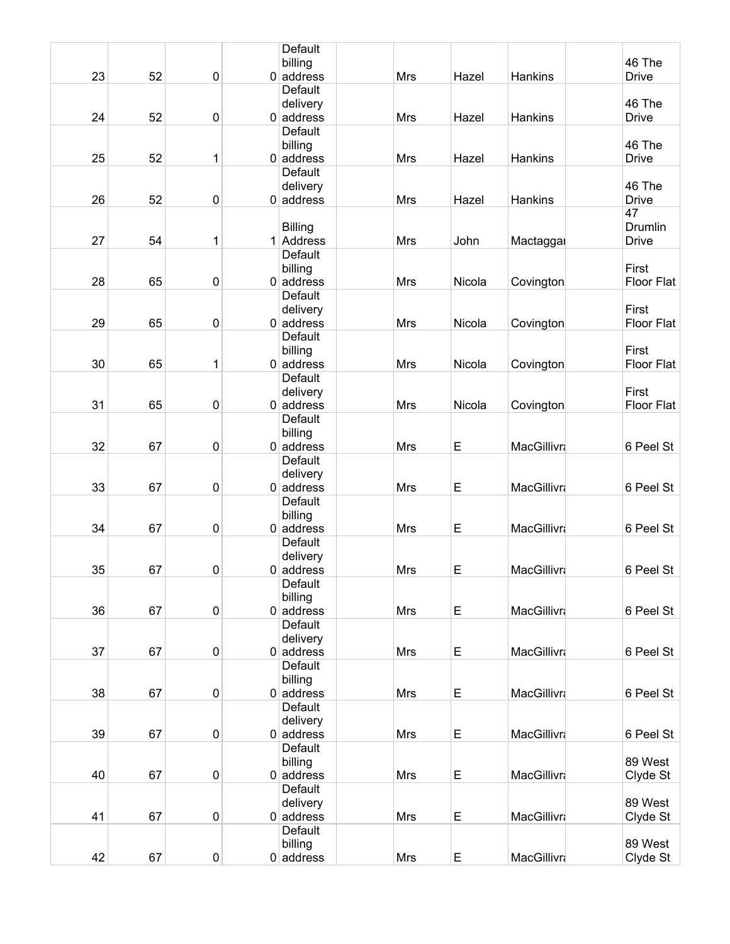|    |    |                  | Default                       |            |        |                    |                   |
|----|----|------------------|-------------------------------|------------|--------|--------------------|-------------------|
|    |    |                  | billing                       |            |        |                    | 46 The            |
| 23 | 52 | $\pmb{0}$        | $0$ address                   | <b>Mrs</b> | Hazel  | Hankins            | <b>Drive</b>      |
|    |    |                  | Default                       |            |        |                    | 46 The            |
| 24 | 52 | $\boldsymbol{0}$ | delivery<br>$0$ address       | Mrs        | Hazel  | Hankins            | <b>Drive</b>      |
|    |    |                  | <b>Default</b>                |            |        |                    |                   |
|    |    |                  | billing                       |            |        |                    | 46 The            |
| 25 | 52 | $\mathbf{1}$     | $0$ address                   | Mrs        | Hazel  | Hankins            | <b>Drive</b>      |
|    |    |                  | <b>Default</b>                |            |        |                    |                   |
|    |    |                  | delivery                      |            |        |                    | 46 The            |
| 26 | 52 | $\pmb{0}$        | $0$ address                   | Mrs        | Hazel  | Hankins            | <b>Drive</b>      |
|    |    |                  |                               |            |        |                    | 47                |
|    |    |                  | <b>Billing</b>                |            |        |                    | Drumlin           |
| 27 | 54 | 1                | 1 Address                     | Mrs        | John   | Mactaggar          | <b>Drive</b>      |
|    |    |                  | <b>Default</b>                |            |        |                    |                   |
|    |    |                  | billing                       |            |        |                    | First             |
| 28 | 65 | $\boldsymbol{0}$ | $0$ address<br><b>Default</b> | Mrs        | Nicola | Covington          | <b>Floor Flat</b> |
|    |    |                  | delivery                      |            |        |                    | First             |
| 29 | 65 | 0                | $0$ address                   | Mrs        | Nicola | Covington          | <b>Floor Flat</b> |
|    |    |                  | <b>Default</b>                |            |        |                    |                   |
|    |    |                  | billing                       |            |        |                    | First             |
| 30 | 65 | 1                | $0$ address                   | Mrs        | Nicola | Covington          | <b>Floor Flat</b> |
|    |    |                  | Default                       |            |        |                    |                   |
|    |    |                  | delivery                      |            |        |                    | First             |
| 31 | 65 | $\boldsymbol{0}$ | $0$ address                   | Mrs        | Nicola | Covington          | Floor Flat        |
|    |    |                  | Default                       |            |        |                    |                   |
|    |    |                  | billing                       |            |        |                    |                   |
| 32 | 67 | $\boldsymbol{0}$ | $0$ address                   | Mrs        | E      | <b>MacGillivra</b> | 6 Peel St         |
|    |    |                  | Default                       |            |        |                    |                   |
| 33 | 67 | $\boldsymbol{0}$ | delivery<br>$0$ address       | Mrs        | E      | <b>MacGillivra</b> | 6 Peel St         |
|    |    |                  | <b>Default</b>                |            |        |                    |                   |
|    |    |                  | billing                       |            |        |                    |                   |
| 34 | 67 | $\pmb{0}$        | $0$ address                   | Mrs        | E      | <b>MacGillivra</b> | 6 Peel St         |
|    |    |                  | Default                       |            |        |                    |                   |
|    |    |                  | delivery                      |            |        |                    |                   |
| 35 | 67 | $\boldsymbol{0}$ | $0$ address                   | Mrs        | E      | <b>MacGillivra</b> | 6 Peel St         |
|    |    |                  | Default                       |            |        |                    |                   |
|    |    |                  | billing                       |            |        |                    |                   |
| 36 | 67 | $\pmb{0}$        | $0$ address<br>Default        | Mrs        | E      | MacGillivra        | 6 Peel St         |
|    |    |                  | delivery                      |            |        |                    |                   |
| 37 | 67 | $\boldsymbol{0}$ | $0$ address                   | Mrs        | E      | <b>MacGillivra</b> | 6 Peel St         |
|    |    |                  | Default                       |            |        |                    |                   |
|    |    |                  | billing                       |            |        |                    |                   |
| 38 | 67 | $\pmb{0}$        | $0$ address                   | Mrs        | E      | <b>MacGillivra</b> | 6 Peel St         |
|    |    |                  | Default                       |            |        |                    |                   |
|    |    |                  | delivery                      |            |        |                    |                   |
| 39 | 67 | $\pmb{0}$        | $0$ address                   | Mrs        | E      | <b>MacGillivra</b> | 6 Peel St         |
|    |    |                  | Default                       |            |        |                    |                   |
|    |    |                  | billing                       |            |        |                    | 89 West           |
| 40 | 67 | $\pmb{0}$        | $0$ address<br>Default        | Mrs        | E      | <b>MacGillivra</b> | Clyde St          |
|    |    |                  | delivery                      |            |        |                    | 89 West           |
| 41 | 67 | 0                | $0$ address                   | Mrs        | E      | <b>MacGillivra</b> | Clyde St          |
|    |    |                  | Default                       |            |        |                    |                   |
|    |    |                  | billing                       |            |        |                    | 89 West           |
| 42 | 67 | $\pmb{0}$        | $0$ address                   | Mrs        | E      | <b>MacGillivra</b> | Clyde St          |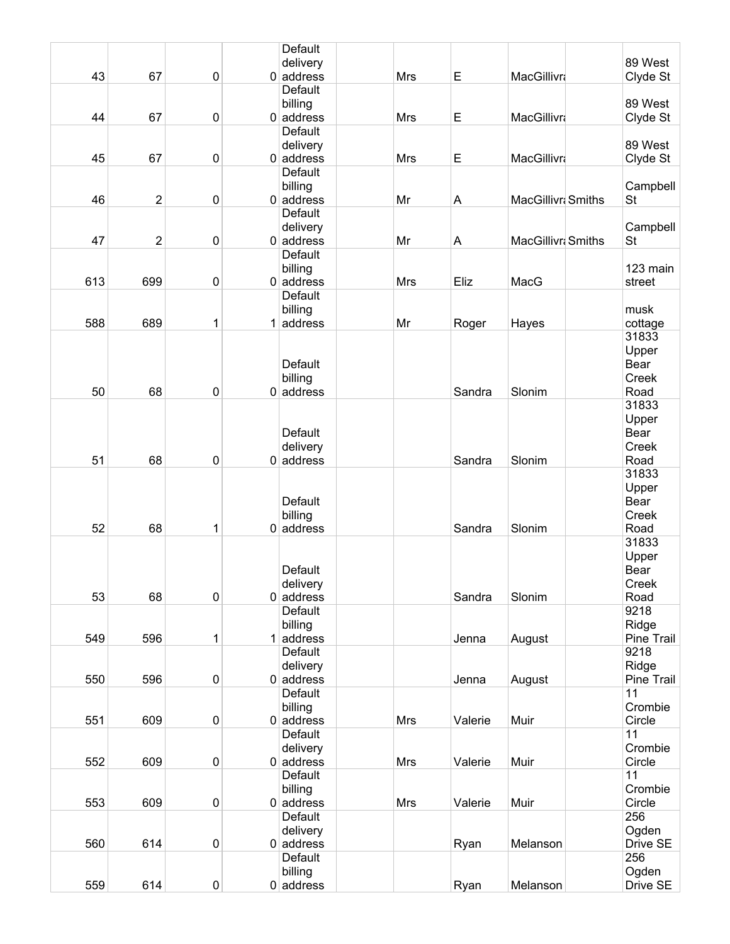|     |                |           | Default        |            |         |                    |            |
|-----|----------------|-----------|----------------|------------|---------|--------------------|------------|
|     |                |           | delivery       |            |         |                    | 89 West    |
| 43  | 67             | $\pmb{0}$ | $0$ address    | Mrs        | E       | <b>MacGillivra</b> | Clyde St   |
|     |                |           | Default        |            |         |                    |            |
|     |                |           | billing        |            |         |                    | 89 West    |
| 44  | 67             | $\pmb{0}$ | $0$ address    | <b>Mrs</b> | E       | <b>MacGillivra</b> | Clyde St   |
|     |                |           | Default        |            |         |                    |            |
|     |                |           | delivery       |            |         |                    | 89 West    |
| 45  | 67             | $\pmb{0}$ | $0$ address    | <b>Mrs</b> | E       | <b>MacGillivra</b> | Clyde St   |
|     |                |           | <b>Default</b> |            |         |                    |            |
|     |                |           | billing        |            |         |                    | Campbell   |
| 46  | $\overline{c}$ | $\pmb{0}$ | $0$ address    | Mr         | A       | MacGillivri Smiths | <b>St</b>  |
|     |                |           | Default        |            |         |                    |            |
|     |                |           | delivery       |            |         |                    | Campbell   |
| 47  | $\overline{2}$ | $\pmb{0}$ | $0$ address    | Mr         | A       | MacGillivri Smiths | <b>St</b>  |
|     |                |           | <b>Default</b> |            |         |                    |            |
|     |                |           | billing        |            |         |                    | 123 main   |
| 613 | 699            | $\pmb{0}$ | $0$ address    | <b>Mrs</b> | Eliz    | MacG               | street     |
|     |                |           | Default        |            |         |                    |            |
|     |                |           | billing        |            |         |                    | musk       |
| 588 | 689            | 1         | $1$ address    | Mr         | Roger   | Hayes              | cottage    |
|     |                |           |                |            |         |                    | 31833      |
|     |                |           |                |            |         |                    | Upper      |
|     |                |           | Default        |            |         |                    | Bear       |
|     |                |           | billing        |            |         |                    | Creek      |
| 50  | 68             | $\pmb{0}$ | $0$ address    |            | Sandra  | Slonim             | Road       |
|     |                |           |                |            |         |                    | 31833      |
|     |                |           |                |            |         |                    |            |
|     |                |           |                |            |         |                    | Upper      |
|     |                |           | Default        |            |         |                    | Bear       |
|     |                |           | delivery       |            |         |                    | Creek      |
| 51  | 68             | $\pmb{0}$ | $0$ address    |            | Sandra  | Slonim             | Road       |
|     |                |           |                |            |         |                    | 31833      |
|     |                |           |                |            |         |                    | Upper      |
|     |                |           | Default        |            |         |                    | Bear       |
|     |                |           | billing        |            |         |                    | Creek      |
| 52  | 68             | 1         | $0$ address    |            | Sandra  | Slonim             | Road       |
|     |                |           |                |            |         |                    | 31833      |
|     |                |           |                |            |         |                    | Upper      |
|     |                |           | Default        |            |         |                    | Bear       |
|     |                |           | delivery       |            |         |                    | Creek      |
| 53  | 68             | $\pmb{0}$ | $0$ address    |            | Sandra  | Slonim             | Road       |
|     |                |           | Default        |            |         |                    | 9218       |
|     |                |           | billing        |            |         |                    | Ridge      |
| 549 | 596            | 1         | $1$ address    |            | Jenna   | August             | Pine Trail |
|     |                |           | Default        |            |         |                    | 9218       |
|     |                |           | delivery       |            |         |                    | Ridge      |
| 550 | 596            | $\pmb{0}$ | $0$ address    |            | Jenna   | August             | Pine Trail |
|     |                |           | Default        |            |         |                    | 11         |
|     |                |           | billing        |            |         |                    | Crombie    |
| 551 | 609            | $\pmb{0}$ | $0$ address    | Mrs        | Valerie | Muir               | Circle     |
|     |                |           | Default        |            |         |                    | 11         |
|     |                |           | delivery       |            |         |                    | Crombie    |
| 552 | 609            | $\pmb{0}$ | $0$ address    | Mrs        | Valerie | Muir               | Circle     |
|     |                |           | Default        |            |         |                    | 11         |
|     |                |           | billing        |            |         |                    | Crombie    |
| 553 | 609            | $\pmb{0}$ | $0$ address    | Mrs        | Valerie | Muir               | Circle     |
|     |                |           | Default        |            |         |                    | 256        |
|     |                |           | delivery       |            |         |                    | Ogden      |
| 560 | 614            | $\pmb{0}$ | $0$ address    |            | Ryan    | Melanson           | Drive SE   |
|     |                |           | Default        |            |         |                    | 256        |
|     |                |           | billing        |            |         |                    | Ogden      |
|     |                |           |                |            |         |                    |            |
| 559 | 614            | $\pmb{0}$ | $0$ address    |            | Ryan    | Melanson           | Drive SE   |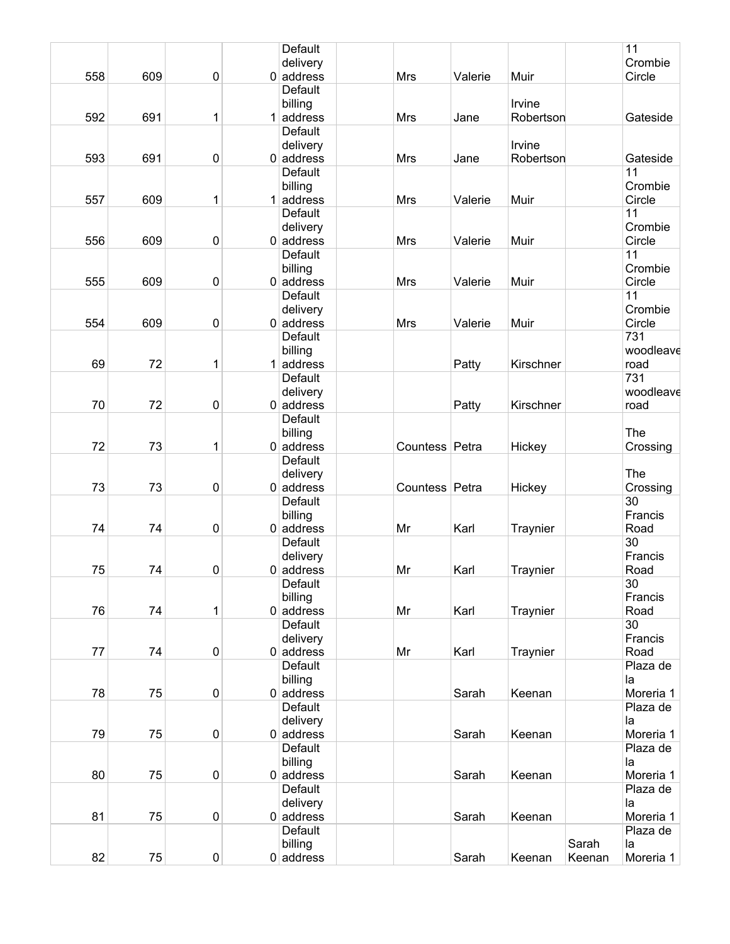|     |     |           | <b>Default</b>                |                |         |           |        | 11              |
|-----|-----|-----------|-------------------------------|----------------|---------|-----------|--------|-----------------|
|     |     |           | delivery                      |                |         |           |        | Crombie         |
| 558 | 609 | $\pmb{0}$ | $0$ address                   | <b>Mrs</b>     | Valerie | Muir      |        | Circle          |
|     |     |           | Default                       |                |         |           |        |                 |
|     |     |           | billing                       |                |         | Irvine    |        |                 |
| 592 | 691 | 1         | $1$ address                   | Mrs            | Jane    | Robertson |        | Gateside        |
|     |     |           | Default                       |                |         |           |        |                 |
|     |     |           | delivery                      |                |         | Irvine    |        |                 |
| 593 | 691 | 0         | $0$ address                   | Mrs            | Jane    | Robertson |        | Gateside        |
|     |     |           | <b>Default</b>                |                |         |           |        | 11              |
|     |     |           | billing                       |                |         |           |        | Crombie         |
| 557 | 609 | 1         | $1$ address                   | Mrs            | Valerie | Muir      |        | Circle          |
|     |     |           | Default                       |                |         |           |        | 11              |
|     |     |           | delivery                      |                |         |           |        | Crombie         |
| 556 | 609 | $\pmb{0}$ | $0$ address                   | Mrs            | Valerie | Muir      |        | Circle          |
|     |     |           | <b>Default</b>                |                |         |           |        | 11              |
|     |     |           | billing                       |                |         |           |        | Crombie         |
| 555 | 609 | $\pmb{0}$ | $0$ address                   | Mrs            | Valerie | Muir      |        | Circle<br>11    |
|     |     |           | Default                       |                |         |           |        | Crombie         |
| 554 |     |           | delivery                      |                |         |           |        |                 |
|     | 609 | 0         | $0$ address<br><b>Default</b> | Mrs            | Valerie | Muir      |        | Circle<br>731   |
|     |     |           | billing                       |                |         |           |        | woodleave       |
| 69  | 72  | 1         | $1$ address                   |                | Patty   | Kirschner |        | road            |
|     |     |           | Default                       |                |         |           |        | 731             |
|     |     |           | delivery                      |                |         |           |        | woodleave       |
| 70  | 72  | $\pmb{0}$ | $0$ address                   |                | Patty   | Kirschner |        | road            |
|     |     |           | Default                       |                |         |           |        |                 |
|     |     |           | billing                       |                |         |           |        | The             |
| 72  | 73  | 1         | $0$ address                   | Countess Petra |         | Hickey    |        | Crossing        |
|     |     |           | Default                       |                |         |           |        |                 |
|     |     |           | delivery                      |                |         |           |        | The             |
| 73  | 73  | $\pmb{0}$ | $0$ address                   | Countess Petra |         | Hickey    |        | Crossing        |
|     |     |           | Default                       |                |         |           |        | 30              |
|     |     |           | billing                       |                |         |           |        | Francis         |
| 74  | 74  | $\pmb{0}$ | $0$ address                   | Mr             | Karl    | Traynier  |        | Road            |
|     |     |           | Default                       |                |         |           |        | $\overline{30}$ |
|     |     |           | delivery                      |                |         |           |        | Francis         |
| 75  | 74  | 0         | $0$ address                   | Mr             | Karl    | Traynier  |        | Road            |
|     |     |           | Default                       |                |         |           |        | 30              |
|     |     |           | billing                       |                |         |           |        | Francis         |
| 76  | 74  | 1         | $0$ address                   | Mr             | Karl    | Traynier  |        | Road            |
|     |     |           | Default                       |                |         |           |        | 30              |
|     |     |           | delivery                      |                |         |           |        | Francis         |
| 77  | 74  | $\pmb{0}$ | $0$ address                   | Mr             | Karl    | Traynier  |        | Road            |
|     |     |           | Default                       |                |         |           |        | Plaza de        |
|     |     |           | billing                       |                |         |           |        | la              |
| 78  | 75  | $\pmb{0}$ | $0$ address                   |                | Sarah   | Keenan    |        | Moreria 1       |
|     |     |           | Default                       |                |         |           |        | Plaza de        |
|     |     |           | delivery                      |                |         |           |        | la              |
| 79  | 75  | $\pmb{0}$ | $0$ address                   |                | Sarah   | Keenan    |        | Moreria 1       |
|     |     |           | Default                       |                |         |           |        | Plaza de        |
|     |     |           | billing                       |                |         |           |        | la              |
| 80  | 75  | $\pmb{0}$ | $0$ address                   |                | Sarah   | Keenan    |        | Moreria 1       |
|     |     |           | Default                       |                |         |           |        | Plaza de        |
| 81  | 75  | $\pmb{0}$ | delivery<br>$0$ address       |                | Sarah   | Keenan    |        | la<br>Moreria 1 |
|     |     |           | Default                       |                |         |           |        | Plaza de        |
|     |     |           | billing                       |                |         |           | Sarah  | la              |
| 82  | 75  | $\pmb{0}$ | $0$ address                   |                | Sarah   | Keenan    | Keenan | Moreria 1       |
|     |     |           |                               |                |         |           |        |                 |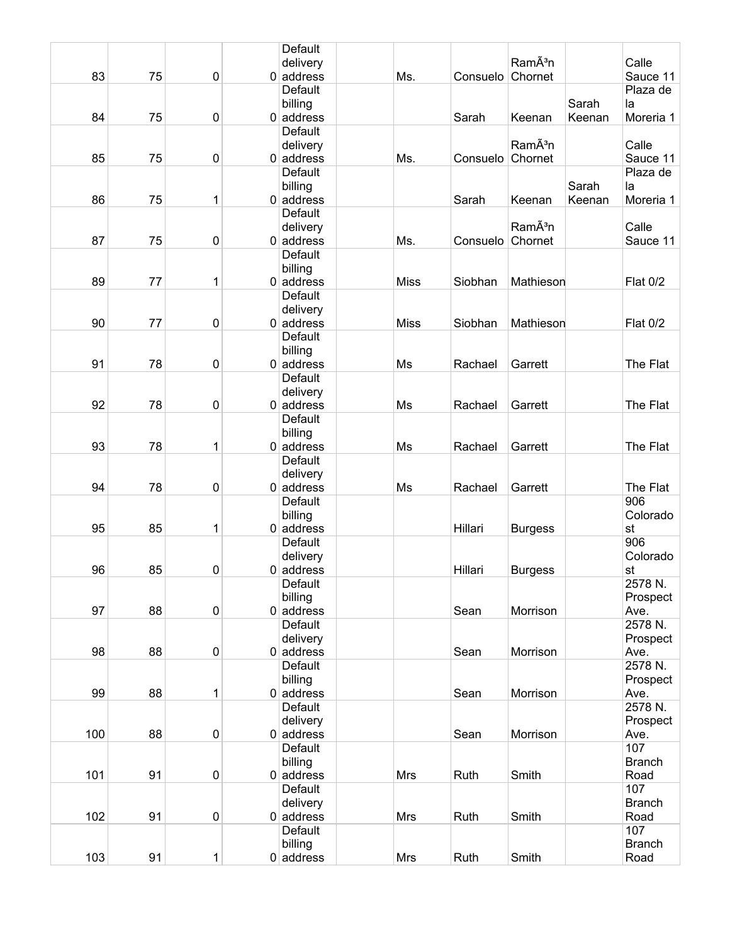|     |    |                  | Default                 |             |          |                     |        |                       |
|-----|----|------------------|-------------------------|-------------|----------|---------------------|--------|-----------------------|
|     |    |                  | delivery                |             |          | RamÃ <sup>3</sup> n |        | Calle                 |
| 83  | 75 | $\boldsymbol{0}$ | $0$ address             | Ms.         | Consuelo | Chornet             |        | Sauce 11              |
|     |    |                  | Default                 |             |          |                     |        | Plaza de              |
|     |    |                  | billing                 |             |          |                     | Sarah  | la                    |
| 84  | 75 | $\boldsymbol{0}$ | $0$ address             |             | Sarah    | Keenan              | Keenan | Moreria 1             |
|     |    |                  | <b>Default</b>          |             |          |                     |        |                       |
|     |    |                  | delivery                |             |          | RamÃ <sup>3</sup> n |        | Calle                 |
| 85  | 75 | $\boldsymbol{0}$ | $0$ address             | Ms.         | Consuelo | Chornet             |        | Sauce 11              |
|     |    |                  | Default                 |             |          |                     |        | Plaza de              |
|     |    |                  | billing                 |             |          |                     | Sarah  | la                    |
| 86  | 75 | 1                | $0$ address             |             | Sarah    | Keenan              | Keenan | Moreria 1             |
|     |    |                  | Default                 |             |          |                     |        |                       |
|     |    |                  | delivery                |             |          | RamÃ <sup>3</sup> n |        | Calle                 |
| 87  | 75 | $\pmb{0}$        | $0$ address             | Ms.         | Consuelo | Chornet             |        | Sauce 11              |
|     |    |                  | Default                 |             |          |                     |        |                       |
|     |    |                  | billing                 |             |          |                     |        |                       |
| 89  | 77 | 1                | $0$ address             | <b>Miss</b> | Siobhan  | Mathieson           |        | <b>Flat 0/2</b>       |
|     |    |                  | Default                 |             |          |                     |        |                       |
|     |    |                  | delivery                |             |          |                     |        |                       |
| 90  | 77 | 0                | $0$ address             | <b>Miss</b> | Siobhan  | Mathieson           |        | <b>Flat 0/2</b>       |
|     |    |                  | <b>Default</b>          |             |          |                     |        |                       |
|     |    |                  | billing                 |             |          |                     |        |                       |
| 91  | 78 | $\pmb{0}$        | $0$ address             | Ms          | Rachael  | Garrett             |        | The Flat              |
|     |    |                  | Default                 |             |          |                     |        |                       |
|     |    |                  | delivery                |             |          |                     |        |                       |
| 92  | 78 | $\boldsymbol{0}$ | $0$ address             | Ms          | Rachael  | Garrett             |        | The Flat              |
|     |    |                  | Default                 |             |          |                     |        |                       |
|     |    |                  | billing                 |             |          |                     |        |                       |
| 93  | 78 | 1                | $0$ address             | Ms          | Rachael  | Garrett             |        | The Flat              |
|     |    |                  | Default                 |             |          |                     |        |                       |
|     |    |                  | delivery                |             |          |                     |        |                       |
| 94  | 78 | $\boldsymbol{0}$ | $0$ address             | Ms          | Rachael  | Garrett             |        | The Flat              |
|     |    |                  | Default                 |             |          |                     |        | 906                   |
|     |    |                  | billing                 |             |          |                     |        | Colorado              |
| 95  | 85 | 1                | $0$ address             |             | Hillari  | <b>Burgess</b>      |        | st                    |
|     |    |                  | Default                 |             |          |                     |        | 906                   |
|     |    |                  | delivery                |             |          |                     |        | Colorado              |
| 96  | 85 | 0                | $0$ address             |             | Hillari  | <b>Burgess</b>      |        | st                    |
|     |    |                  | Default                 |             |          |                     |        | 2578 N.               |
|     |    |                  | billing                 |             |          |                     |        | Prospect              |
| 97  | 88 | $\pmb{0}$        | $0$ address             |             | Sean     | Morrison            |        | Ave.                  |
|     |    |                  | Default                 |             |          |                     |        | 2578 N.               |
|     |    |                  | delivery                |             |          |                     |        | Prospect              |
| 98  | 88 | 0                | $0$ address             |             | Sean     | Morrison            |        | Ave.                  |
|     |    |                  | Default                 |             |          |                     |        | 2578 N.               |
|     |    |                  | billing                 |             |          |                     |        | Prospect              |
| 99  | 88 | 1                | $0$ address             |             | Sean     | Morrison            |        | Ave.                  |
|     |    |                  | Default                 |             |          |                     |        | 2578 N.               |
|     |    |                  | delivery                |             |          |                     |        | Prospect              |
| 100 | 88 | $\pmb{0}$        | $0$ address             |             | Sean     | Morrison            |        | Ave.                  |
|     |    |                  | Default                 |             |          |                     |        | 107                   |
| 101 | 91 | $\pmb{0}$        | billing<br>$0$ address  | Mrs         | Ruth     | Smith               |        | <b>Branch</b><br>Road |
|     |    |                  | Default                 |             |          |                     |        | 107                   |
|     |    |                  |                         |             |          |                     |        | <b>Branch</b>         |
| 102 | 91 | $\pmb{0}$        | delivery<br>$0$ address | Mrs         | Ruth     | Smith               |        | Road                  |
|     |    |                  | Default                 |             |          |                     |        | 107                   |
|     |    |                  | billing                 |             |          |                     |        | <b>Branch</b>         |
| 103 | 91 | 1                | $0$ address             | Mrs         | Ruth     | Smith               |        | Road                  |
|     |    |                  |                         |             |          |                     |        |                       |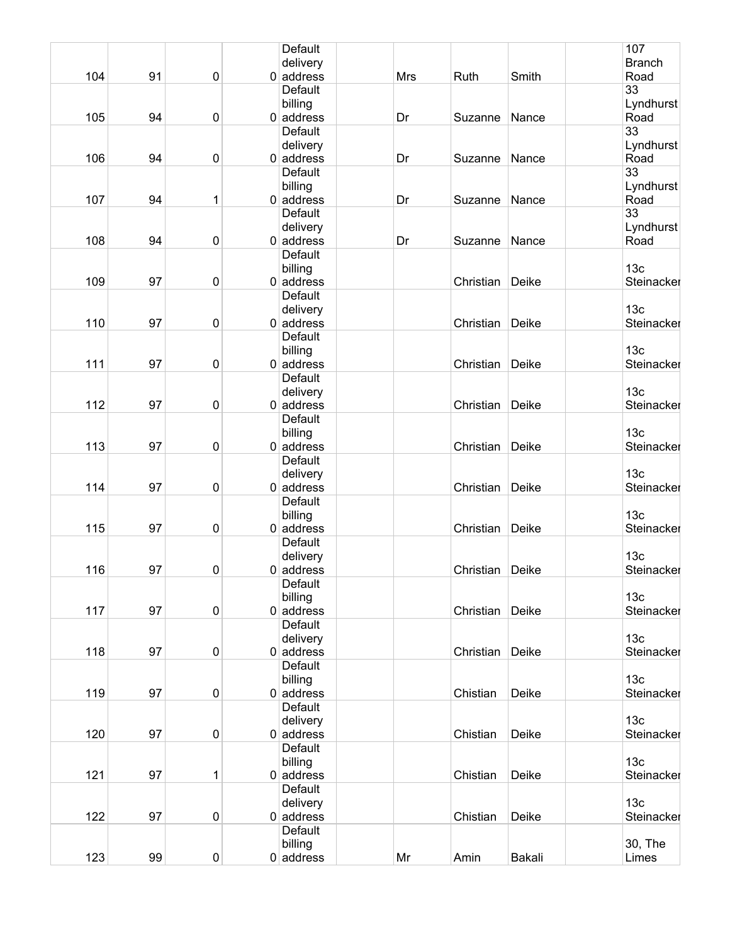|     |    |           | Default                 |     |           |        | 107               |
|-----|----|-----------|-------------------------|-----|-----------|--------|-------------------|
|     |    |           | delivery                |     |           |        | <b>Branch</b>     |
| 104 | 91 | $\pmb{0}$ | $0$ address             | Mrs | Ruth      | Smith  | Road              |
|     |    |           | Default                 |     |           |        | $\overline{33}$   |
|     |    |           | billing                 |     |           |        | Lyndhurst         |
| 105 | 94 | $\pmb{0}$ | $0$ address             | Dr  | Suzanne   | Nance  | Road<br>33        |
|     |    |           | Default                 |     |           |        |                   |
| 106 | 94 | 0         | delivery<br>$0$ address | Dr  | Suzanne   | Nance  | Lyndhurst<br>Road |
|     |    |           | <b>Default</b>          |     |           |        | 33                |
|     |    |           | billing                 |     |           |        | Lyndhurst         |
| 107 | 94 | 1         | $0$ address             | Dr  | Suzanne   | Nance  | Road              |
|     |    |           | Default                 |     |           |        | $\overline{33}$   |
|     |    |           | delivery                |     |           |        | Lyndhurst         |
| 108 | 94 | 0         | $0$ address             | Dr  | Suzanne   | Nance  | Road              |
|     |    |           | <b>Default</b>          |     |           |        |                   |
|     |    |           | billing                 |     |           |        | 13 <sub>c</sub>   |
| 109 | 97 | $\pmb{0}$ | $0$ address             |     | Christian | Deike  | Steinacker        |
|     |    |           | Default                 |     |           |        |                   |
|     |    |           | delivery                |     |           |        | 13 <sub>c</sub>   |
| 110 | 97 | 0         | $0$ address             |     | Christian | Deike  | Steinacker        |
|     |    |           | <b>Default</b>          |     |           |        | 13 <sub>c</sub>   |
| 111 | 97 | $\pmb{0}$ | billing<br>$0$ address  |     | Christian | Deike  | Steinacker        |
|     |    |           | Default                 |     |           |        |                   |
|     |    |           | delivery                |     |           |        | 13 <sub>c</sub>   |
| 112 | 97 | $\pmb{0}$ | $0$ address             |     | Christian | Deike  | Steinacker        |
|     |    |           | Default                 |     |           |        |                   |
|     |    |           | billing                 |     |           |        | 13 <sub>c</sub>   |
| 113 | 97 | $\pmb{0}$ | $0$ address             |     | Christian | Deike  | Steinacker        |
|     |    |           | Default                 |     |           |        |                   |
|     |    |           | delivery                |     |           |        | 13 <sub>c</sub>   |
| 114 | 97 | 0         | $0$ address             |     | Christian | Deike  | Steinacker        |
|     |    |           | Default                 |     |           |        |                   |
|     |    |           | billing                 |     |           |        | 13 <sub>c</sub>   |
| 115 | 97 | $\pmb{0}$ | $0$ address             |     | Christian | Deike  | Steinacker        |
|     |    |           | Default<br>delivery     |     |           |        | 13 <sub>c</sub>   |
| 116 | 97 | 0         | $0$ address             |     | Christian | Deike  | Steinacker        |
|     |    |           | Default                 |     |           |        |                   |
|     |    |           | billing                 |     |           |        | 13 <sub>c</sub>   |
| 117 | 97 | $\pmb{0}$ | $0$ address             |     | Christian | Deike  | Steinacker        |
|     |    |           | Default                 |     |           |        |                   |
|     |    |           | delivery                |     |           |        | 13 <sub>c</sub>   |
| 118 | 97 | 0         | $0$ address             |     | Christian | Deike  | Steinacker        |
|     |    |           | Default                 |     |           |        |                   |
|     |    |           | billing                 |     |           |        | 13 <sub>c</sub>   |
| 119 | 97 | $\pmb{0}$ | $0$ address             |     | Chistian  | Deike  | Steinacker        |
|     |    |           | Default                 |     |           |        |                   |
|     |    |           | delivery                |     |           |        | 13 <sub>c</sub>   |
| 120 | 97 | $\pmb{0}$ | $0$ address<br>Default  |     | Chistian  | Deike  | Steinacker        |
|     |    |           | billing                 |     |           |        | 13 <sub>c</sub>   |
| 121 | 97 | 1         | $0$ address             |     | Chistian  | Deike  | Steinacker        |
|     |    |           | Default                 |     |           |        |                   |
|     |    |           | delivery                |     |           |        | 13 <sub>c</sub>   |
| 122 | 97 | 0         | $0$ address             |     | Chistian  | Deike  | Steinacker        |
|     |    |           | Default                 |     |           |        |                   |
|     |    |           | billing                 |     |           |        | 30, The           |
| 123 | 99 | 0         | $0$ address             | Mr  | Amin      | Bakali | Limes             |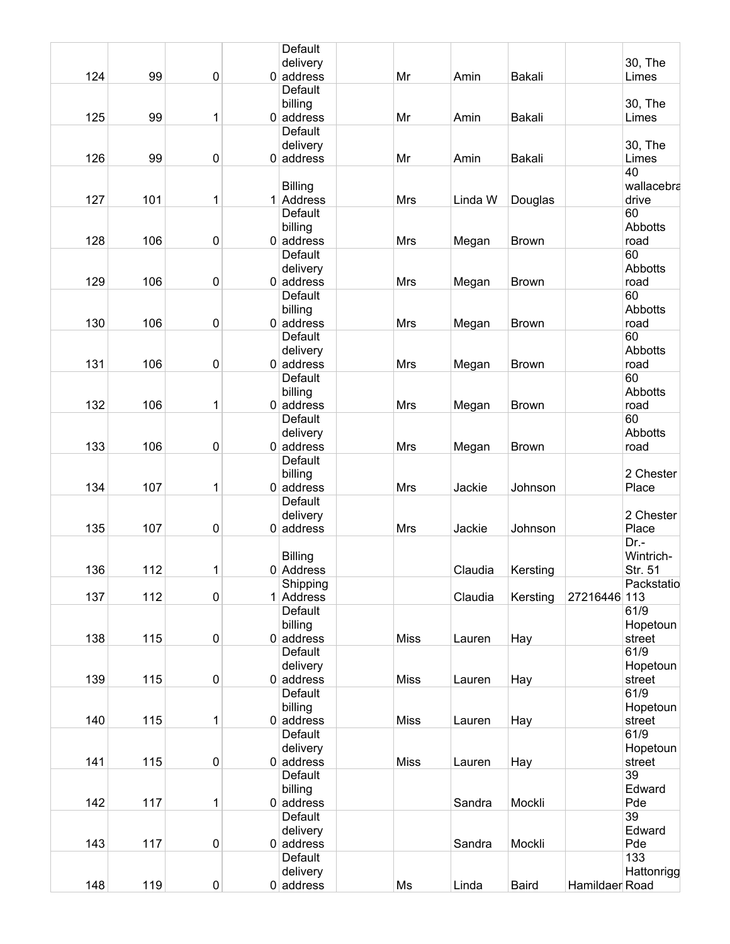| 124<br>99<br>$\pmb{0}$<br>Mr<br>$0$ address<br>Amin<br>Bakali<br>Limes<br>Default<br>30, The<br>billing<br>125<br>99<br>$0$ address<br>Mr<br>Bakali<br>Limes<br>1<br>Amin<br>Default<br>30, The<br>delivery<br>126<br>99<br>$\pmb{0}$<br>$0$ address<br>Mr<br>Limes<br>Amin<br>Bakali<br>40<br>wallacebra<br><b>Billing</b><br>127<br>101<br>1<br>1 Address<br>Mrs<br>drive<br>Linda W<br>Douglas<br>60<br>Default<br>billing<br>Abbotts<br>128<br>106<br>$\pmb{0}$<br>$0$ address<br>Mrs<br><b>Brown</b><br>road<br>Megan<br>60<br>Default<br>Abbotts<br>delivery<br>129<br>106<br>$\pmb{0}$<br>$0$ address<br><b>Mrs</b><br><b>Brown</b><br>road<br>Megan<br>60<br>Default<br>Abbotts<br>billing<br>130<br>106<br>$\pmb{0}$<br>$0$ address<br><b>Mrs</b><br><b>Brown</b><br>road<br>Megan<br>60<br>Default<br>Abbotts<br>delivery<br>131<br>106<br>$\pmb{0}$<br>$0$ address<br>Mrs<br><b>Brown</b><br>road<br>Megan<br>60<br>Default<br>Abbotts<br>billing<br>132<br>106<br>1<br>$0$ address<br>Mrs<br>Megan<br><b>Brown</b><br>road<br>60<br>Default<br>Abbotts<br>delivery<br>133<br>106<br>$\pmb{0}$<br>$0$ address<br><b>Mrs</b><br><b>Brown</b><br>road<br>Megan<br><b>Default</b><br>2 Chester<br>billing<br>134<br>107<br>1<br>$0$ address<br><b>Mrs</b><br>Jackie<br>Johnson<br>Place<br>Default<br>delivery<br>2 Chester<br>135<br>107<br>$\pmb{0}$<br>$0$ address<br>Mrs<br>Johnson<br>Place<br>Jackie<br>Dr.-<br>Wintrich-<br><b>Billing</b><br>112<br>136<br>1<br>$0$ Address<br>Claudia<br>Str. 51<br>Kersting<br>Shipping<br>Packstatio<br>137<br>112<br>$\pmb{0}$<br>27216446 113<br>1 Address<br>Claudia<br>Kersting<br>61/9<br>Default<br>billing<br>Hopetoun<br>138<br>115<br>$\pmb{0}$<br>$0$ address<br><b>Miss</b><br>Hay<br>street<br>Lauren<br>Default<br>61/9<br>delivery<br>Hopetoun<br>139<br>115<br>$\pmb{0}$<br>$0$ address<br><b>Miss</b><br>Hay<br>street<br>Lauren<br>Default<br>61/9<br>billing<br>Hopetoun<br>140<br>115<br>1<br>$0$ address<br><b>Miss</b><br>Hay<br>street<br>Lauren<br>Default<br>61/9<br>delivery<br>Hopetoun<br>141<br>115<br>$\pmb{0}$<br>$0$ address<br><b>Miss</b><br>Hay<br>street<br>Lauren<br>Default<br>39<br>Edward<br>billing<br>142<br>117<br>1<br>$0$ address<br>Mockli<br>Pde<br>Sandra<br>39<br>Default<br>Edward<br>delivery<br>143<br>117<br>$\pmb{0}$<br>Mockli<br>$0$ address<br>Pde<br>Sandra<br>133<br>Default<br>delivery<br>Hattonrigg<br>148<br>119<br>$\pmb{0}$<br>Baird<br>$0 $ address<br>Ms<br>Linda<br>Hamildaer Road |  |  | Default  |  |  |         |
|----------------------------------------------------------------------------------------------------------------------------------------------------------------------------------------------------------------------------------------------------------------------------------------------------------------------------------------------------------------------------------------------------------------------------------------------------------------------------------------------------------------------------------------------------------------------------------------------------------------------------------------------------------------------------------------------------------------------------------------------------------------------------------------------------------------------------------------------------------------------------------------------------------------------------------------------------------------------------------------------------------------------------------------------------------------------------------------------------------------------------------------------------------------------------------------------------------------------------------------------------------------------------------------------------------------------------------------------------------------------------------------------------------------------------------------------------------------------------------------------------------------------------------------------------------------------------------------------------------------------------------------------------------------------------------------------------------------------------------------------------------------------------------------------------------------------------------------------------------------------------------------------------------------------------------------------------------------------------------------------------------------------------------------------------------------------------------------------------------------------------------------------------------------------------------------------------------------------------------------------------------------------------------------------------------------------------------------------------------------------------------------------------------------------------------------------------------------------------------------------------------|--|--|----------|--|--|---------|
|                                                                                                                                                                                                                                                                                                                                                                                                                                                                                                                                                                                                                                                                                                                                                                                                                                                                                                                                                                                                                                                                                                                                                                                                                                                                                                                                                                                                                                                                                                                                                                                                                                                                                                                                                                                                                                                                                                                                                                                                                                                                                                                                                                                                                                                                                                                                                                                                                                                                                                          |  |  | delivery |  |  | 30, The |
|                                                                                                                                                                                                                                                                                                                                                                                                                                                                                                                                                                                                                                                                                                                                                                                                                                                                                                                                                                                                                                                                                                                                                                                                                                                                                                                                                                                                                                                                                                                                                                                                                                                                                                                                                                                                                                                                                                                                                                                                                                                                                                                                                                                                                                                                                                                                                                                                                                                                                                          |  |  |          |  |  |         |
|                                                                                                                                                                                                                                                                                                                                                                                                                                                                                                                                                                                                                                                                                                                                                                                                                                                                                                                                                                                                                                                                                                                                                                                                                                                                                                                                                                                                                                                                                                                                                                                                                                                                                                                                                                                                                                                                                                                                                                                                                                                                                                                                                                                                                                                                                                                                                                                                                                                                                                          |  |  |          |  |  |         |
|                                                                                                                                                                                                                                                                                                                                                                                                                                                                                                                                                                                                                                                                                                                                                                                                                                                                                                                                                                                                                                                                                                                                                                                                                                                                                                                                                                                                                                                                                                                                                                                                                                                                                                                                                                                                                                                                                                                                                                                                                                                                                                                                                                                                                                                                                                                                                                                                                                                                                                          |  |  |          |  |  |         |
|                                                                                                                                                                                                                                                                                                                                                                                                                                                                                                                                                                                                                                                                                                                                                                                                                                                                                                                                                                                                                                                                                                                                                                                                                                                                                                                                                                                                                                                                                                                                                                                                                                                                                                                                                                                                                                                                                                                                                                                                                                                                                                                                                                                                                                                                                                                                                                                                                                                                                                          |  |  |          |  |  |         |
|                                                                                                                                                                                                                                                                                                                                                                                                                                                                                                                                                                                                                                                                                                                                                                                                                                                                                                                                                                                                                                                                                                                                                                                                                                                                                                                                                                                                                                                                                                                                                                                                                                                                                                                                                                                                                                                                                                                                                                                                                                                                                                                                                                                                                                                                                                                                                                                                                                                                                                          |  |  |          |  |  |         |
|                                                                                                                                                                                                                                                                                                                                                                                                                                                                                                                                                                                                                                                                                                                                                                                                                                                                                                                                                                                                                                                                                                                                                                                                                                                                                                                                                                                                                                                                                                                                                                                                                                                                                                                                                                                                                                                                                                                                                                                                                                                                                                                                                                                                                                                                                                                                                                                                                                                                                                          |  |  |          |  |  |         |
|                                                                                                                                                                                                                                                                                                                                                                                                                                                                                                                                                                                                                                                                                                                                                                                                                                                                                                                                                                                                                                                                                                                                                                                                                                                                                                                                                                                                                                                                                                                                                                                                                                                                                                                                                                                                                                                                                                                                                                                                                                                                                                                                                                                                                                                                                                                                                                                                                                                                                                          |  |  |          |  |  |         |
|                                                                                                                                                                                                                                                                                                                                                                                                                                                                                                                                                                                                                                                                                                                                                                                                                                                                                                                                                                                                                                                                                                                                                                                                                                                                                                                                                                                                                                                                                                                                                                                                                                                                                                                                                                                                                                                                                                                                                                                                                                                                                                                                                                                                                                                                                                                                                                                                                                                                                                          |  |  |          |  |  |         |
|                                                                                                                                                                                                                                                                                                                                                                                                                                                                                                                                                                                                                                                                                                                                                                                                                                                                                                                                                                                                                                                                                                                                                                                                                                                                                                                                                                                                                                                                                                                                                                                                                                                                                                                                                                                                                                                                                                                                                                                                                                                                                                                                                                                                                                                                                                                                                                                                                                                                                                          |  |  |          |  |  |         |
|                                                                                                                                                                                                                                                                                                                                                                                                                                                                                                                                                                                                                                                                                                                                                                                                                                                                                                                                                                                                                                                                                                                                                                                                                                                                                                                                                                                                                                                                                                                                                                                                                                                                                                                                                                                                                                                                                                                                                                                                                                                                                                                                                                                                                                                                                                                                                                                                                                                                                                          |  |  |          |  |  |         |
|                                                                                                                                                                                                                                                                                                                                                                                                                                                                                                                                                                                                                                                                                                                                                                                                                                                                                                                                                                                                                                                                                                                                                                                                                                                                                                                                                                                                                                                                                                                                                                                                                                                                                                                                                                                                                                                                                                                                                                                                                                                                                                                                                                                                                                                                                                                                                                                                                                                                                                          |  |  |          |  |  |         |
|                                                                                                                                                                                                                                                                                                                                                                                                                                                                                                                                                                                                                                                                                                                                                                                                                                                                                                                                                                                                                                                                                                                                                                                                                                                                                                                                                                                                                                                                                                                                                                                                                                                                                                                                                                                                                                                                                                                                                                                                                                                                                                                                                                                                                                                                                                                                                                                                                                                                                                          |  |  |          |  |  |         |
|                                                                                                                                                                                                                                                                                                                                                                                                                                                                                                                                                                                                                                                                                                                                                                                                                                                                                                                                                                                                                                                                                                                                                                                                                                                                                                                                                                                                                                                                                                                                                                                                                                                                                                                                                                                                                                                                                                                                                                                                                                                                                                                                                                                                                                                                                                                                                                                                                                                                                                          |  |  |          |  |  |         |
|                                                                                                                                                                                                                                                                                                                                                                                                                                                                                                                                                                                                                                                                                                                                                                                                                                                                                                                                                                                                                                                                                                                                                                                                                                                                                                                                                                                                                                                                                                                                                                                                                                                                                                                                                                                                                                                                                                                                                                                                                                                                                                                                                                                                                                                                                                                                                                                                                                                                                                          |  |  |          |  |  |         |
|                                                                                                                                                                                                                                                                                                                                                                                                                                                                                                                                                                                                                                                                                                                                                                                                                                                                                                                                                                                                                                                                                                                                                                                                                                                                                                                                                                                                                                                                                                                                                                                                                                                                                                                                                                                                                                                                                                                                                                                                                                                                                                                                                                                                                                                                                                                                                                                                                                                                                                          |  |  |          |  |  |         |
|                                                                                                                                                                                                                                                                                                                                                                                                                                                                                                                                                                                                                                                                                                                                                                                                                                                                                                                                                                                                                                                                                                                                                                                                                                                                                                                                                                                                                                                                                                                                                                                                                                                                                                                                                                                                                                                                                                                                                                                                                                                                                                                                                                                                                                                                                                                                                                                                                                                                                                          |  |  |          |  |  |         |
|                                                                                                                                                                                                                                                                                                                                                                                                                                                                                                                                                                                                                                                                                                                                                                                                                                                                                                                                                                                                                                                                                                                                                                                                                                                                                                                                                                                                                                                                                                                                                                                                                                                                                                                                                                                                                                                                                                                                                                                                                                                                                                                                                                                                                                                                                                                                                                                                                                                                                                          |  |  |          |  |  |         |
|                                                                                                                                                                                                                                                                                                                                                                                                                                                                                                                                                                                                                                                                                                                                                                                                                                                                                                                                                                                                                                                                                                                                                                                                                                                                                                                                                                                                                                                                                                                                                                                                                                                                                                                                                                                                                                                                                                                                                                                                                                                                                                                                                                                                                                                                                                                                                                                                                                                                                                          |  |  |          |  |  |         |
|                                                                                                                                                                                                                                                                                                                                                                                                                                                                                                                                                                                                                                                                                                                                                                                                                                                                                                                                                                                                                                                                                                                                                                                                                                                                                                                                                                                                                                                                                                                                                                                                                                                                                                                                                                                                                                                                                                                                                                                                                                                                                                                                                                                                                                                                                                                                                                                                                                                                                                          |  |  |          |  |  |         |
|                                                                                                                                                                                                                                                                                                                                                                                                                                                                                                                                                                                                                                                                                                                                                                                                                                                                                                                                                                                                                                                                                                                                                                                                                                                                                                                                                                                                                                                                                                                                                                                                                                                                                                                                                                                                                                                                                                                                                                                                                                                                                                                                                                                                                                                                                                                                                                                                                                                                                                          |  |  |          |  |  |         |
|                                                                                                                                                                                                                                                                                                                                                                                                                                                                                                                                                                                                                                                                                                                                                                                                                                                                                                                                                                                                                                                                                                                                                                                                                                                                                                                                                                                                                                                                                                                                                                                                                                                                                                                                                                                                                                                                                                                                                                                                                                                                                                                                                                                                                                                                                                                                                                                                                                                                                                          |  |  |          |  |  |         |
|                                                                                                                                                                                                                                                                                                                                                                                                                                                                                                                                                                                                                                                                                                                                                                                                                                                                                                                                                                                                                                                                                                                                                                                                                                                                                                                                                                                                                                                                                                                                                                                                                                                                                                                                                                                                                                                                                                                                                                                                                                                                                                                                                                                                                                                                                                                                                                                                                                                                                                          |  |  |          |  |  |         |
|                                                                                                                                                                                                                                                                                                                                                                                                                                                                                                                                                                                                                                                                                                                                                                                                                                                                                                                                                                                                                                                                                                                                                                                                                                                                                                                                                                                                                                                                                                                                                                                                                                                                                                                                                                                                                                                                                                                                                                                                                                                                                                                                                                                                                                                                                                                                                                                                                                                                                                          |  |  |          |  |  |         |
|                                                                                                                                                                                                                                                                                                                                                                                                                                                                                                                                                                                                                                                                                                                                                                                                                                                                                                                                                                                                                                                                                                                                                                                                                                                                                                                                                                                                                                                                                                                                                                                                                                                                                                                                                                                                                                                                                                                                                                                                                                                                                                                                                                                                                                                                                                                                                                                                                                                                                                          |  |  |          |  |  |         |
|                                                                                                                                                                                                                                                                                                                                                                                                                                                                                                                                                                                                                                                                                                                                                                                                                                                                                                                                                                                                                                                                                                                                                                                                                                                                                                                                                                                                                                                                                                                                                                                                                                                                                                                                                                                                                                                                                                                                                                                                                                                                                                                                                                                                                                                                                                                                                                                                                                                                                                          |  |  |          |  |  |         |
|                                                                                                                                                                                                                                                                                                                                                                                                                                                                                                                                                                                                                                                                                                                                                                                                                                                                                                                                                                                                                                                                                                                                                                                                                                                                                                                                                                                                                                                                                                                                                                                                                                                                                                                                                                                                                                                                                                                                                                                                                                                                                                                                                                                                                                                                                                                                                                                                                                                                                                          |  |  |          |  |  |         |
|                                                                                                                                                                                                                                                                                                                                                                                                                                                                                                                                                                                                                                                                                                                                                                                                                                                                                                                                                                                                                                                                                                                                                                                                                                                                                                                                                                                                                                                                                                                                                                                                                                                                                                                                                                                                                                                                                                                                                                                                                                                                                                                                                                                                                                                                                                                                                                                                                                                                                                          |  |  |          |  |  |         |
|                                                                                                                                                                                                                                                                                                                                                                                                                                                                                                                                                                                                                                                                                                                                                                                                                                                                                                                                                                                                                                                                                                                                                                                                                                                                                                                                                                                                                                                                                                                                                                                                                                                                                                                                                                                                                                                                                                                                                                                                                                                                                                                                                                                                                                                                                                                                                                                                                                                                                                          |  |  |          |  |  |         |
|                                                                                                                                                                                                                                                                                                                                                                                                                                                                                                                                                                                                                                                                                                                                                                                                                                                                                                                                                                                                                                                                                                                                                                                                                                                                                                                                                                                                                                                                                                                                                                                                                                                                                                                                                                                                                                                                                                                                                                                                                                                                                                                                                                                                                                                                                                                                                                                                                                                                                                          |  |  |          |  |  |         |
|                                                                                                                                                                                                                                                                                                                                                                                                                                                                                                                                                                                                                                                                                                                                                                                                                                                                                                                                                                                                                                                                                                                                                                                                                                                                                                                                                                                                                                                                                                                                                                                                                                                                                                                                                                                                                                                                                                                                                                                                                                                                                                                                                                                                                                                                                                                                                                                                                                                                                                          |  |  |          |  |  |         |
|                                                                                                                                                                                                                                                                                                                                                                                                                                                                                                                                                                                                                                                                                                                                                                                                                                                                                                                                                                                                                                                                                                                                                                                                                                                                                                                                                                                                                                                                                                                                                                                                                                                                                                                                                                                                                                                                                                                                                                                                                                                                                                                                                                                                                                                                                                                                                                                                                                                                                                          |  |  |          |  |  |         |
|                                                                                                                                                                                                                                                                                                                                                                                                                                                                                                                                                                                                                                                                                                                                                                                                                                                                                                                                                                                                                                                                                                                                                                                                                                                                                                                                                                                                                                                                                                                                                                                                                                                                                                                                                                                                                                                                                                                                                                                                                                                                                                                                                                                                                                                                                                                                                                                                                                                                                                          |  |  |          |  |  |         |
|                                                                                                                                                                                                                                                                                                                                                                                                                                                                                                                                                                                                                                                                                                                                                                                                                                                                                                                                                                                                                                                                                                                                                                                                                                                                                                                                                                                                                                                                                                                                                                                                                                                                                                                                                                                                                                                                                                                                                                                                                                                                                                                                                                                                                                                                                                                                                                                                                                                                                                          |  |  |          |  |  |         |
|                                                                                                                                                                                                                                                                                                                                                                                                                                                                                                                                                                                                                                                                                                                                                                                                                                                                                                                                                                                                                                                                                                                                                                                                                                                                                                                                                                                                                                                                                                                                                                                                                                                                                                                                                                                                                                                                                                                                                                                                                                                                                                                                                                                                                                                                                                                                                                                                                                                                                                          |  |  |          |  |  |         |
|                                                                                                                                                                                                                                                                                                                                                                                                                                                                                                                                                                                                                                                                                                                                                                                                                                                                                                                                                                                                                                                                                                                                                                                                                                                                                                                                                                                                                                                                                                                                                                                                                                                                                                                                                                                                                                                                                                                                                                                                                                                                                                                                                                                                                                                                                                                                                                                                                                                                                                          |  |  |          |  |  |         |
|                                                                                                                                                                                                                                                                                                                                                                                                                                                                                                                                                                                                                                                                                                                                                                                                                                                                                                                                                                                                                                                                                                                                                                                                                                                                                                                                                                                                                                                                                                                                                                                                                                                                                                                                                                                                                                                                                                                                                                                                                                                                                                                                                                                                                                                                                                                                                                                                                                                                                                          |  |  |          |  |  |         |
|                                                                                                                                                                                                                                                                                                                                                                                                                                                                                                                                                                                                                                                                                                                                                                                                                                                                                                                                                                                                                                                                                                                                                                                                                                                                                                                                                                                                                                                                                                                                                                                                                                                                                                                                                                                                                                                                                                                                                                                                                                                                                                                                                                                                                                                                                                                                                                                                                                                                                                          |  |  |          |  |  |         |
|                                                                                                                                                                                                                                                                                                                                                                                                                                                                                                                                                                                                                                                                                                                                                                                                                                                                                                                                                                                                                                                                                                                                                                                                                                                                                                                                                                                                                                                                                                                                                                                                                                                                                                                                                                                                                                                                                                                                                                                                                                                                                                                                                                                                                                                                                                                                                                                                                                                                                                          |  |  |          |  |  |         |
|                                                                                                                                                                                                                                                                                                                                                                                                                                                                                                                                                                                                                                                                                                                                                                                                                                                                                                                                                                                                                                                                                                                                                                                                                                                                                                                                                                                                                                                                                                                                                                                                                                                                                                                                                                                                                                                                                                                                                                                                                                                                                                                                                                                                                                                                                                                                                                                                                                                                                                          |  |  |          |  |  |         |
|                                                                                                                                                                                                                                                                                                                                                                                                                                                                                                                                                                                                                                                                                                                                                                                                                                                                                                                                                                                                                                                                                                                                                                                                                                                                                                                                                                                                                                                                                                                                                                                                                                                                                                                                                                                                                                                                                                                                                                                                                                                                                                                                                                                                                                                                                                                                                                                                                                                                                                          |  |  |          |  |  |         |
|                                                                                                                                                                                                                                                                                                                                                                                                                                                                                                                                                                                                                                                                                                                                                                                                                                                                                                                                                                                                                                                                                                                                                                                                                                                                                                                                                                                                                                                                                                                                                                                                                                                                                                                                                                                                                                                                                                                                                                                                                                                                                                                                                                                                                                                                                                                                                                                                                                                                                                          |  |  |          |  |  |         |
|                                                                                                                                                                                                                                                                                                                                                                                                                                                                                                                                                                                                                                                                                                                                                                                                                                                                                                                                                                                                                                                                                                                                                                                                                                                                                                                                                                                                                                                                                                                                                                                                                                                                                                                                                                                                                                                                                                                                                                                                                                                                                                                                                                                                                                                                                                                                                                                                                                                                                                          |  |  |          |  |  |         |
|                                                                                                                                                                                                                                                                                                                                                                                                                                                                                                                                                                                                                                                                                                                                                                                                                                                                                                                                                                                                                                                                                                                                                                                                                                                                                                                                                                                                                                                                                                                                                                                                                                                                                                                                                                                                                                                                                                                                                                                                                                                                                                                                                                                                                                                                                                                                                                                                                                                                                                          |  |  |          |  |  |         |
|                                                                                                                                                                                                                                                                                                                                                                                                                                                                                                                                                                                                                                                                                                                                                                                                                                                                                                                                                                                                                                                                                                                                                                                                                                                                                                                                                                                                                                                                                                                                                                                                                                                                                                                                                                                                                                                                                                                                                                                                                                                                                                                                                                                                                                                                                                                                                                                                                                                                                                          |  |  |          |  |  |         |
|                                                                                                                                                                                                                                                                                                                                                                                                                                                                                                                                                                                                                                                                                                                                                                                                                                                                                                                                                                                                                                                                                                                                                                                                                                                                                                                                                                                                                                                                                                                                                                                                                                                                                                                                                                                                                                                                                                                                                                                                                                                                                                                                                                                                                                                                                                                                                                                                                                                                                                          |  |  |          |  |  |         |
|                                                                                                                                                                                                                                                                                                                                                                                                                                                                                                                                                                                                                                                                                                                                                                                                                                                                                                                                                                                                                                                                                                                                                                                                                                                                                                                                                                                                                                                                                                                                                                                                                                                                                                                                                                                                                                                                                                                                                                                                                                                                                                                                                                                                                                                                                                                                                                                                                                                                                                          |  |  |          |  |  |         |
|                                                                                                                                                                                                                                                                                                                                                                                                                                                                                                                                                                                                                                                                                                                                                                                                                                                                                                                                                                                                                                                                                                                                                                                                                                                                                                                                                                                                                                                                                                                                                                                                                                                                                                                                                                                                                                                                                                                                                                                                                                                                                                                                                                                                                                                                                                                                                                                                                                                                                                          |  |  |          |  |  |         |
|                                                                                                                                                                                                                                                                                                                                                                                                                                                                                                                                                                                                                                                                                                                                                                                                                                                                                                                                                                                                                                                                                                                                                                                                                                                                                                                                                                                                                                                                                                                                                                                                                                                                                                                                                                                                                                                                                                                                                                                                                                                                                                                                                                                                                                                                                                                                                                                                                                                                                                          |  |  |          |  |  |         |
|                                                                                                                                                                                                                                                                                                                                                                                                                                                                                                                                                                                                                                                                                                                                                                                                                                                                                                                                                                                                                                                                                                                                                                                                                                                                                                                                                                                                                                                                                                                                                                                                                                                                                                                                                                                                                                                                                                                                                                                                                                                                                                                                                                                                                                                                                                                                                                                                                                                                                                          |  |  |          |  |  |         |
|                                                                                                                                                                                                                                                                                                                                                                                                                                                                                                                                                                                                                                                                                                                                                                                                                                                                                                                                                                                                                                                                                                                                                                                                                                                                                                                                                                                                                                                                                                                                                                                                                                                                                                                                                                                                                                                                                                                                                                                                                                                                                                                                                                                                                                                                                                                                                                                                                                                                                                          |  |  |          |  |  |         |
|                                                                                                                                                                                                                                                                                                                                                                                                                                                                                                                                                                                                                                                                                                                                                                                                                                                                                                                                                                                                                                                                                                                                                                                                                                                                                                                                                                                                                                                                                                                                                                                                                                                                                                                                                                                                                                                                                                                                                                                                                                                                                                                                                                                                                                                                                                                                                                                                                                                                                                          |  |  |          |  |  |         |
|                                                                                                                                                                                                                                                                                                                                                                                                                                                                                                                                                                                                                                                                                                                                                                                                                                                                                                                                                                                                                                                                                                                                                                                                                                                                                                                                                                                                                                                                                                                                                                                                                                                                                                                                                                                                                                                                                                                                                                                                                                                                                                                                                                                                                                                                                                                                                                                                                                                                                                          |  |  |          |  |  |         |
|                                                                                                                                                                                                                                                                                                                                                                                                                                                                                                                                                                                                                                                                                                                                                                                                                                                                                                                                                                                                                                                                                                                                                                                                                                                                                                                                                                                                                                                                                                                                                                                                                                                                                                                                                                                                                                                                                                                                                                                                                                                                                                                                                                                                                                                                                                                                                                                                                                                                                                          |  |  |          |  |  |         |
|                                                                                                                                                                                                                                                                                                                                                                                                                                                                                                                                                                                                                                                                                                                                                                                                                                                                                                                                                                                                                                                                                                                                                                                                                                                                                                                                                                                                                                                                                                                                                                                                                                                                                                                                                                                                                                                                                                                                                                                                                                                                                                                                                                                                                                                                                                                                                                                                                                                                                                          |  |  |          |  |  |         |
|                                                                                                                                                                                                                                                                                                                                                                                                                                                                                                                                                                                                                                                                                                                                                                                                                                                                                                                                                                                                                                                                                                                                                                                                                                                                                                                                                                                                                                                                                                                                                                                                                                                                                                                                                                                                                                                                                                                                                                                                                                                                                                                                                                                                                                                                                                                                                                                                                                                                                                          |  |  |          |  |  |         |
|                                                                                                                                                                                                                                                                                                                                                                                                                                                                                                                                                                                                                                                                                                                                                                                                                                                                                                                                                                                                                                                                                                                                                                                                                                                                                                                                                                                                                                                                                                                                                                                                                                                                                                                                                                                                                                                                                                                                                                                                                                                                                                                                                                                                                                                                                                                                                                                                                                                                                                          |  |  |          |  |  |         |
|                                                                                                                                                                                                                                                                                                                                                                                                                                                                                                                                                                                                                                                                                                                                                                                                                                                                                                                                                                                                                                                                                                                                                                                                                                                                                                                                                                                                                                                                                                                                                                                                                                                                                                                                                                                                                                                                                                                                                                                                                                                                                                                                                                                                                                                                                                                                                                                                                                                                                                          |  |  |          |  |  |         |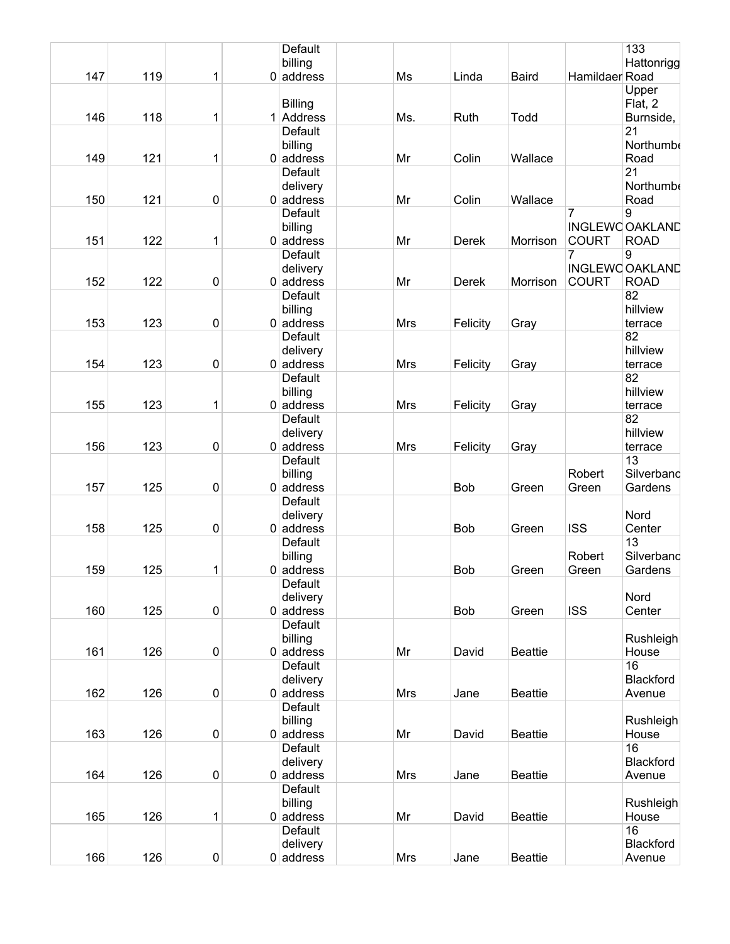|     |     |              |   | Default                 |            |            |                |                | 133                    |
|-----|-----|--------------|---|-------------------------|------------|------------|----------------|----------------|------------------------|
| 147 | 119 | 1            |   | billing<br>$0$ address  | Ms         | Linda      | <b>Baird</b>   | Hamildaer Road | Hattonrigg             |
|     |     |              |   |                         |            |            |                |                | Upper                  |
|     |     |              |   | <b>Billing</b>          |            |            |                |                | Flat, 2                |
| 146 | 118 | 1            | 1 | Address                 | Ms.        | Ruth       | Todd           |                | Burnside,              |
|     |     |              |   | <b>Default</b>          |            |            |                |                | 21                     |
|     |     |              |   | billing                 |            |            |                |                | Northumbe              |
| 149 | 121 | 1            |   | $0$ address             | Mr         | Colin      | Wallace        |                | Road                   |
|     |     |              |   | Default                 |            |            |                |                | 21                     |
|     |     |              |   | delivery                |            |            |                |                | Northumbe              |
| 150 | 121 | 0            |   | $0$ address             | Mr         | Colin      | Wallace        |                | Road                   |
|     |     |              |   | <b>Default</b>          |            |            |                | 7              | 9                      |
|     |     |              |   | billing                 |            |            |                |                | <b>INGLEWC OAKLAND</b> |
| 151 | 122 | 1            |   | $0$ address             | Mr         | Derek      | Morrison       | <b>COURT</b>   | <b>ROAD</b>            |
|     |     |              |   | Default                 |            |            |                | 7              | 9                      |
|     |     |              |   | delivery                |            |            |                |                | <b>INGLEWC OAKLAND</b> |
| 152 | 122 | 0            |   | $0$ address             | Mr         | Derek      | Morrison       | <b>COURT</b>   | <b>ROAD</b>            |
|     |     |              |   | Default                 |            |            |                |                | 82                     |
|     |     |              |   | billing                 |            |            |                |                | hillview               |
| 153 | 123 | 0            |   | $0$ address             | <b>Mrs</b> | Felicity   | Gray           |                | terrace                |
|     |     |              |   | Default                 |            |            |                |                | 82                     |
|     |     |              |   |                         |            |            |                |                | hillview               |
| 154 | 123 |              |   | delivery<br>$0$ address |            |            |                |                |                        |
|     |     | 0            |   | <b>Default</b>          | <b>Mrs</b> | Felicity   | Gray           |                | terrace<br>82          |
|     |     |              |   |                         |            |            |                |                |                        |
|     |     |              |   | billing                 |            |            |                |                | hillview               |
| 155 | 123 | 1            |   | $0$ address             | <b>Mrs</b> | Felicity   | Gray           |                | terrace                |
|     |     |              |   | Default                 |            |            |                |                | 82                     |
|     |     |              |   | delivery                |            |            |                |                | hillview               |
| 156 | 123 | 0            |   | $0$ address             | <b>Mrs</b> | Felicity   | Gray           |                | terrace                |
|     |     |              |   | Default                 |            |            |                |                | 13                     |
|     |     |              |   | billing                 |            |            |                | Robert         | Silverband             |
| 157 | 125 | 0            |   | $0$ address             |            | <b>Bob</b> | Green          | Green          | Gardens                |
|     |     |              |   | Default                 |            |            |                |                |                        |
|     |     |              |   | delivery                |            |            |                |                | Nord                   |
| 158 | 125 | 0            |   | $0$ address             |            | <b>Bob</b> | Green          | <b>ISS</b>     | Center                 |
|     |     |              |   | Default                 |            |            |                |                | 13                     |
|     |     |              |   | billing                 |            |            |                | Robert         | Silverband             |
| 159 | 125 | 1            |   | $0$ address             |            | <b>Bob</b> | Green          | Green          | Gardens                |
|     |     |              |   | Default                 |            |            |                |                |                        |
|     |     |              |   | delivery                |            |            |                |                | Nord                   |
| 160 | 125 | $\pmb{0}$    |   | $0$ address             |            | Bob        | Green          | <b>ISS</b>     | Center                 |
|     |     |              |   | Default                 |            |            |                |                |                        |
|     |     |              |   | billing                 |            |            |                |                | Rushleigh              |
| 161 | 126 | $\pmb{0}$    |   | $0$ address             | Mr         | David      | <b>Beattie</b> |                | House                  |
|     |     |              |   | Default                 |            |            |                |                | 16                     |
|     |     |              |   | delivery                |            |            |                |                | Blackford              |
| 162 | 126 | 0            |   | $0$ address             | Mrs        | Jane       | <b>Beattie</b> |                | Avenue                 |
|     |     |              |   | Default                 |            |            |                |                |                        |
|     |     |              |   | billing                 |            |            |                |                | Rushleigh              |
| 163 | 126 | $\pmb{0}$    |   | $0$ address             | Mr         | David      | <b>Beattie</b> |                | House                  |
|     |     |              |   | Default                 |            |            |                |                | 16                     |
|     |     |              |   | delivery                |            |            |                |                | Blackford              |
| 164 | 126 | $\pmb{0}$    |   | $0$ address             | <b>Mrs</b> | Jane       | <b>Beattie</b> |                | Avenue                 |
|     |     |              |   | Default                 |            |            |                |                |                        |
|     |     |              |   | billing                 |            |            |                |                | Rushleigh              |
| 165 | 126 | $\mathbf{1}$ |   | $0$ address             | Mr         | David      | <b>Beattie</b> |                | House                  |
|     |     |              |   | Default                 |            |            |                |                | 16                     |
|     |     |              |   |                         |            |            |                |                |                        |
|     |     |              |   | delivery                |            |            |                |                | Blackford              |
| 166 | 126 | $\pmb{0}$    |   | $0$ address             | Mrs        | Jane       | <b>Beattie</b> |                | Avenue                 |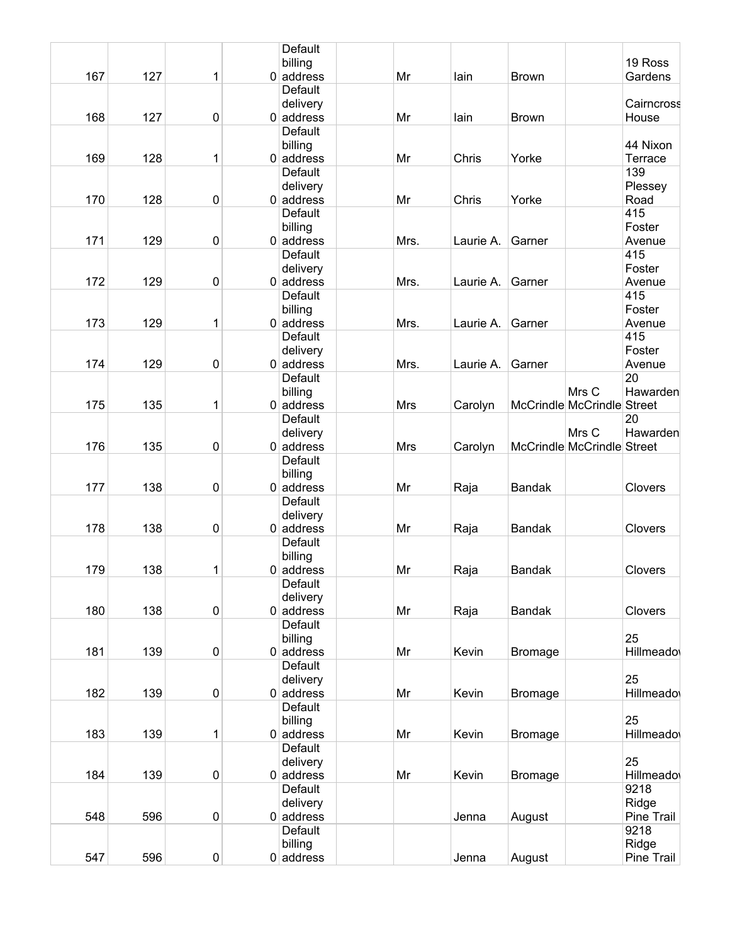|     |     |           | Default                 |    |            |           |                |                            |            |
|-----|-----|-----------|-------------------------|----|------------|-----------|----------------|----------------------------|------------|
|     |     |           | billing                 |    |            |           |                |                            | 19 Ross    |
| 167 | 127 | 1         | $0$ address             | Mr |            | lain      | <b>Brown</b>   |                            | Gardens    |
|     |     |           | Default                 |    |            |           |                |                            |            |
|     |     |           | delivery                |    |            |           |                |                            | Cairncross |
| 168 | 127 | $\pmb{0}$ | $0$ address             | Mr |            | lain      | <b>Brown</b>   |                            | House      |
|     |     |           | Default                 |    |            |           |                |                            |            |
|     |     |           | billing                 |    |            |           |                |                            | 44 Nixon   |
| 169 | 128 | 1         | $0$ address             | Mr |            | Chris     | Yorke          |                            | Terrace    |
|     |     |           | Default                 |    |            |           |                |                            | 139        |
|     |     |           | delivery                |    |            |           |                |                            |            |
|     | 128 |           |                         |    |            |           |                |                            | Plessey    |
| 170 |     | $\pmb{0}$ | $0$ address             | Mr |            | Chris     | Yorke          |                            | Road       |
|     |     |           | Default                 |    |            |           |                |                            | 415        |
|     |     |           | billing                 |    |            |           |                |                            | Foster     |
| 171 | 129 | $\pmb{0}$ | $0$ address             |    | Mrs.       | Laurie A. | Garner         |                            | Avenue     |
|     |     |           | Default                 |    |            |           |                |                            | 415        |
|     |     |           | delivery                |    |            |           |                |                            | Foster     |
| 172 | 129 | $\pmb{0}$ | $0$ address             |    | Mrs.       | Laurie A. | Garner         |                            | Avenue     |
|     |     |           | Default                 |    |            |           |                |                            | 415        |
|     |     |           | billing                 |    |            |           |                |                            | Foster     |
| 173 | 129 | 1         | $0$ address             |    | Mrs.       | Laurie A. | Garner         |                            | Avenue     |
|     |     |           | Default                 |    |            |           |                |                            | 415        |
|     |     |           | delivery                |    |            |           |                |                            | Foster     |
| 174 | 129 | 0         | $0$ address             |    | Mrs.       | Laurie A. | Garner         |                            | Avenue     |
|     |     |           | Default                 |    |            |           |                |                            | 20         |
|     |     |           | billing                 |    |            |           |                | Mrs C                      | Hawarden   |
| 175 | 135 | 1         | $0$ address             |    | <b>Mrs</b> | Carolyn   |                | McCrindle McCrindle        | Street     |
|     |     |           | Default                 |    |            |           |                |                            | 20         |
|     |     |           |                         |    |            |           |                | Mrs C                      | Hawarden   |
| 176 | 135 | $\pmb{0}$ | delivery<br>$0$ address |    |            |           |                | McCrindle McCrindle Street |            |
|     |     |           |                         |    | <b>Mrs</b> | Carolyn   |                |                            |            |
|     |     |           | Default                 |    |            |           |                |                            |            |
|     |     |           | billing                 |    |            |           |                |                            |            |
| 177 | 138 | $\pmb{0}$ | $0$ address             | Mr |            | Raja      | Bandak         |                            | Clovers    |
|     |     |           | Default                 |    |            |           |                |                            |            |
|     |     |           | delivery                |    |            |           |                |                            |            |
| 178 | 138 | $\pmb{0}$ | $0$ address             | Mr |            | Raja      | <b>Bandak</b>  |                            | Clovers    |
|     |     |           | Default                 |    |            |           |                |                            |            |
|     |     |           | billing                 |    |            |           |                |                            |            |
| 179 | 138 | 1         | $0$ address             | Mr |            | Raja      | <b>Bandak</b>  |                            | Clovers    |
|     |     |           | <b>Default</b>          |    |            |           |                |                            |            |
|     |     |           | delivery                |    |            |           |                |                            |            |
| 180 | 138 | $\pmb{0}$ | $0$ address             | Mr |            | Raja      | <b>Bandak</b>  |                            | Clovers    |
|     |     |           | Default                 |    |            |           |                |                            |            |
|     |     |           | billing                 |    |            |           |                |                            | 25         |
| 181 | 139 | $\pmb{0}$ | $0$ address             | Mr |            | Kevin     | <b>Bromage</b> |                            | Hillmeado  |
|     |     |           | Default                 |    |            |           |                |                            |            |
|     |     |           | delivery                |    |            |           |                |                            | 25         |
| 182 | 139 | $\pmb{0}$ | $0$ address             | Mr |            | Kevin     | <b>Bromage</b> |                            | Hillmeado  |
|     |     |           | Default                 |    |            |           |                |                            |            |
|     |     |           |                         |    |            |           |                |                            | 25         |
|     |     |           | billing                 |    |            |           |                |                            |            |
| 183 | 139 | 1         | $0$ address             | Mr |            | Kevin     | <b>Bromage</b> |                            | Hillmeado  |
|     |     |           | Default                 |    |            |           |                |                            |            |
|     |     |           | delivery                |    |            |           |                |                            | 25         |
| 184 | 139 | $\pmb{0}$ | $0$ address             | Mr |            | Kevin     | <b>Bromage</b> |                            | Hillmeado  |
|     |     |           | Default                 |    |            |           |                |                            | 9218       |
|     |     |           | delivery                |    |            |           |                |                            | Ridge      |
| 548 | 596 | $\pmb{0}$ | $0$ address             |    |            | Jenna     | August         |                            | Pine Trail |
|     |     |           | Default                 |    |            |           |                |                            | 9218       |
|     |     |           | billing                 |    |            |           |                |                            | Ridge      |
| 547 | 596 | 0         | $0$ address             |    |            | Jenna     | August         |                            | Pine Trail |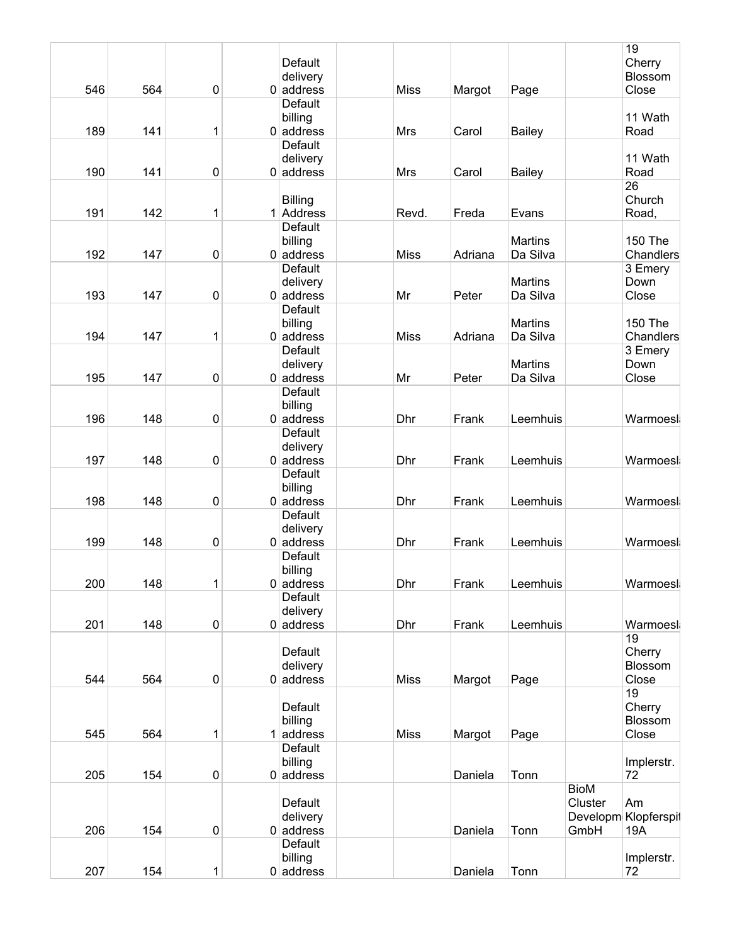|     |     |             |                |             |         |                |             | 19                   |
|-----|-----|-------------|----------------|-------------|---------|----------------|-------------|----------------------|
|     |     |             | Default        |             |         |                |             | Cherry               |
|     |     |             | delivery       |             |         |                |             | Blossom              |
| 546 | 564 | 0           | $0$ address    | <b>Miss</b> | Margot  | Page           |             | Close                |
|     |     |             | Default        |             |         |                |             |                      |
|     |     |             |                |             |         |                |             |                      |
|     |     |             | billing        |             |         |                |             | 11 Wath              |
| 189 | 141 | 1           | $0$ address    | Mrs         | Carol   | <b>Bailey</b>  |             | Road                 |
|     |     |             | Default        |             |         |                |             |                      |
|     |     |             | delivery       |             |         |                |             | 11 Wath              |
| 190 | 141 | 0           | $0$ address    | <b>Mrs</b>  | Carol   | <b>Bailey</b>  |             | Road                 |
|     |     |             |                |             |         |                |             | 26                   |
|     |     |             | <b>Billing</b> |             |         |                |             | Church               |
|     |     |             |                |             |         |                |             |                      |
| 191 | 142 | 1           | 1 Address      | Revd.       | Freda   | Evans          |             | Road,                |
|     |     |             | <b>Default</b> |             |         |                |             |                      |
|     |     |             | billing        |             |         | <b>Martins</b> |             | <b>150 The</b>       |
| 192 | 147 | 0           | $0$ address    | <b>Miss</b> | Adriana | Da Silva       |             | Chandlers            |
|     |     |             | Default        |             |         |                |             | 3 Emery              |
|     |     |             | delivery       |             |         | <b>Martins</b> |             | Down                 |
| 193 | 147 |             | $0$ address    | Mr          |         | Da Silva       |             |                      |
|     |     | 0           |                |             | Peter   |                |             | Close                |
|     |     |             | Default        |             |         |                |             |                      |
|     |     |             | billing        |             |         | <b>Martins</b> |             | <b>150 The</b>       |
| 194 | 147 | 1           | $0$ address    | <b>Miss</b> | Adriana | Da Silva       |             | Chandlers            |
|     |     |             | Default        |             |         |                |             | 3 Emery              |
|     |     |             | delivery       |             |         | <b>Martins</b> |             | Down                 |
| 195 | 147 | 0           | $0$ address    | Mr          | Peter   | Da Silva       |             | Close                |
|     |     |             |                |             |         |                |             |                      |
|     |     |             | <b>Default</b> |             |         |                |             |                      |
|     |     |             | billing        |             |         |                |             |                      |
| 196 | 148 | 0           | $0$ address    | Dhr         | Frank   | Leemhuis       |             | Warmoesl             |
|     |     |             | Default        |             |         |                |             |                      |
|     |     |             | delivery       |             |         |                |             |                      |
| 197 | 148 | 0           | $0$ address    | Dhr         | Frank   | Leemhuis       |             | Warmoesl             |
|     |     |             | Default        |             |         |                |             |                      |
|     |     |             |                |             |         |                |             |                      |
|     |     |             | billing        |             |         |                |             |                      |
| 198 | 148 | 0           | $0$ address    | Dhr         | Frank   | Leemhuis       |             | Warmoesl             |
|     |     |             | Default        |             |         |                |             |                      |
|     |     |             | delivery       |             |         |                |             |                      |
| 199 | 148 | 0           | $0$ address    | Dhr         | Frank   | Leemhuis       |             | Warmoesl             |
|     |     |             | Default        |             |         |                |             |                      |
|     |     |             | billing        |             |         |                |             |                      |
|     |     |             |                |             |         |                |             |                      |
| 200 | 148 | 1           | $0 $ address   | Dhr         | Frank   | Leemhuis       |             | Warmoesl             |
|     |     |             | <b>Default</b> |             |         |                |             |                      |
|     |     |             | delivery       |             |         |                |             |                      |
| 201 | 148 | $\pmb{0}$   | $0$ address    | Dhr         | Frank   | Leemhuis       |             | Warmoesl             |
|     |     |             |                |             |         |                |             | 19                   |
|     |     |             | Default        |             |         |                |             | Cherry               |
|     |     |             | delivery       |             |         |                |             | Blossom              |
| 544 | 564 | $\mathbf 0$ |                |             |         |                |             | Close                |
|     |     |             | $0$ address    | <b>Miss</b> | Margot  | Page           |             |                      |
|     |     |             |                |             |         |                |             | 19                   |
|     |     |             | Default        |             |         |                |             | Cherry               |
|     |     |             | billing        |             |         |                |             | Blossom              |
| 545 | 564 | 1           | $1$ address    | <b>Miss</b> | Margot  | Page           |             | Close                |
|     |     |             | Default        |             |         |                |             |                      |
|     |     |             | billing        |             |         |                |             | Implerstr.           |
|     |     |             |                |             |         |                |             |                      |
| 205 | 154 | $\pmb{0}$   | $0$ address    |             | Daniela | Tonn           |             | 72                   |
|     |     |             |                |             |         |                | <b>BioM</b> |                      |
|     |     |             | Default        |             |         |                | Cluster     | Am                   |
|     |     |             | delivery       |             |         |                |             | Developm Klopferspil |
| 206 | 154 | 0           | $0$ address    |             | Daniela | Tonn           | GmbH        | 19A                  |
|     |     |             | Default        |             |         |                |             |                      |
|     |     |             |                |             |         |                |             |                      |
|     |     |             | billing        |             |         |                |             | Implerstr.           |
| 207 | 154 | $\mathbf 1$ | $0$ address    |             | Daniela | Tonn           |             | 72                   |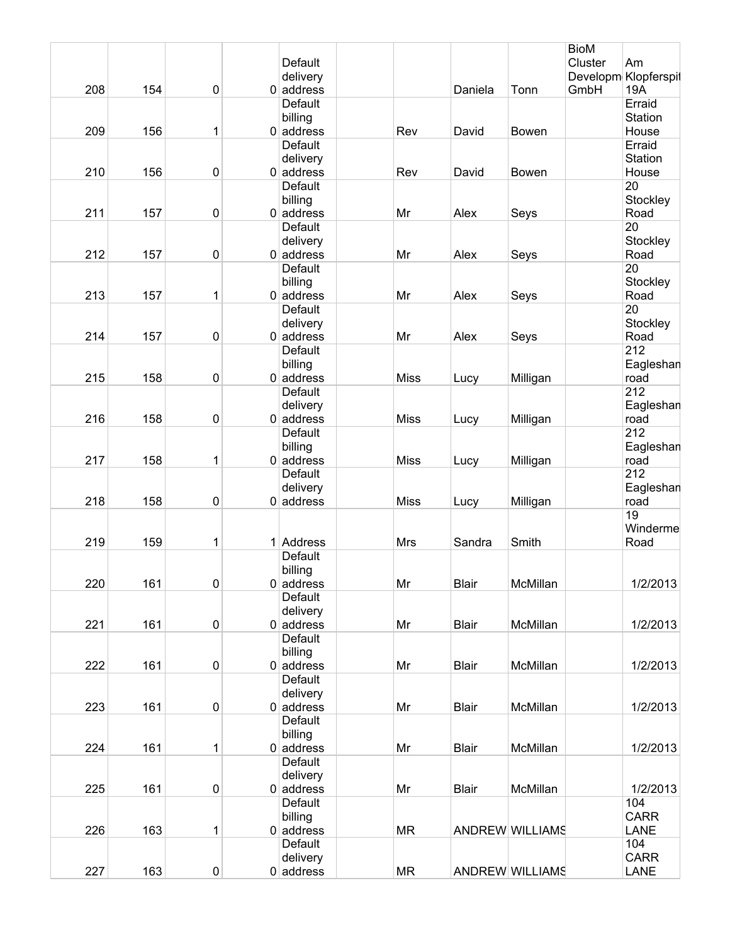|     |     |             |                         |             |              |                 | <b>BioM</b> |                      |
|-----|-----|-------------|-------------------------|-------------|--------------|-----------------|-------------|----------------------|
|     |     |             | Default                 |             |              |                 | Cluster     | Am                   |
|     |     |             | delivery                |             |              |                 |             | Developm Klopferspil |
| 208 | 154 | $\mathbf 0$ | $0$ address             |             | Daniela      | Tonn            | GmbH        | 19A                  |
|     |     |             | Default                 |             |              |                 |             | Erraid               |
|     |     |             | billing                 |             |              |                 |             | Station              |
| 209 | 156 | 1           | $0$ address             | Rev         | David        | Bowen           |             | House                |
|     |     |             | Default                 |             |              |                 |             | Erraid               |
|     |     |             | delivery                |             |              |                 |             | Station              |
| 210 | 156 | $\pmb{0}$   | $0$ address             | Rev         | David        | Bowen           |             | House                |
|     |     |             | <b>Default</b>          |             |              |                 |             | 20                   |
|     |     |             | billing                 |             |              |                 |             | Stockley             |
| 211 | 157 | $\pmb{0}$   | $0$ address             | Mr          | Alex         | Seys            |             | Road                 |
|     |     |             | Default                 |             |              |                 |             | 20                   |
|     |     |             | delivery                |             |              |                 |             | Stockley             |
| 212 | 157 | $\pmb{0}$   | $0$ address             | Mr          | Alex         | Seys            |             | Road                 |
|     |     |             | <b>Default</b>          |             |              |                 |             | 20                   |
|     |     |             | billing                 |             |              |                 |             | Stockley             |
| 213 | 157 | 1           | $0$ address             | Mr          | Alex         | Seys            |             | Road                 |
|     |     |             | Default                 |             |              |                 |             | 20                   |
| 214 |     | $\pmb{0}$   | delivery<br>$0$ address |             |              |                 |             | Stockley             |
|     | 157 |             | Default                 | Mr          | Alex         | Seys            |             | Road<br>212          |
|     |     |             | billing                 |             |              |                 |             | Eagleshan            |
| 215 | 158 | $\pmb{0}$   | $0$ address             | <b>Miss</b> |              |                 |             | road                 |
|     |     |             | Default                 |             | Lucy         | Milligan        |             | 212                  |
|     |     |             | delivery                |             |              |                 |             | Eagleshan            |
| 216 | 158 | $\pmb{0}$   | $0$ address             | <b>Miss</b> | Lucy         | Milligan        |             | road                 |
|     |     |             | Default                 |             |              |                 |             | 212                  |
|     |     |             | billing                 |             |              |                 |             | Eagleshan            |
| 217 | 158 | 1           | $0$ address             | <b>Miss</b> | Lucy         | Milligan        |             | road                 |
|     |     |             | Default                 |             |              |                 |             | 212                  |
|     |     |             | delivery                |             |              |                 |             | Eagleshan            |
| 218 | 158 | $\pmb{0}$   | $0$ address             | <b>Miss</b> | Lucy         | Milligan        |             | road                 |
|     |     |             |                         |             |              |                 |             | 19                   |
|     |     |             |                         |             |              |                 |             | Winderme             |
| 219 | 159 | 1           | 1 Address               | Mrs         | Sandra       | Smith           |             | Road                 |
|     |     |             | Default                 |             |              |                 |             |                      |
|     |     |             | billing                 |             |              |                 |             |                      |
| 220 | 161 | $\pmb{0}$   | $0$ address             | Mr          | <b>Blair</b> | McMillan        |             | 1/2/2013             |
|     |     |             | Default                 |             |              |                 |             |                      |
|     |     |             | delivery                |             |              |                 |             |                      |
| 221 | 161 | $\pmb{0}$   | $0$ address             | Mr          | <b>Blair</b> | McMillan        |             | 1/2/2013             |
|     |     |             | <b>Default</b>          |             |              |                 |             |                      |
|     |     |             | billing                 |             |              |                 |             |                      |
| 222 | 161 | $\pmb{0}$   | $0$ address             | Mr          | <b>Blair</b> | McMillan        |             | 1/2/2013             |
|     |     |             | Default                 |             |              |                 |             |                      |
|     |     |             | delivery                |             |              |                 |             |                      |
| 223 | 161 | $\pmb{0}$   | $0$ address             | Mr          | <b>Blair</b> | McMillan        |             | 1/2/2013             |
|     |     |             | Default                 |             |              |                 |             |                      |
|     |     |             | billing                 |             |              |                 |             |                      |
| 224 | 161 | 1           | $0$ address             | Mr          | <b>Blair</b> | McMillan        |             | 1/2/2013             |
|     |     |             | Default                 |             |              |                 |             |                      |
|     |     |             | delivery                |             |              |                 |             |                      |
| 225 | 161 | $\pmb{0}$   | $0$ address             | Mr          | <b>Blair</b> | McMillan        |             | 1/2/2013             |
|     |     |             | Default                 |             |              |                 |             | 104                  |
|     |     |             | billing                 |             |              |                 |             | <b>CARR</b>          |
| 226 | 163 | 1           | $0$ address             | <b>MR</b>   |              | ANDREW WILLIAMS |             | LANE                 |
|     |     |             | Default                 |             |              |                 |             | 104                  |
|     |     |             | delivery                |             |              |                 |             | <b>CARR</b>          |
| 227 | 163 | $\pmb{0}$   | $0$ address             | <b>MR</b>   |              | ANDREW WILLIAMS |             | LANE                 |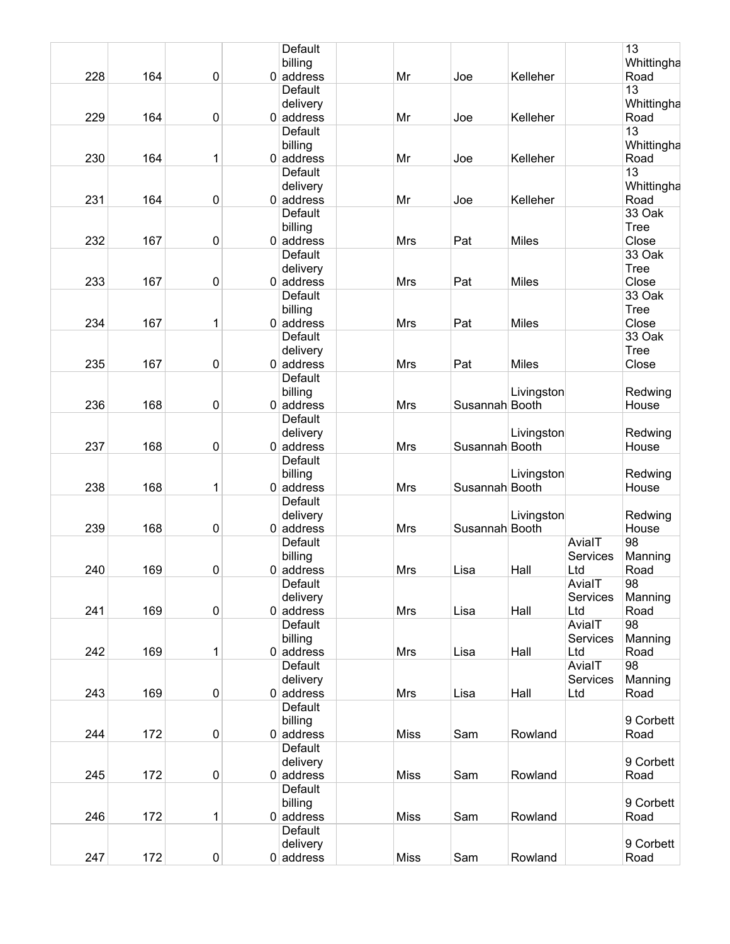|     |     |           | Default        |             |                |              |          | 13          |
|-----|-----|-----------|----------------|-------------|----------------|--------------|----------|-------------|
|     |     |           | billing        |             |                |              |          | Whittingha  |
| 228 | 164 | 0         | $0$ address    | Mr          | Joe            | Kelleher     |          | Road        |
|     |     |           | Default        |             |                |              |          | 13          |
|     |     |           | delivery       |             |                |              |          | Whittingha  |
| 229 | 164 | 0         | $0$ address    | Mr          | Joe            | Kelleher     |          | Road        |
|     |     |           | Default        |             |                |              |          | 13          |
|     |     |           | billing        |             |                |              |          | Whittingha  |
| 230 | 164 | 1         | $0$ address    | Mr          | Joe            | Kelleher     |          | Road        |
|     |     |           | Default        |             |                |              |          | 13          |
|     |     |           | delivery       |             |                |              |          | Whittingha  |
| 231 | 164 | 0         | $0$ address    | Mr          | Joe            | Kelleher     |          | Road        |
|     |     |           | Default        |             |                |              |          | 33 Oak      |
|     |     |           |                |             |                |              |          | Tree        |
| 232 | 167 |           | billing        | <b>Mrs</b>  |                | <b>Miles</b> |          | Close       |
|     |     | 0         | $0$ address    |             | Pat            |              |          |             |
|     |     |           | Default        |             |                |              |          | 33 Oak      |
|     |     |           | delivery       |             |                |              |          | <b>Tree</b> |
| 233 | 167 | 0         | $0$ address    | <b>Mrs</b>  | Pat            | <b>Miles</b> |          | Close       |
|     |     |           | Default        |             |                |              |          | 33 Oak      |
|     |     |           | billing        |             |                |              |          | <b>Tree</b> |
| 234 | 167 | 1         | $0$ address    | Mrs         | Pat            | <b>Miles</b> |          | Close       |
|     |     |           | Default        |             |                |              |          | 33 Oak      |
|     |     |           | delivery       |             |                |              |          | <b>Tree</b> |
| 235 | 167 | 0         | $0$ address    | Mrs         | Pat            | <b>Miles</b> |          | Close       |
|     |     |           | Default        |             |                |              |          |             |
|     |     |           | billing        |             |                | Livingston   |          | Redwing     |
| 236 | 168 | 0         | $0$ address    | <b>Mrs</b>  | Susannah Booth |              |          | House       |
|     |     |           | <b>Default</b> |             |                |              |          |             |
|     |     |           |                |             |                |              |          |             |
|     |     |           | delivery       |             |                | Livingston   |          | Redwing     |
| 237 | 168 | 0         | $0$ address    | <b>Mrs</b>  | Susannah Booth |              |          | House       |
|     |     |           | Default        |             |                |              |          |             |
|     |     |           | billing        |             |                | Livingston   |          | Redwing     |
| 238 | 168 | 1         | $0$ address    | <b>Mrs</b>  | Susannah Booth |              |          | House       |
|     |     |           | Default        |             |                |              |          |             |
|     |     |           | delivery       |             |                | Livingston   |          | Redwing     |
| 239 | 168 | 0         | $0$ address    | Mrs         | Susannah Booth |              |          | House       |
|     |     |           | Default        |             |                |              | AvialT   | 98          |
|     |     |           | billing        |             |                |              | Services | Manning     |
| 240 | 169 | 0         | $0$ address    | <b>Mrs</b>  | Lisa           | Hall         | Ltd      | Road        |
|     |     |           | Default        |             |                |              | AvialT   | 98          |
|     |     |           | delivery       |             |                |              | Services | Manning     |
| 241 | 169 | 0         | $0$ address    | Mrs         | Lisa           | Hall         | Ltd      | Road        |
|     |     |           | Default        |             |                |              | AvialT   | 98          |
|     |     |           |                |             |                |              |          |             |
|     |     |           | billing        |             |                |              | Services | Manning     |
| 242 | 169 | 1         | $0$ address    | Mrs         | Lisa           | Hall         | Ltd      | Road        |
|     |     |           | Default        |             |                |              | AvialT   | 98          |
|     |     |           | delivery       |             |                |              | Services | Manning     |
| 243 | 169 | $\pmb{0}$ | $0$ address    | <b>Mrs</b>  | Lisa           | Hall         | Ltd      | Road        |
|     |     |           | Default        |             |                |              |          |             |
|     |     |           | billing        |             |                |              |          | 9 Corbett   |
| 244 | 172 | 0         | $0$ address    | <b>Miss</b> | Sam            | Rowland      |          | Road        |
|     |     |           | Default        |             |                |              |          |             |
|     |     |           | delivery       |             |                |              |          | 9 Corbett   |
| 245 | 172 | 0         | $0$ address    | <b>Miss</b> | Sam            | Rowland      |          | Road        |
|     |     |           | Default        |             |                |              |          |             |
|     |     |           | billing        |             |                |              |          | 9 Corbett   |
| 246 | 172 | 1         | $0$ address    | <b>Miss</b> | Sam            | Rowland      |          | Road        |
|     |     |           | Default        |             |                |              |          |             |
|     |     |           |                |             |                |              |          |             |
|     |     |           | delivery       |             |                |              |          | 9 Corbett   |
| 247 | 172 | 0         | $0$ address    | <b>Miss</b> | Sam            | Rowland      |          | Road        |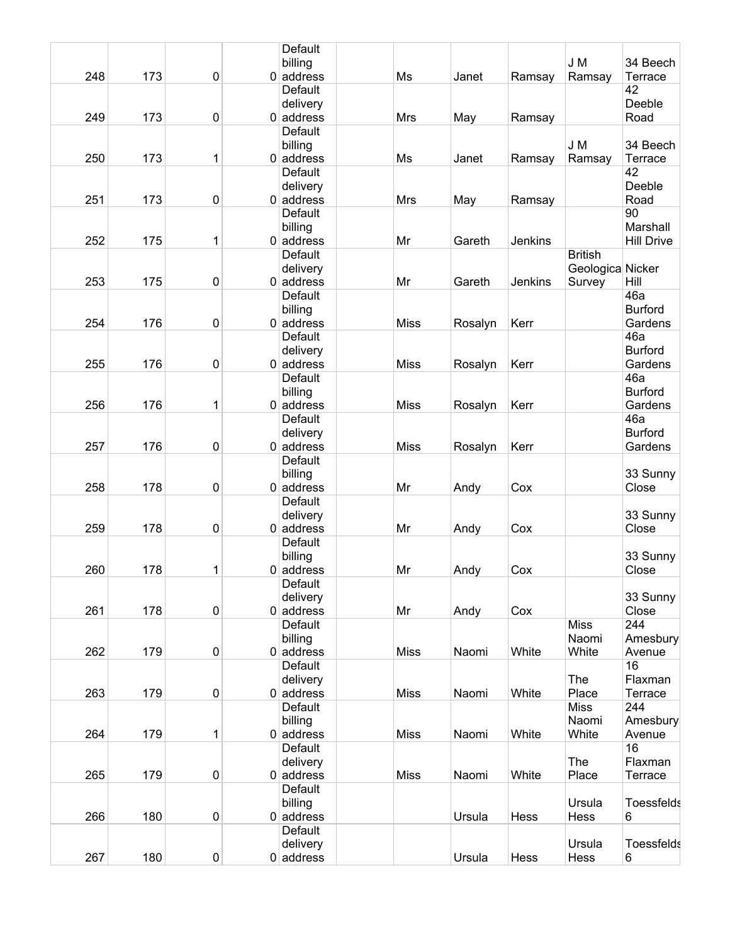|     |     |             | Default        |             |         |         |                  |                   |
|-----|-----|-------------|----------------|-------------|---------|---------|------------------|-------------------|
|     |     |             | billing        |             |         |         | J M              | 34 Beech          |
| 248 | 173 | $\mathbf 0$ | $0$ address    | Ms          | Janet   | Ramsay  | Ramsay           | Terrace           |
|     |     |             | Default        |             |         |         |                  | 42                |
|     |     |             | delivery       |             |         |         |                  | Deeble            |
| 249 | 173 | $\pmb{0}$   | $0$ address    | <b>Mrs</b>  | May     | Ramsay  |                  | Road              |
|     |     |             | Default        |             |         |         |                  |                   |
|     |     |             | billing        |             |         |         | J M              | 34 Beech          |
| 250 | 173 | 1           | $0$ address    | Ms          | Janet   | Ramsay  | Ramsay           | Terrace           |
|     |     |             | Default        |             |         |         |                  | 42                |
|     |     |             | delivery       |             |         |         |                  | Deeble            |
| 251 | 173 | $\pmb{0}$   | $0$ address    | Mrs         | May     | Ramsay  |                  | Road              |
|     |     |             | Default        |             |         |         |                  | 90                |
|     |     |             | billing        |             |         |         |                  | Marshall          |
| 252 | 175 | 1           | $0$ address    | Mr          | Gareth  | Jenkins |                  | <b>Hill Drive</b> |
|     |     |             | Default        |             |         |         | <b>British</b>   |                   |
|     |     |             | delivery       |             |         |         | Geologica Nicker |                   |
| 253 | 175 | $\pmb{0}$   | $0$ address    | Mr          | Gareth  | Jenkins | Survey           | Hill              |
|     |     |             | Default        |             |         |         |                  | 46a               |
|     |     |             | billing        |             |         |         |                  | <b>Burford</b>    |
| 254 | 176 | 0           | $0$ address    | <b>Miss</b> |         | Kerr    |                  | Gardens           |
|     |     |             | <b>Default</b> |             | Rosalyn |         |                  | 46a               |
|     |     |             |                |             |         |         |                  |                   |
|     |     |             | delivery       |             |         |         |                  | <b>Burford</b>    |
| 255 | 176 | $\pmb{0}$   | $0$ address    | <b>Miss</b> | Rosalyn | Kerr    |                  | Gardens           |
|     |     |             | Default        |             |         |         |                  | 46a               |
|     |     |             | billing        |             |         |         |                  | <b>Burford</b>    |
| 256 | 176 | 1           | $0$ address    | <b>Miss</b> | Rosalyn | Kerr    |                  | Gardens           |
|     |     |             | Default        |             |         |         |                  | 46a               |
|     |     |             | delivery       |             |         |         |                  | <b>Burford</b>    |
| 257 | 176 | $\pmb{0}$   | $0$ address    | <b>Miss</b> | Rosalyn | Kerr    |                  | Gardens           |
|     |     |             | Default        |             |         |         |                  |                   |
|     |     |             | billing        |             |         |         |                  | 33 Sunny          |
| 258 | 178 | 0           | $0$ address    | Mr          | Andy    | Cox     |                  | Close             |
|     |     |             | Default        |             |         |         |                  |                   |
|     |     |             | delivery       |             |         |         |                  | 33 Sunny          |
| 259 | 178 | $\pmb{0}$   | $0$ address    | Mr          | Andy    | Cox     |                  | Close             |
|     |     |             | Default        |             |         |         |                  |                   |
|     |     |             | billing        |             |         |         |                  | 33 Sunny          |
| 260 | 178 | 1           | $0$ address    | Mr          | Andy    | Cox     |                  | Close             |
|     |     |             | <b>Default</b> |             |         |         |                  |                   |
|     |     |             | delivery       |             |         |         |                  | 33 Sunny          |
| 261 | 178 | $\pmb{0}$   | $0$ address    | Mr          | Andy    | Cox     |                  | Close             |
|     |     |             | Default        |             |         |         | <b>Miss</b>      | 244               |
|     |     |             | billing        |             |         |         | Naomi            | Amesbury          |
| 262 | 179 | 0           | $0$ address    | <b>Miss</b> | Naomi   | White   | White            | Avenue            |
|     |     |             | Default        |             |         |         |                  | 16                |
|     |     |             | delivery       |             |         |         | The              | Flaxman           |
| 263 | 179 | $\pmb{0}$   | $0$ address    | <b>Miss</b> | Naomi   | White   | Place            | Terrace           |
|     |     |             | Default        |             |         |         | <b>Miss</b>      | 244               |
|     |     |             | billing        |             |         |         | Naomi            | Amesbury          |
| 264 | 179 | 1           | $0$ address    | <b>Miss</b> | Naomi   | White   | White            | Avenue            |
|     |     |             | Default        |             |         |         |                  | 16                |
|     |     |             |                |             |         |         |                  |                   |
|     |     |             | delivery       |             |         |         | The              | Flaxman           |
| 265 | 179 | $\pmb{0}$   | $0$ address    | <b>Miss</b> | Naomi   | White   | Place            | Terrace           |
|     |     |             | Default        |             |         |         |                  |                   |
|     |     |             | billing        |             |         |         | Ursula           | <b>Toessfelds</b> |
| 266 | 180 | $\mathbf 0$ | $0$ address    |             | Ursula  | Hess    | Hess             | 6                 |
|     |     |             | Default        |             |         |         |                  |                   |
|     |     |             | delivery       |             |         |         | Ursula           | <b>Toessfelds</b> |
| 267 | 180 | $\pmb{0}$   | $0$ address    |             | Ursula  | Hess    | Hess             | 6                 |
|     |     |             |                |             |         |         |                  |                   |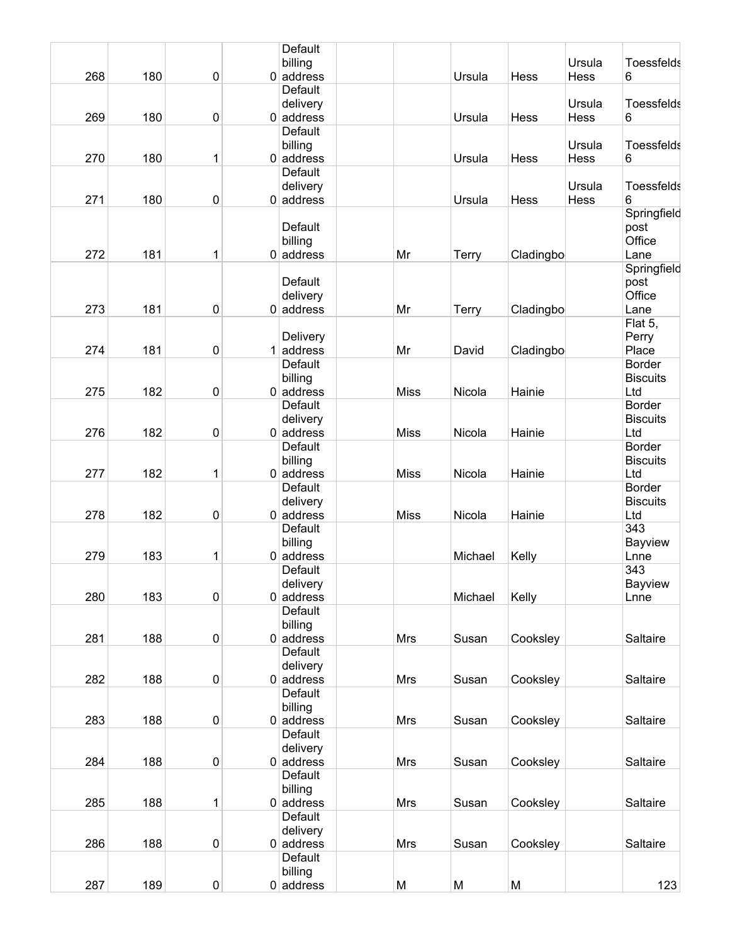|     |     |                  | Default                |             |              |           |                |                        |
|-----|-----|------------------|------------------------|-------------|--------------|-----------|----------------|------------------------|
| 268 | 180 | $\mathbf 0$      | billing<br>$0$ address |             | Ursula       | Hess      | Ursula<br>Hess | <b>Toessfelds</b><br>6 |
|     |     |                  | <b>Default</b>         |             |              |           |                |                        |
|     |     |                  | delivery               |             |              |           | Ursula         | <b>Toessfelds</b>      |
| 269 | 180 | $\boldsymbol{0}$ | $0$ address            |             | Ursula       | Hess      | Hess           | 6                      |
|     |     |                  | Default                |             |              |           |                |                        |
|     |     |                  | billing                |             |              |           | Ursula         | <b>Toessfelds</b>      |
| 270 | 180 | 1                | $0$ address            |             | Ursula       | Hess      | Hess           | 6                      |
|     |     |                  | Default                |             |              |           |                |                        |
|     |     |                  |                        |             |              |           |                | <b>Toessfelds</b>      |
|     |     |                  | delivery               |             |              |           | Ursula         |                        |
| 271 | 180 | $\boldsymbol{0}$ | $0$ address            |             | Ursula       | Hess      | Hess           | 6                      |
|     |     |                  |                        |             |              |           |                | Springfield            |
|     |     |                  | Default                |             |              |           |                | post                   |
|     |     |                  | billing                |             |              |           |                | Office                 |
| 272 | 181 | 1                | $0$ address            | Mr          | <b>Terry</b> | Cladingbo |                | Lane                   |
|     |     |                  |                        |             |              |           |                | Springfield            |
|     |     |                  | Default                |             |              |           |                | post                   |
|     |     |                  | delivery               |             |              |           |                | Office                 |
| 273 | 181 | $\pmb{0}$        | $0$ address            | Mr          | <b>Terry</b> | Cladingbo |                | Lane                   |
|     |     |                  |                        |             |              |           |                | Flat 5,                |
|     |     |                  | Delivery               |             |              |           |                | Perry                  |
| 274 | 181 | 0                | $1$ address            | Mr          | David        | Cladingbo |                | Place                  |
|     |     |                  | Default                |             |              |           |                | <b>Border</b>          |
|     |     |                  |                        |             |              |           |                |                        |
|     |     |                  | billing                |             |              |           |                | <b>Biscuits</b>        |
| 275 | 182 | $\pmb{0}$        | $0$ address            | <b>Miss</b> | Nicola       | Hainie    |                | Ltd                    |
|     |     |                  | Default                |             |              |           |                | <b>Border</b>          |
|     |     |                  | delivery               |             |              |           |                | <b>Biscuits</b>        |
| 276 | 182 | $\mathbf 0$      | $0$ address            | <b>Miss</b> | Nicola       | Hainie    |                | Ltd                    |
|     |     |                  | Default                |             |              |           |                | <b>Border</b>          |
|     |     |                  | billing                |             |              |           |                | <b>Biscuits</b>        |
| 277 | 182 | 1                | $0$ address            | <b>Miss</b> | Nicola       | Hainie    |                | Ltd                    |
|     |     |                  | Default                |             |              |           |                | <b>Border</b>          |
|     |     |                  | delivery               |             |              |           |                | <b>Biscuits</b>        |
| 278 | 182 | 0                | $0$ address            | <b>Miss</b> | Nicola       | Hainie    |                | Ltd                    |
|     |     |                  | Default                |             |              |           |                | 343                    |
|     |     |                  | billing                |             |              |           |                | Bayview                |
| 279 | 183 | 1                | $0$ address            |             | Michael      | Kelly     |                | Lnne                   |
|     |     |                  | Default                |             |              |           |                | 343                    |
|     |     |                  |                        |             |              |           |                |                        |
|     |     |                  | delivery               |             |              |           |                | Bayview                |
| 280 | 183 | 0                | $0$ address            |             | Michael      | Kelly     |                | Lnne                   |
|     |     |                  | Default                |             |              |           |                |                        |
|     |     |                  | billing                |             |              |           |                |                        |
| 281 | 188 | $\pmb{0}$        | $0$ address            | <b>Mrs</b>  | Susan        | Cooksley  |                | Saltaire               |
|     |     |                  | Default                |             |              |           |                |                        |
|     |     |                  | delivery               |             |              |           |                |                        |
| 282 | 188 | $\boldsymbol{0}$ | $0$ address            | <b>Mrs</b>  | Susan        | Cooksley  |                | Saltaire               |
|     |     |                  | Default                |             |              |           |                |                        |
|     |     |                  | billing                |             |              |           |                |                        |
| 283 | 188 | $\pmb{0}$        | $0$ address            | <b>Mrs</b>  | Susan        | Cooksley  |                | Saltaire               |
|     |     |                  | Default                |             |              |           |                |                        |
|     |     |                  | delivery               |             |              |           |                |                        |
| 284 | 188 | $\pmb{0}$        | $0$ address            | <b>Mrs</b>  | Susan        | Cooksley  |                | Saltaire               |
|     |     |                  | Default                |             |              |           |                |                        |
|     |     |                  |                        |             |              |           |                |                        |
|     |     |                  | billing                |             |              |           |                |                        |
| 285 | 188 | 1                | $0$ address            | <b>Mrs</b>  | Susan        | Cooksley  |                | Saltaire               |
|     |     |                  | Default                |             |              |           |                |                        |
|     |     |                  | delivery               |             |              |           |                |                        |
| 286 | 188 | $\pmb{0}$        | $0$ address            | <b>Mrs</b>  | Susan        | Cooksley  |                | Saltaire               |
|     |     |                  | Default                |             |              |           |                |                        |
|     |     |                  | billing                |             |              |           |                |                        |
| 287 | 189 | $\pmb{0}$        | $0$ address            | M           | M            | M         |                | 123                    |
|     |     |                  |                        |             |              |           |                |                        |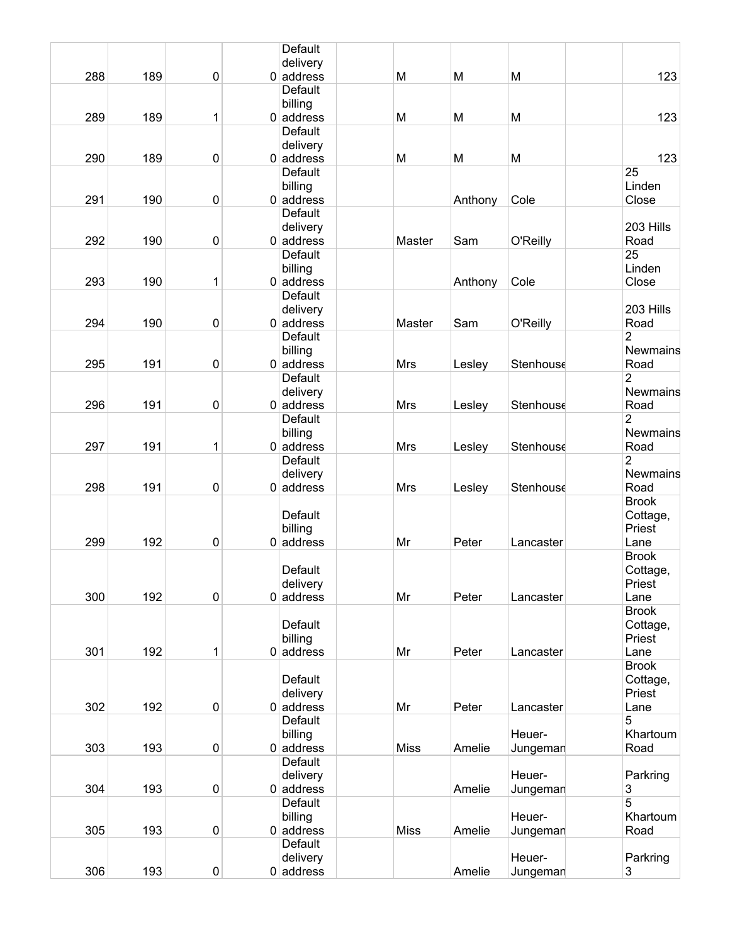|     |     |             | Default                       |             |         |           |                      |
|-----|-----|-------------|-------------------------------|-------------|---------|-----------|----------------------|
|     |     |             | delivery                      |             |         |           |                      |
| 288 | 189 | $\mathbf 0$ | $0$ address<br>Default        | M           | M       | M         | 123                  |
|     |     |             | billing                       |             |         |           |                      |
| 289 | 189 | 1           | $0$ address                   | M           | M       | M         | 123                  |
|     |     |             | <b>Default</b>                |             |         |           |                      |
|     |     |             | delivery                      |             |         |           |                      |
| 290 | 189 | 0           | $0$ address                   | M           | M       | M         | 123                  |
|     |     |             | <b>Default</b>                |             |         |           | 25                   |
|     |     |             | billing                       |             |         |           | Linden               |
| 291 | 190 | $\pmb{0}$   | $0$ address                   |             | Anthony | Cole      | Close                |
|     |     |             | Default                       |             |         |           |                      |
| 292 |     |             | delivery                      |             |         |           | 203 Hills            |
|     | 190 | $\pmb{0}$   | $0$ address<br><b>Default</b> | Master      | Sam     | O'Reilly  | Road<br>25           |
|     |     |             | billing                       |             |         |           | Linden               |
| 293 | 190 | 1           | $0$ address                   |             | Anthony | Cole      | Close                |
|     |     |             | <b>Default</b>                |             |         |           |                      |
|     |     |             | delivery                      |             |         |           | 203 Hills            |
| 294 | 190 | 0           | $0$ address                   | Master      | Sam     | O'Reilly  | Road                 |
|     |     |             | <b>Default</b>                |             |         |           | 2                    |
|     |     |             | billing                       |             |         |           | Newmains             |
| 295 | 191 | $\pmb{0}$   | $0$ address                   | <b>Mrs</b>  | Lesley  | Stenhouse | Road                 |
|     |     |             | Default                       |             |         |           | $\overline{2}$       |
|     |     |             | delivery                      |             |         |           | Newmains             |
| 296 | 191 | $\mathbf 0$ | $0$ address                   | <b>Mrs</b>  | Lesley  | Stenhouse | Road                 |
|     |     |             | Default                       |             |         |           | 2<br>Newmains        |
| 297 | 191 | 1           | billing<br>$0$ address        | Mrs         | Lesley  | Stenhouse | Road                 |
|     |     |             | Default                       |             |         |           | 2                    |
|     |     |             | delivery                      |             |         |           | Newmains             |
| 298 | 191 | 0           | $0$ address                   | Mrs         | Lesley  | Stenhouse | Road                 |
|     |     |             |                               |             |         |           | <b>Brook</b>         |
|     |     |             | Default                       |             |         |           | Cottage,             |
|     |     |             | billing                       |             |         |           | Priest               |
| 299 | 192 | $\pmb{0}$   | $0$ address                   | Mr          | Peter   | Lancaster | Lane                 |
|     |     |             |                               |             |         |           | <b>Brook</b>         |
|     |     |             | Default                       |             |         |           | Cottage,             |
|     |     |             | delivery                      |             |         |           | Priest               |
| 300 | 192 | $\mathbf 0$ | $0$ address                   | Mr          | Peter   | Lancaster | Lane<br><b>Brook</b> |
|     |     |             | Default                       |             |         |           | Cottage,             |
|     |     |             | billing                       |             |         |           | Priest               |
| 301 | 192 | 1           | $0$ address                   | Mr          | Peter   | Lancaster | Lane                 |
|     |     |             |                               |             |         |           | <b>Brook</b>         |
|     |     |             | Default                       |             |         |           | Cottage,             |
|     |     |             | delivery                      |             |         |           | Priest               |
| 302 | 192 | $\pmb{0}$   | $0$ address                   | Mr          | Peter   | Lancaster | Lane                 |
|     |     |             | Default                       |             |         |           | 5                    |
|     |     |             | billing                       |             |         | Heuer-    | Khartoum             |
| 303 | 193 | $\pmb{0}$   | $0$ address                   | <b>Miss</b> | Amelie  | Jungeman  | Road                 |
|     |     |             | Default                       |             |         |           |                      |
| 304 | 193 | $\pmb{0}$   | delivery<br>$0$ address       |             |         | Heuer-    | Parkring             |
|     |     |             | Default                       |             | Amelie  | Jungeman  | 3<br>5               |
|     |     |             | billing                       |             |         | Heuer-    | Khartoum             |
| 305 | 193 | $\pmb{0}$   | $0$ address                   | <b>Miss</b> | Amelie  | Jungeman  | Road                 |
|     |     |             | Default                       |             |         |           |                      |
|     |     |             | delivery                      |             |         | Heuer-    | Parkring             |
| 306 | 193 | $\pmb{0}$   | $0$ address                   |             | Amelie  | Jungeman  | 3                    |
|     |     |             |                               |             |         |           |                      |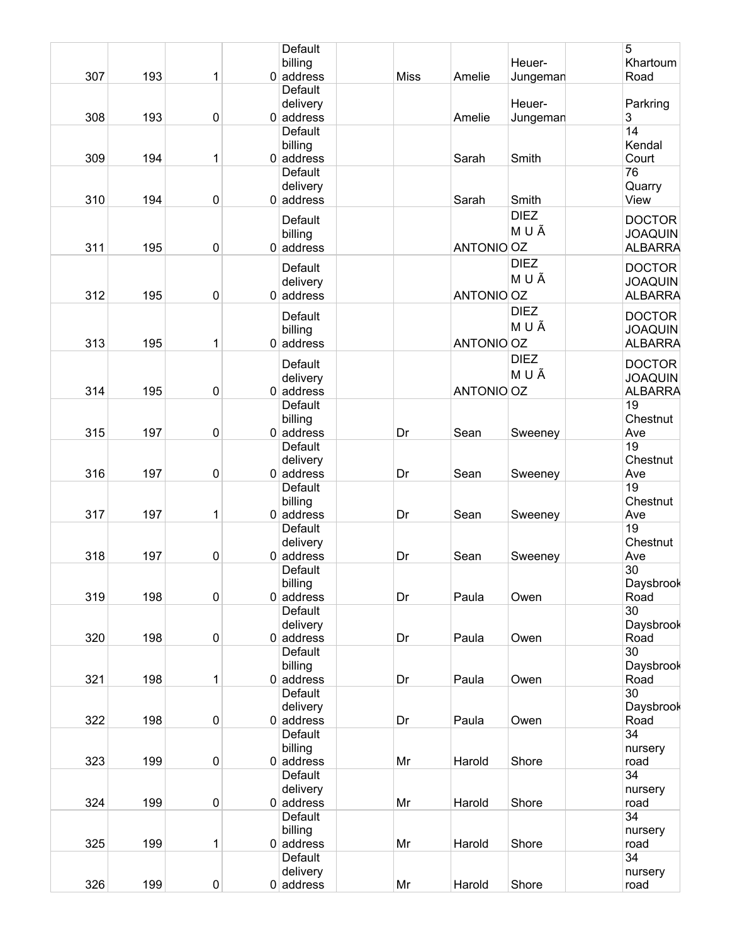| 307 | 193 | 1           | Default<br>billing<br>$0$ address  | <b>Miss</b> | Amelie     | Heuer-<br>Jungeman   | 5<br>Khartoum<br>Road                             |
|-----|-----|-------------|------------------------------------|-------------|------------|----------------------|---------------------------------------------------|
| 308 | 193 | $\pmb{0}$   | Default<br>delivery<br>$0$ address |             | Amelie     | Heuer-<br>Jungeman   | Parkring<br>3                                     |
| 309 | 194 | 1           | Default<br>billing<br>$0$ address  |             | Sarah      | Smith                | 14<br>Kendal<br>Court                             |
| 310 | 194 | $\pmb{0}$   | Default<br>delivery<br>$0$ address |             | Sarah      | Smith                | 76<br>Quarry<br>View                              |
| 311 | 195 | $\pmb{0}$   | Default<br>billing<br>$0$ address  |             | ANTONIO OZ | <b>DIEZ</b><br>M U Ã | <b>DOCTOR</b><br><b>JOAQUIN</b><br><b>ALBARRA</b> |
| 312 | 195 | $\pmb{0}$   | Default<br>delivery<br>$0$ address |             | ANTONIO OZ | <b>DIEZ</b><br>MUÃ   | <b>DOCTOR</b><br><b>JOAQUIN</b><br><b>ALBARRA</b> |
| 313 | 195 | 1           | Default<br>billing<br>$0$ address  |             | ANTONIO OZ | <b>DIEZ</b><br>MUÃ   | <b>DOCTOR</b><br><b>JOAQUIN</b><br><b>ALBARRA</b> |
| 314 | 195 | $\pmb{0}$   | Default<br>delivery<br>$0$ address |             | ANTONIO OZ | <b>DIEZ</b><br>M U Ã | <b>DOCTOR</b><br><b>JOAQUIN</b><br><b>ALBARRA</b> |
| 315 | 197 | $\pmb{0}$   | Default<br>billing<br>$0$ address  | Dr          | Sean       | Sweeney              | 19<br>Chestnut<br>Ave                             |
| 316 | 197 | $\pmb{0}$   | Default<br>delivery<br>$0$ address | Dr          | Sean       | Sweeney              | 19<br>Chestnut<br>Ave                             |
| 317 | 197 | 1           | Default<br>billing<br>$0$ address  | Dr          | Sean       | Sweeney              | 19<br>Chestnut<br>Ave                             |
| 318 | 197 | $\pmb{0}$   | Default<br>delivery<br>$0$ address | Dr          | Sean       | Sweeney              | 19<br>Chestnut<br>Ave                             |
| 319 | 198 | $\mathbf 0$ | Default<br>billing<br>$0$ address  | Dr          | Paula      | Owen                 | 30<br>Daysbrook<br>Road                           |
| 320 | 198 | $\pmb{0}$   | Default<br>delivery<br>$0$ address | Dr          | Paula      | Owen                 | 30<br>Daysbrook<br>Road                           |
| 321 | 198 | 1           | Default<br>billing<br>$0$ address  | Dr          | Paula      | Owen                 | 30<br>Daysbrook<br>Road                           |
| 322 | 198 | $\pmb{0}$   | Default<br>delivery<br>$0$ address | Dr          | Paula      | Owen                 | 30<br>Daysbrook<br>Road                           |
| 323 | 199 | $\pmb{0}$   | Default<br>billing<br>$0$ address  | Mr          | Harold     | Shore                | 34<br>nursery<br>road                             |
| 324 | 199 | $\pmb{0}$   | Default<br>delivery<br>$0$ address | Mr          | Harold     | Shore                | 34<br>nursery<br>road                             |
| 325 | 199 | 1           | Default<br>billing<br>$0$ address  | Mr          | Harold     | Shore                | 34<br>nursery<br>road                             |
| 326 | 199 | 0           | Default<br>delivery<br>$0$ address | Mr          | Harold     | Shore                | 34<br>nursery<br>road                             |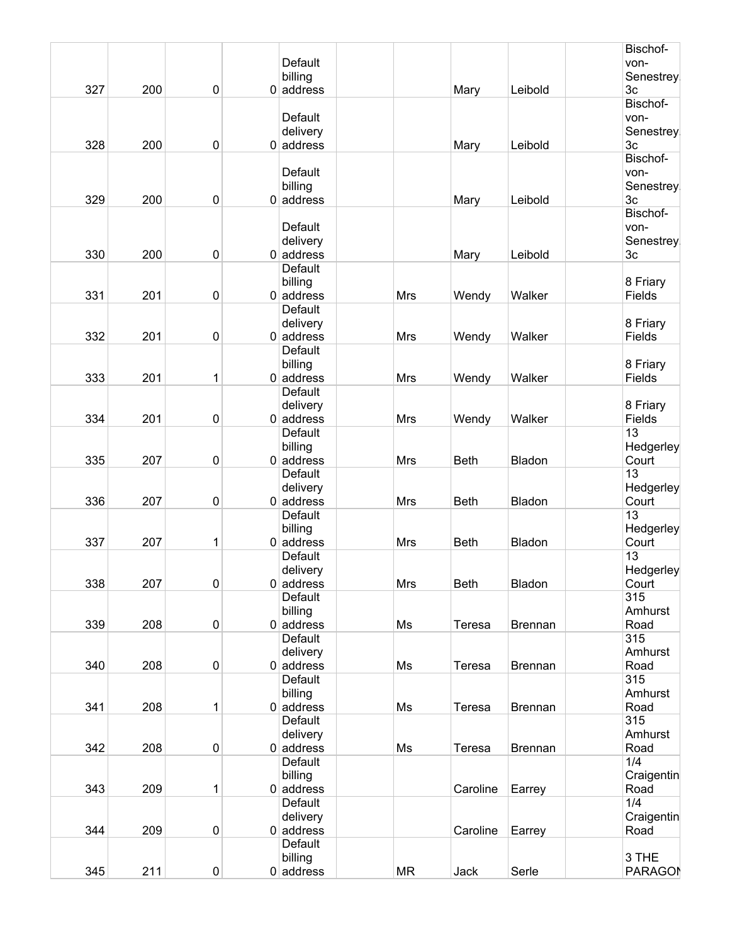|     |     |           |                |            |             |                | Bischof-       |
|-----|-----|-----------|----------------|------------|-------------|----------------|----------------|
|     |     |           | Default        |            |             |                | von-           |
|     |     |           | billing        |            |             |                | Senestrey      |
| 327 | 200 | 0         | $0$ address    |            | Mary        | Leibold        | 3 <sub>c</sub> |
|     |     |           |                |            |             |                | Bischof-       |
|     |     |           | Default        |            |             |                | von-           |
|     |     |           | delivery       |            |             |                | Senestrey      |
| 328 | 200 |           |                |            |             |                | 3c             |
|     |     | 0         | $0$ address    |            | Mary        | Leibold        |                |
|     |     |           |                |            |             |                | Bischof-       |
|     |     |           | Default        |            |             |                | von-           |
|     |     |           | billing        |            |             |                | Senestrey      |
| 329 | 200 | 0         | $0$ address    |            | Mary        | Leibold        | 3c             |
|     |     |           |                |            |             |                | Bischof-       |
|     |     |           | Default        |            |             |                | von-           |
|     |     |           | delivery       |            |             |                | Senestrey      |
| 330 | 200 | 0         | $0$ address    |            | Mary        | Leibold        | 3 <sub>c</sub> |
|     |     |           | Default        |            |             |                |                |
|     |     |           |                |            |             |                |                |
|     |     |           | billing        |            |             |                | 8 Friary       |
| 331 | 201 | 0         | $0$ address    | <b>Mrs</b> | Wendy       | Walker         | Fields         |
|     |     |           | Default        |            |             |                |                |
|     |     |           | delivery       |            |             |                | 8 Friary       |
| 332 | 201 | 0         | $0$ address    | Mrs        | Wendy       | Walker         | Fields         |
|     |     |           | <b>Default</b> |            |             |                |                |
|     |     |           | billing        |            |             |                | 8 Friary       |
| 333 | 201 | 1         | $0$ address    | Mrs        | Wendy       | Walker         | Fields         |
|     |     |           | Default        |            |             |                |                |
|     |     |           |                |            |             |                | 8 Friary       |
|     |     |           | delivery       |            |             |                |                |
| 334 | 201 | 0         | $0$ address    | Mrs        | Wendy       | Walker         | Fields         |
|     |     |           | Default        |            |             |                | 13             |
|     |     |           | billing        |            |             |                | Hedgerley      |
| 335 | 207 | 0         | $0$ address    | Mrs        | <b>Beth</b> | Bladon         | Court          |
|     |     |           | Default        |            |             |                | 13             |
|     |     |           | delivery       |            |             |                | Hedgerley      |
| 336 | 207 | 0         | $0$ address    | Mrs        | <b>Beth</b> | Bladon         | Court          |
|     |     |           | Default        |            |             |                | 13             |
|     |     |           | billing        |            |             |                | Hedgerley      |
| 337 |     | 1         | $0$ address    | Mrs        | <b>Beth</b> | Bladon         |                |
|     | 207 |           |                |            |             |                | Court          |
|     |     |           | Default        |            |             |                | 13             |
|     |     |           | delivery       |            |             |                | Hedgerley      |
| 338 | 207 | $\pmb{0}$ | $0$ address    | <b>Mrs</b> | <b>Beth</b> | Bladon         | Court          |
|     |     |           | Default        |            |             |                | 315            |
|     |     |           | billing        |            |             |                | Amhurst        |
| 339 | 208 | $\pmb{0}$ | $0$ address    | Ms         | Teresa      | <b>Brennan</b> | Road           |
|     |     |           | Default        |            |             |                | 315            |
|     |     |           | delivery       |            |             |                | Amhurst        |
| 340 | 208 | 0         | $0$ address    | Ms         | Teresa      | <b>Brennan</b> | Road           |
|     |     |           |                |            |             |                | 315            |
|     |     |           | Default        |            |             |                |                |
|     |     |           | billing        |            |             |                | Amhurst        |
| 341 | 208 | 1         | $0$ address    | Ms         | Teresa      | <b>Brennan</b> | Road           |
|     |     |           | Default        |            |             |                | 315            |
|     |     |           | delivery       |            |             |                | Amhurst        |
| 342 | 208 | $\pmb{0}$ | $0$ address    | Ms         | Teresa      | Brennan        | Road           |
|     |     |           | Default        |            |             |                | 1/4            |
|     |     |           | billing        |            |             |                | Craigentin     |
| 343 | 209 | 1         | $0$ address    |            | Caroline    |                | Road           |
|     |     |           |                |            |             | Earrey         |                |
|     |     |           | Default        |            |             |                | 1/4            |
|     |     |           | delivery       |            |             |                | Craigentin     |
| 344 | 209 | 0         | $0$ address    |            | Caroline    | Earrey         | Road           |
|     |     |           | Default        |            |             |                |                |
|     |     |           | billing        |            |             |                | 3 THE          |
| 345 | 211 | $\pmb{0}$ | $0$ address    | <b>MR</b>  | Jack        | Serle          | <b>PARAGON</b> |
|     |     |           |                |            |             |                |                |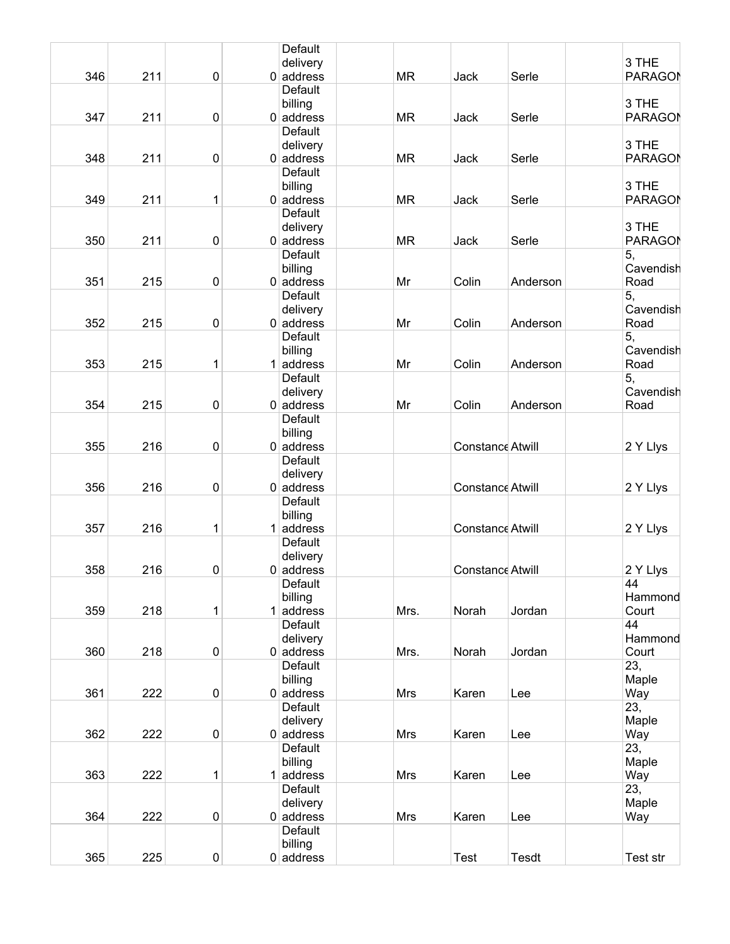|     |            |           | Default                 |           |                         |              |                |
|-----|------------|-----------|-------------------------|-----------|-------------------------|--------------|----------------|
|     |            |           | delivery                |           |                         |              | 3 THE          |
|     | 346<br>211 | 0         | $0$ address             | <b>MR</b> | Jack                    | Serle        | <b>PARAGON</b> |
|     |            |           | Default                 |           |                         |              |                |
|     |            |           | billing                 |           |                         |              | 3 THE          |
|     | 347<br>211 | $\pmb{0}$ | $0$ address             | <b>MR</b> | Jack                    | Serle        | <b>PARAGON</b> |
|     |            |           | Default                 |           |                         |              |                |
|     |            |           | delivery                |           |                         |              | 3 THE          |
|     | 211<br>348 | 0         | $0$ address             | <b>MR</b> | Jack                    | Serle        | <b>PARAGON</b> |
|     |            |           | Default                 |           |                         |              |                |
|     |            |           | billing                 |           |                         |              | 3 THE          |
|     | 349<br>211 | 1         | $0$ address             | <b>MR</b> | Jack                    | Serle        | <b>PARAGON</b> |
|     |            |           | Default                 |           |                         |              |                |
|     |            |           | delivery                |           |                         |              | 3 THE          |
|     | 350<br>211 | $\pmb{0}$ | $0$ address             | <b>MR</b> | Jack                    | Serle        | <b>PARAGON</b> |
|     |            |           | <b>Default</b>          |           |                         |              | 5,             |
|     |            |           | billing                 |           |                         |              | Cavendish      |
| 351 | 215        | $\pmb{0}$ | $0$ address             | Mr        | Colin                   | Anderson     | Road           |
|     |            |           | Default                 |           |                         |              | 5,             |
|     |            |           | delivery                |           |                         |              | Cavendish      |
|     | 352<br>215 | 0         | $0$ address             | Mr        | Colin                   | Anderson     | Road           |
|     |            |           | Default                 |           |                         |              | 5,             |
|     |            |           | billing                 |           |                         |              | Cavendish      |
|     | 353<br>215 | 1         | $1$ address             | Mr        | Colin                   | Anderson     | Road           |
|     |            |           | Default                 |           |                         |              | 5,             |
|     |            |           | delivery                |           |                         |              | Cavendish      |
|     | 354<br>215 | $\pmb{0}$ | $0$ address             | Mr        | Colin                   | Anderson     | Road           |
|     |            |           | Default                 |           |                         |              |                |
|     |            |           | billing                 |           |                         |              |                |
|     | 355<br>216 | $\pmb{0}$ | $0$ address             |           | Constance Atwill        |              | 2 Y Llys       |
|     |            |           | Default                 |           |                         |              |                |
|     |            |           | delivery                |           |                         |              |                |
|     | 356<br>216 | 0         | $0$ address             |           | Constance Atwill        |              | 2 Y Llys       |
|     |            |           | Default                 |           |                         |              |                |
|     |            |           | billing                 |           |                         |              |                |
|     | 357<br>216 | 1         | $1$ address             |           | <b>Constance Atwill</b> |              | 2 Y Llys       |
|     |            |           | Default                 |           |                         |              |                |
|     |            |           | delivery                |           |                         |              |                |
|     | 358<br>216 | 0         | $0$ address             |           | Constance Atwill        |              | 2 Y Llys       |
|     |            |           | Default                 |           |                         |              | 44             |
|     |            |           | billing                 |           |                         |              | Hammond        |
|     | 359<br>218 | 1         | $1$ address             | Mrs.      | Norah                   | Jordan       | Court          |
|     |            |           | Default                 |           |                         |              | 44             |
|     |            |           | delivery                |           |                         |              | Hammond        |
|     | 360<br>218 | 0         | $0$ address             | Mrs.      | Norah                   | Jordan       | Court          |
|     |            |           | Default                 |           |                         |              | 23,            |
|     |            |           | billing                 |           |                         |              | Maple          |
|     | 361<br>222 | $\pmb{0}$ | $0$ address             | Mrs       | Karen                   | Lee          | Way            |
|     |            |           | Default                 |           |                         |              | 23,            |
|     |            |           | delivery                |           |                         |              | Maple          |
|     | 362<br>222 | 0         | $0$ address             | Mrs       | Karen                   | Lee          | Way            |
|     |            |           | Default                 |           |                         |              | 23,            |
|     |            |           | billing                 |           |                         |              | Maple          |
|     | 363<br>222 | 1         | $1$ address<br>Default  | Mrs       | Karen                   | Lee          | Way            |
|     |            |           |                         |           |                         |              | 23,            |
|     | 364        |           | delivery<br>$0$ address |           |                         |              | Maple          |
|     | 222        | 0         | Default                 | Mrs       | Karen                   | Lee          | Way            |
|     |            |           | billing                 |           |                         |              |                |
|     | 365<br>225 | $\pmb{0}$ | $0$ address             |           | <b>Test</b>             | <b>Tesdt</b> | Test str       |
|     |            |           |                         |           |                         |              |                |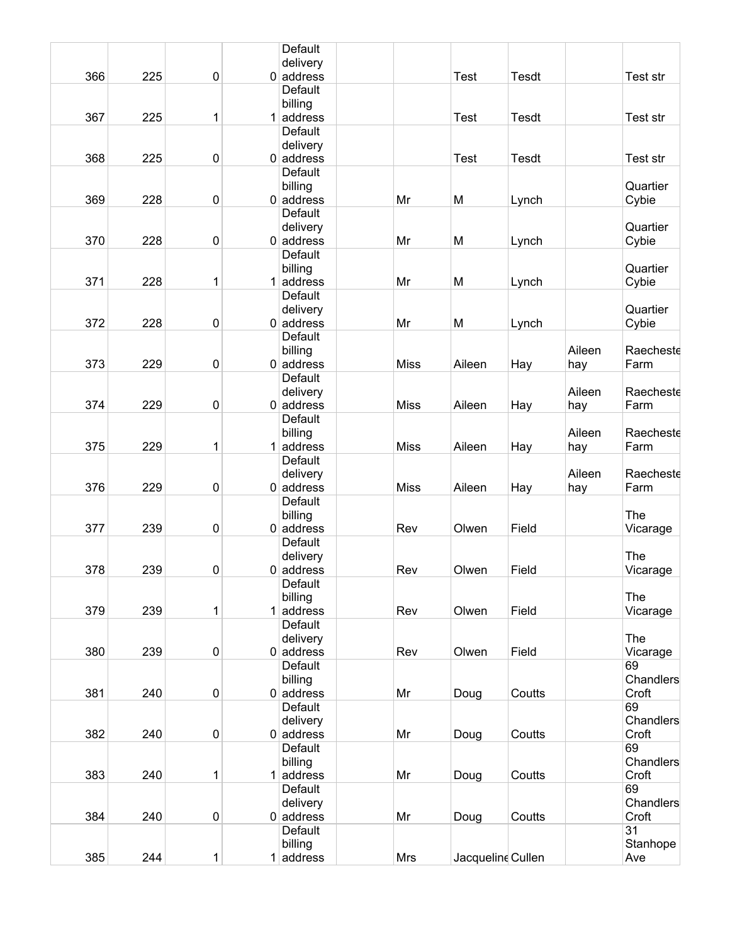|     |     |                |   | Default                 |             |             |                   |        |                    |
|-----|-----|----------------|---|-------------------------|-------------|-------------|-------------------|--------|--------------------|
|     |     |                |   | delivery                |             |             |                   |        |                    |
| 366 | 225 | $\pmb{0}$      |   | $0$ address<br>Default  |             | <b>Test</b> | <b>Tesdt</b>      |        | Test str           |
|     |     |                |   | billing                 |             |             |                   |        |                    |
| 367 | 225 | 1              | 1 | address                 |             | <b>Test</b> | Tesdt             |        | Test str           |
|     |     |                |   | Default                 |             |             |                   |        |                    |
|     |     |                |   | delivery                |             |             |                   |        |                    |
| 368 | 225 | $\pmb{0}$      |   | $0$ address             |             | <b>Test</b> | <b>Tesdt</b>      |        | Test str           |
|     |     |                |   | <b>Default</b>          |             |             |                   |        |                    |
|     |     |                |   | billing                 |             |             |                   |        | Quartier           |
| 369 | 228 | $\pmb{0}$      |   | $0$ address             | Mr          | M           | Lynch             |        | Cybie              |
|     |     |                |   | Default                 |             |             |                   |        |                    |
| 370 | 228 | $\pmb{0}$      |   | delivery<br>$0$ address | Mr          | M           | Lynch             |        | Quartier<br>Cybie  |
|     |     |                |   | <b>Default</b>          |             |             |                   |        |                    |
|     |     |                |   | billing                 |             |             |                   |        | Quartier           |
| 371 | 228 | 1              |   | $1$ address             | Mr          | M           | Lynch             |        | Cybie              |
|     |     |                |   | Default                 |             |             |                   |        |                    |
|     |     |                |   | delivery                |             |             |                   |        | Quartier           |
| 372 | 228 | 0              |   | $0$ address             | Mr          | M           | Lynch             |        | Cybie              |
|     |     |                |   | <b>Default</b>          |             |             |                   |        |                    |
|     |     |                |   | billing                 |             |             |                   | Aileen | Raecheste          |
| 373 | 229 | $\pmb{0}$      |   | $0$ address<br>Default  | <b>Miss</b> | Aileen      | Hay               | hay    | Farm               |
|     |     |                |   | delivery                |             |             |                   | Aileen | Raecheste          |
| 374 | 229 | $\pmb{0}$      |   | $0$ address             | <b>Miss</b> | Aileen      | Hay               | hay    | Farm               |
|     |     |                |   | Default                 |             |             |                   |        |                    |
|     |     |                |   | billing                 |             |             |                   | Aileen | Raecheste          |
| 375 | 229 | 1              |   | $1$ address             | <b>Miss</b> | Aileen      | Hay               | hay    | Farm               |
|     |     |                |   | Default                 |             |             |                   |        |                    |
|     |     |                |   | delivery                |             |             |                   | Aileen | Raecheste          |
| 376 | 229 | $\pmb{0}$      |   | $0$ address             | <b>Miss</b> | Aileen      | Hay               | hay    | Farm               |
|     |     |                |   | Default<br>billing      |             |             |                   |        | <b>The</b>         |
| 377 | 239 | $\pmb{0}$      |   | $0$ address             | Rev         | Olwen       | Field             |        | Vicarage           |
|     |     |                |   | Default                 |             |             |                   |        |                    |
|     |     |                |   | delivery                |             |             |                   |        | The                |
| 378 | 239 | 0              |   | $0$ address             | Rev         | Olwen       | Field             |        | Vicarage           |
|     |     |                |   | <b>Default</b>          |             |             |                   |        |                    |
|     |     |                |   | billing                 |             |             |                   |        | The                |
| 379 | 239 | 1              | 1 | address                 | Rev         | Olwen       | Field             |        | Vicarage           |
|     |     |                |   | Default<br>delivery     |             |             |                   |        | The                |
| 380 | 239 | $\pmb{0}$      |   | $0$ address             | Rev         | Olwen       | Field             |        | Vicarage           |
|     |     |                |   | <b>Default</b>          |             |             |                   |        | 69                 |
|     |     |                |   | billing                 |             |             |                   |        | Chandlers          |
| 381 | 240 | $\overline{0}$ |   | $0$ address             | Mr          | Doug        | Coutts            |        | Croft              |
|     |     |                |   | Default                 |             |             |                   |        | 69                 |
|     |     |                |   | delivery                |             |             |                   |        | Chandlers          |
| 382 | 240 | $\pmb{0}$      |   | $0$ address             | Mr          | Doug        | Coutts            |        | Croft              |
|     |     |                |   | <b>Default</b>          |             |             |                   |        | 69                 |
| 383 | 240 | 1              |   | billing<br>$1$ address  | Mr          | Doug        | Coutts            |        | Chandlers<br>Croft |
|     |     |                |   | Default                 |             |             |                   |        | 69                 |
|     |     |                |   | delivery                |             |             |                   |        | Chandlers          |
| 384 | 240 | $\pmb{0}$      |   | $0$ address             | Mr          | Doug        | Coutts            |        | Croft              |
|     |     |                |   | Default                 |             |             |                   |        | 31                 |
|     |     |                |   | billing                 |             |             |                   |        | Stanhope           |
| 385 | 244 | 1              |   | $1$ address             | Mrs         |             | Jacqueline Cullen |        | Ave                |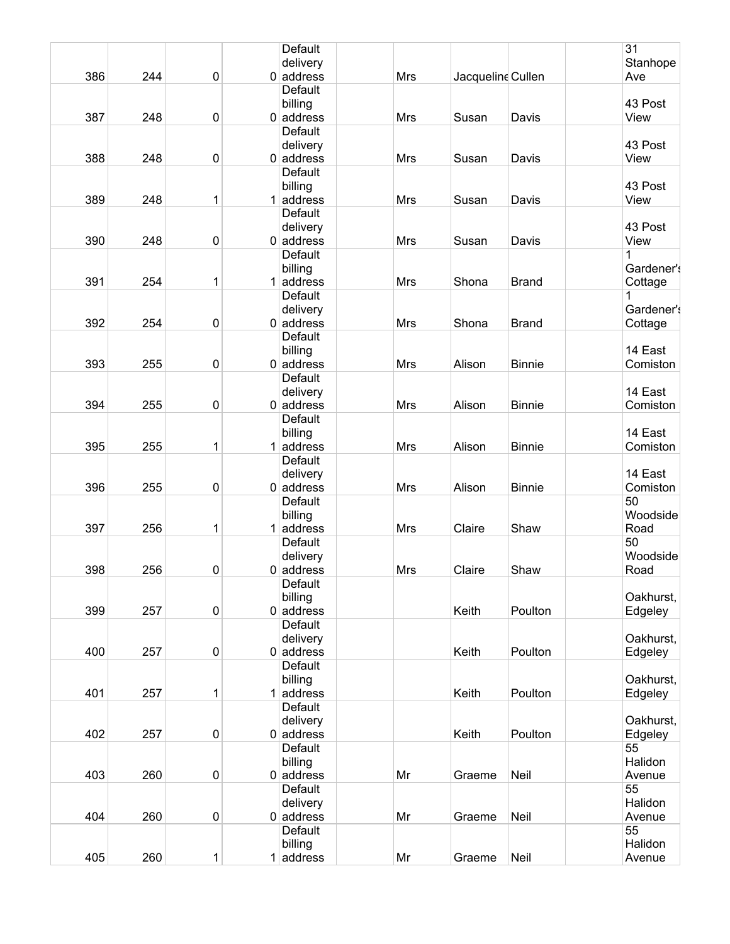|     |     |           | Default                 |            |                   |               | 31         |
|-----|-----|-----------|-------------------------|------------|-------------------|---------------|------------|
|     |     |           | delivery                |            |                   |               | Stanhope   |
| 386 | 244 | $\pmb{0}$ | $0$ address             | <b>Mrs</b> | Jacqueline Cullen |               | Ave        |
|     |     |           | Default                 |            |                   |               |            |
|     |     |           | billing                 |            |                   |               | 43 Post    |
| 387 | 248 | $\pmb{0}$ | $0$ address             | Mrs        | Susan             | Davis         | View       |
|     |     |           | Default                 |            |                   |               |            |
|     |     |           | delivery                |            |                   |               | 43 Post    |
| 388 | 248 | 0         | $0$ address             | <b>Mrs</b> | Susan             | Davis         | View       |
|     |     |           | <b>Default</b>          |            |                   |               |            |
|     |     |           | billing                 |            |                   |               | 43 Post    |
| 389 | 248 | 1         | $1$ address             | <b>Mrs</b> | Susan             | Davis         | View       |
|     |     |           | <b>Default</b>          |            |                   |               |            |
|     |     |           | delivery                |            |                   |               | 43 Post    |
| 390 | 248 | $\pmb{0}$ | $0$ address             | <b>Mrs</b> | Susan             | Davis         | View       |
|     |     |           | <b>Default</b>          |            |                   |               | 1          |
|     |     |           | billing                 |            |                   |               | Gardener's |
| 391 | 254 | 1         | $1$ address             | Mrs        | Shona             | <b>Brand</b>  | Cottage    |
|     |     |           | Default                 |            |                   |               | 1          |
|     |     |           | delivery                |            |                   |               | Gardener's |
| 392 | 254 | 0         | $0$ address             | <b>Mrs</b> | Shona             | <b>Brand</b>  | Cottage    |
|     |     |           | <b>Default</b>          |            |                   |               |            |
|     |     |           | billing                 |            |                   |               | 14 East    |
| 393 | 255 | $\pmb{0}$ | $0$ address             | Mrs        | Alison            | <b>Binnie</b> | Comiston   |
|     |     |           | Default                 |            |                   |               |            |
|     |     |           | delivery                |            |                   |               | 14 East    |
| 394 | 255 | $\pmb{0}$ | $0$ address             | <b>Mrs</b> | Alison            | <b>Binnie</b> | Comiston   |
|     |     |           | Default                 |            |                   |               |            |
|     |     |           | billing                 |            |                   |               | 14 East    |
| 395 | 255 | 1         | $1$ address             | Mrs        | Alison            | <b>Binnie</b> | Comiston   |
|     |     |           | Default                 |            |                   |               |            |
|     |     |           |                         |            |                   |               | 14 East    |
| 396 | 255 | 0         | delivery<br>$0$ address | <b>Mrs</b> | Alison            | <b>Binnie</b> | Comiston   |
|     |     |           | <b>Default</b>          |            |                   |               | 50         |
|     |     |           |                         |            |                   |               |            |
|     |     |           | billing                 |            |                   |               | Woodside   |
| 397 | 256 | 1         | $1$ address             | <b>Mrs</b> | Claire            | Shaw          | Road       |
|     |     |           | Default                 |            |                   |               | 50         |
|     |     |           | delivery                |            |                   |               | Woodside   |
| 398 | 256 | 0         | $0$ address             | <b>Mrs</b> | Claire            | Shaw          | Road       |
|     |     |           | Default                 |            |                   |               |            |
|     |     |           | billing                 |            |                   |               | Oakhurst,  |
| 399 | 257 | $\pmb{0}$ | $0$ address             |            | Keith             | Poulton       | Edgeley    |
|     |     |           | <b>Default</b>          |            |                   |               |            |
|     |     |           | delivery                |            |                   |               | Oakhurst,  |
| 400 | 257 | $\pmb{0}$ | $0$ address             |            | Keith             | Poulton       | Edgeley    |
|     |     |           | Default                 |            |                   |               |            |
|     |     |           | billing                 |            |                   |               | Oakhurst,  |
| 401 | 257 | 1         | $1$ address             |            | Keith             | Poulton       | Edgeley    |
|     |     |           | Default                 |            |                   |               |            |
|     |     |           | delivery                |            |                   |               | Oakhurst,  |
| 402 | 257 | $\pmb{0}$ | $0$ address             |            | Keith             | Poulton       | Edgeley    |
|     |     |           | Default                 |            |                   |               | 55         |
|     |     |           | billing                 |            |                   |               | Halidon    |
| 403 | 260 | $\pmb{0}$ | $0$ address             | Mr         | Graeme            | Neil          | Avenue     |
|     |     |           | Default                 |            |                   |               | 55         |
|     |     |           | delivery                |            |                   |               | Halidon    |
| 404 | 260 | $\pmb{0}$ | $0$ address             | Mr         | Graeme            | Neil          | Avenue     |
|     |     |           | Default                 |            |                   |               | 55         |
|     |     |           | billing                 |            |                   |               | Halidon    |
| 405 | 260 | 1         | $1$ address             | Mr         | Graeme            | Neil          | Avenue     |
|     |     |           |                         |            |                   |               |            |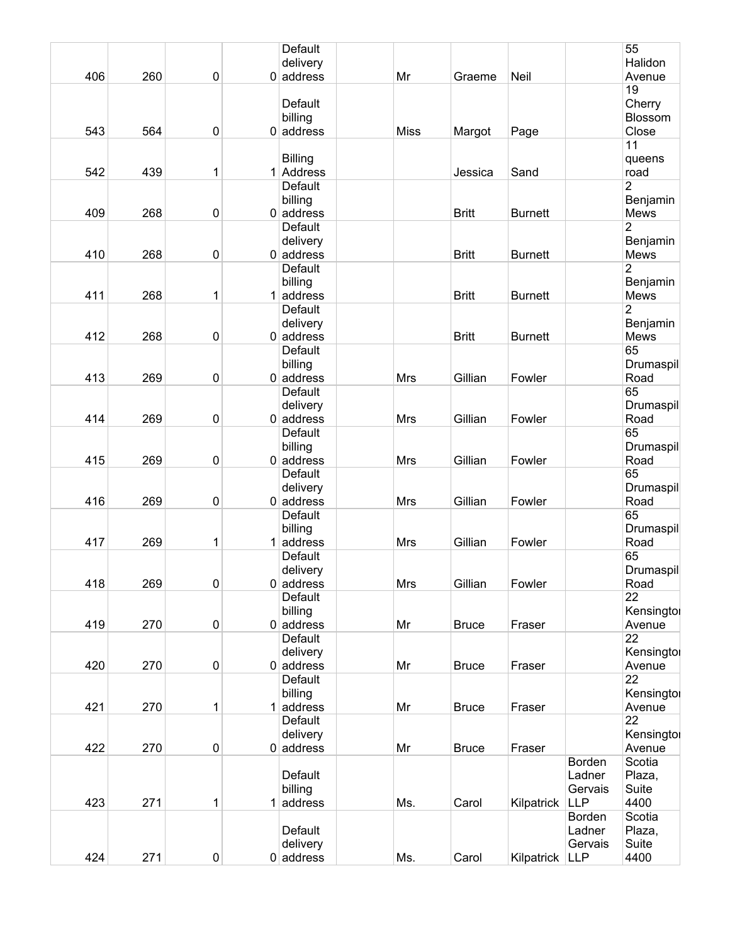|     |     |           | Default                 |             |              |                |                   | 55                     |
|-----|-----|-----------|-------------------------|-------------|--------------|----------------|-------------------|------------------------|
|     |     |           | delivery                |             |              |                |                   | Halidon                |
| 406 | 260 | $\pmb{0}$ | $0$ address             | Mr          | Graeme       | Neil           |                   | Avenue                 |
|     |     |           |                         |             |              |                |                   | 19                     |
|     |     |           | Default                 |             |              |                |                   | Cherry                 |
|     |     |           | billing                 |             |              |                |                   | Blossom                |
| 543 | 564 | $\pmb{0}$ | $0$ address             | <b>Miss</b> | Margot       | Page           |                   | Close                  |
|     |     |           |                         |             |              |                |                   | 11                     |
|     |     |           | <b>Billing</b>          |             |              |                |                   | queens                 |
| 542 | 439 | 1         | 1 Address               |             | Jessica      | Sand           |                   | road                   |
|     |     |           | Default                 |             |              |                |                   | 2                      |
|     |     |           | billing                 |             |              |                |                   | Benjamin               |
| 409 | 268 | $\pmb{0}$ | $0$ address             |             | <b>Britt</b> | <b>Burnett</b> |                   | Mews<br>$\overline{2}$ |
|     |     |           | Default                 |             |              |                |                   |                        |
| 410 | 268 | $\pmb{0}$ | delivery<br>$0$ address |             | <b>Britt</b> | <b>Burnett</b> |                   | Benjamin<br>Mews       |
|     |     |           | Default                 |             |              |                |                   | $\overline{2}$         |
|     |     |           | billing                 |             |              |                |                   | Benjamin               |
| 411 | 268 | 1         | $1$ address             |             | <b>Britt</b> | <b>Burnett</b> |                   | Mews                   |
|     |     |           | Default                 |             |              |                |                   | $\overline{2}$         |
|     |     |           | delivery                |             |              |                |                   | Benjamin               |
| 412 | 268 | $\pmb{0}$ | $0$ address             |             | <b>Britt</b> | <b>Burnett</b> |                   | Mews                   |
|     |     |           | Default                 |             |              |                |                   | 65                     |
|     |     |           | billing                 |             |              |                |                   | Drumaspil              |
| 413 | 269 | $\pmb{0}$ | $0$ address             | Mrs         | Gillian      | Fowler         |                   | Road                   |
|     |     |           | Default                 |             |              |                |                   | 65                     |
|     |     |           | delivery                |             |              |                |                   | Drumaspil              |
| 414 | 269 | $\pmb{0}$ | $0$ address             | Mrs         | Gillian      | Fowler         |                   | Road                   |
|     |     |           | Default                 |             |              |                |                   | 65                     |
| 415 |     |           | billing                 |             | Gillian      |                |                   | Drumaspil              |
|     | 269 | $\pmb{0}$ | $0$ address<br>Default  | Mrs         |              | Fowler         |                   | Road<br>65             |
|     |     |           | delivery                |             |              |                |                   | Drumaspil              |
| 416 | 269 | $\pmb{0}$ | $0$ address             | <b>Mrs</b>  | Gillian      | Fowler         |                   | Road                   |
|     |     |           | Default                 |             |              |                |                   | 65                     |
|     |     |           | billing                 |             |              |                |                   | Drumaspil              |
| 417 | 269 | 1         | $1$ address             | <b>Mrs</b>  | Gillian      | Fowler         |                   | Road                   |
|     |     |           | Default                 |             |              |                |                   | 65                     |
|     |     |           | delivery                |             |              |                |                   | Drumaspil              |
| 418 | 269 | $\pmb{0}$ | $0$ address             | Mrs         | Gillian      | Fowler         |                   | Road                   |
|     |     |           | Default                 |             |              |                |                   | $\overline{22}$        |
|     |     |           | billing                 |             |              |                |                   | Kensingtoi             |
| 419 | 270 | $\pmb{0}$ | $0$ address             | Mr          | <b>Bruce</b> | Fraser         |                   | Avenue                 |
|     |     |           | Default                 |             |              |                |                   | 22                     |
| 420 | 270 | $\pmb{0}$ | delivery<br>$0$ address | Mr          |              |                |                   | Kensingtoi             |
|     |     |           | Default                 |             | <b>Bruce</b> | Fraser         |                   | Avenue<br>22           |
|     |     |           | billing                 |             |              |                |                   | Kensingtor             |
| 421 | 270 | 1         | $1$ address             | Mr          | <b>Bruce</b> | Fraser         |                   | Avenue                 |
|     |     |           | Default                 |             |              |                |                   | $\overline{22}$        |
|     |     |           | delivery                |             |              |                |                   | Kensingtoi             |
| 422 | 270 | $\pmb{0}$ | $0$ address             | Mr          | <b>Bruce</b> | Fraser         |                   | Avenue                 |
|     |     |           |                         |             |              |                | Borden            | Scotia                 |
|     |     |           | Default                 |             |              |                | Ladner            | Plaza,                 |
|     |     |           | billing                 |             |              |                | Gervais           | Suite                  |
| 423 | 271 | 1         | $1$ address             | Ms.         | Carol        | Kilpatrick     | <b>LLP</b>        | 4400                   |
|     |     |           |                         |             |              |                | Borden            | Scotia                 |
|     |     |           | Default<br>delivery     |             |              |                | Ladner<br>Gervais | Plaza,<br>Suite        |
| 424 | 271 | $\pmb{0}$ | $0$ address             | Ms.         | Carol        | Kilpatrick     | <b>LLP</b>        | 4400                   |
|     |     |           |                         |             |              |                |                   |                        |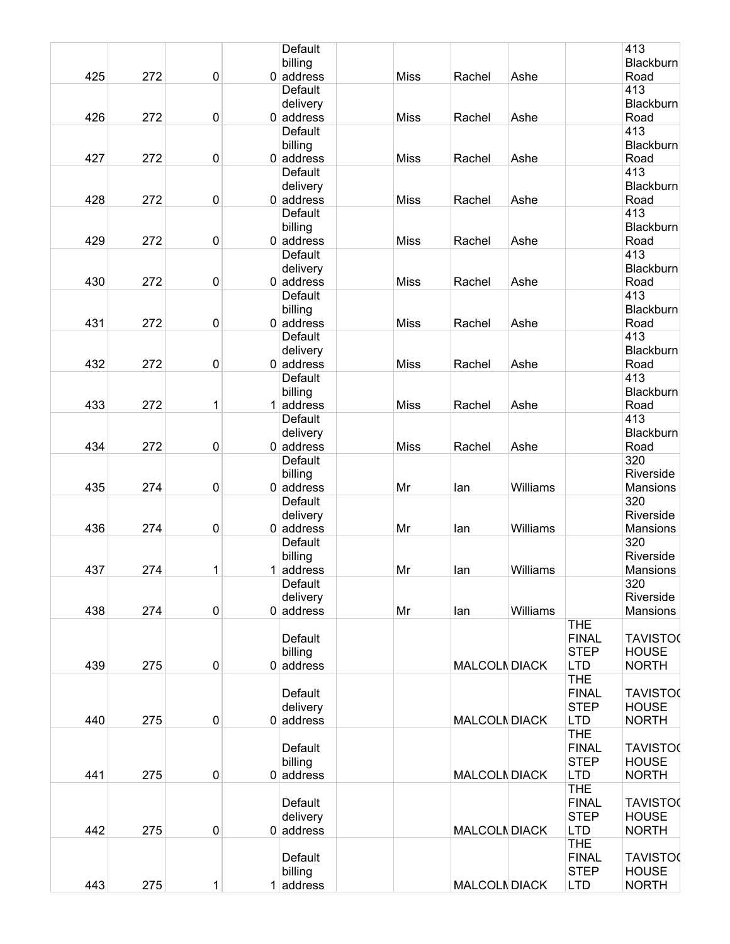|     |     |   | <b>Default</b>          |             |                      |          |              | 413              |
|-----|-----|---|-------------------------|-------------|----------------------|----------|--------------|------------------|
|     |     |   | billing                 |             |                      |          |              | <b>Blackburn</b> |
| 425 | 272 | 0 | $0$ address             | <b>Miss</b> | Rachel               | Ashe     |              | Road             |
|     |     |   | Default                 |             |                      |          |              | 413              |
|     |     |   | delivery                |             |                      |          |              | <b>Blackburn</b> |
| 426 | 272 | 0 | $0$ address             | <b>Miss</b> | Rachel               | Ashe     |              | Road             |
|     |     |   | Default                 |             |                      |          |              | 413              |
|     |     |   | billing                 |             |                      |          |              | <b>Blackburn</b> |
| 427 | 272 | 0 | $0$ address             | <b>Miss</b> | Rachel               | Ashe     |              | Road             |
|     |     |   | Default                 |             |                      |          |              | 413              |
|     |     |   | delivery                |             |                      |          |              | Blackburn        |
| 428 | 272 | 0 | $0$ address             | <b>Miss</b> | Rachel               | Ashe     |              | Road             |
|     |     |   | Default                 |             |                      |          |              | 413              |
|     |     |   | billing                 |             |                      |          |              | <b>Blackburn</b> |
| 429 | 272 | 0 | $0$ address             | <b>Miss</b> | Rachel               | Ashe     |              | Road             |
|     |     |   | Default                 |             |                      |          |              | 413              |
|     |     |   |                         |             |                      |          |              | <b>Blackburn</b> |
| 430 |     |   | delivery<br>$0$ address |             |                      |          |              | Road             |
|     | 272 | 0 |                         | <b>Miss</b> | Rachel               | Ashe     |              |                  |
|     |     |   | Default                 |             |                      |          |              | 413              |
|     |     |   | billing                 |             |                      |          |              | Blackburn        |
| 431 | 272 | 0 | $0$ address             | <b>Miss</b> | Rachel               | Ashe     |              | Road             |
|     |     |   | Default                 |             |                      |          |              | 413              |
|     |     |   | delivery                |             |                      |          |              | <b>Blackburn</b> |
| 432 | 272 | 0 | $0$ address             | <b>Miss</b> | Rachel               | Ashe     |              | Road             |
|     |     |   | Default                 |             |                      |          |              | 413              |
|     |     |   | billing                 |             |                      |          |              | <b>Blackburn</b> |
| 433 | 272 | 1 | $1$ address             | <b>Miss</b> | Rachel               | Ashe     |              | Road             |
|     |     |   | Default                 |             |                      |          |              | 413              |
|     |     |   | delivery                |             |                      |          |              | <b>Blackburn</b> |
| 434 | 272 | 0 | $0$ address             | <b>Miss</b> | Rachel               | Ashe     |              | Road             |
|     |     |   | Default                 |             |                      |          |              | 320              |
|     |     |   | billing                 |             |                      |          |              | Riverside        |
| 435 | 274 | 0 | $0$ address             | Mr          | lan                  | Williams |              | Mansions         |
|     |     |   | <b>Default</b>          |             |                      |          |              | 320              |
|     |     |   | delivery                |             |                      |          |              | Riverside        |
| 436 | 274 | 0 | $0$ address             | Mr          | lan                  | Williams |              | Mansions         |
|     |     |   | Default                 |             |                      |          |              | 320              |
|     |     |   | billing                 |             |                      |          |              | Riverside        |
| 437 | 274 | 1 | $1$ address             | Mr          | lan                  | Williams |              | Mansions         |
|     |     |   | Default                 |             |                      |          |              | 320              |
|     |     |   | delivery                |             |                      |          |              | Riverside        |
| 438 | 274 | 0 | $0$ address             | Mr          | lan                  | Williams |              | Mansions         |
|     |     |   |                         |             |                      |          | <b>THE</b>   |                  |
|     |     |   | Default                 |             |                      |          | <b>FINAL</b> | <b>TAVISTO(</b>  |
|     |     |   | billing                 |             |                      |          | <b>STEP</b>  | <b>HOUSE</b>     |
| 439 | 275 | 0 | $0$ address             |             | <b>MALCOLN DIACK</b> |          | <b>LTD</b>   | <b>NORTH</b>     |
|     |     |   |                         |             |                      |          | <b>THE</b>   |                  |
|     |     |   | Default                 |             |                      |          | <b>FINAL</b> | <b>TAVISTO(</b>  |
|     |     |   | delivery                |             |                      |          | <b>STEP</b>  | <b>HOUSE</b>     |
| 440 | 275 | 0 | $0$ address             |             | <b>MALCOLN DIACK</b> |          | <b>LTD</b>   | <b>NORTH</b>     |
|     |     |   |                         |             |                      |          | <b>THE</b>   |                  |
|     |     |   | Default                 |             |                      |          | <b>FINAL</b> | <b>TAVISTO(</b>  |
|     |     |   |                         |             |                      |          |              |                  |
|     |     |   | billing                 |             |                      |          | <b>STEP</b>  | <b>HOUSE</b>     |
| 441 | 275 | 0 | $0$ address             |             | <b>MALCOLN DIACK</b> |          | <b>LTD</b>   | <b>NORTH</b>     |
|     |     |   |                         |             |                      |          | <b>THE</b>   |                  |
|     |     |   | Default                 |             |                      |          | <b>FINAL</b> | <b>TAVISTO0</b>  |
|     |     |   | delivery                |             |                      |          | <b>STEP</b>  | <b>HOUSE</b>     |
| 442 | 275 | 0 | $0$ address             |             | <b>MALCOLN DIACK</b> |          | <b>LTD</b>   | <b>NORTH</b>     |
|     |     |   |                         |             |                      |          | <b>THE</b>   |                  |
|     |     |   | Default                 |             |                      |          | <b>FINAL</b> | <b>TAVISTO(</b>  |
|     |     |   | billing                 |             |                      |          | <b>STEP</b>  | <b>HOUSE</b>     |
| 443 | 275 | 1 | $1$ address             |             | <b>MALCOLN DIACK</b> |          | <b>LTD</b>   | <b>NORTH</b>     |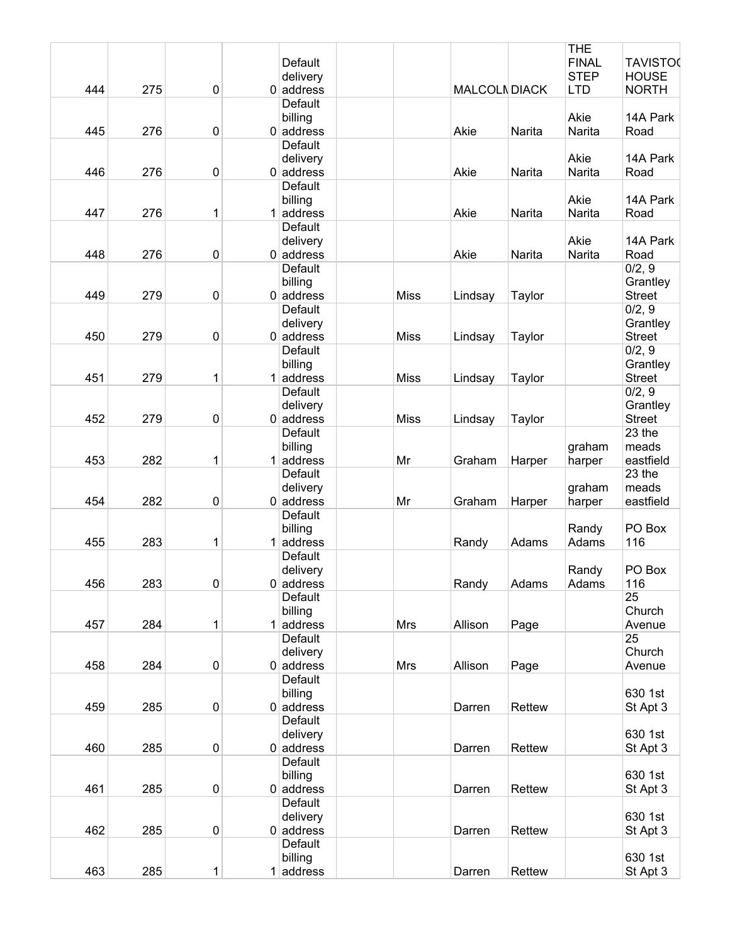|     |     |             |                |             |                      |        | <b>THE</b>   |                 |
|-----|-----|-------------|----------------|-------------|----------------------|--------|--------------|-----------------|
|     |     |             | Default        |             |                      |        | <b>FINAL</b> | <b>TAVISTO0</b> |
|     |     |             | delivery       |             |                      |        | <b>STEP</b>  | <b>HOUSE</b>    |
| 444 | 275 | $\mathbf 0$ | $0$ address    |             | <b>MALCOLN DIACK</b> |        | <b>LTD</b>   | <b>NORTH</b>    |
|     |     |             | Default        |             |                      |        |              |                 |
|     |     |             | billing        |             |                      |        | Akie         | 14A Park        |
| 445 | 276 | $\pmb{0}$   | $0$ address    |             | Akie                 |        | Narita       |                 |
|     |     |             |                |             |                      | Narita |              | Road            |
|     |     |             | Default        |             |                      |        |              |                 |
|     |     |             | delivery       |             |                      |        | Akie         | 14A Park        |
| 446 | 276 | 0           | $0$ address    |             | Akie                 | Narita | Narita       | Road            |
|     |     |             | <b>Default</b> |             |                      |        |              |                 |
|     |     |             | billing        |             |                      |        | Akie         | 14A Park        |
| 447 | 276 | 1           | $1$ address    |             | Akie                 | Narita | Narita       | Road            |
|     |     |             | Default        |             |                      |        |              |                 |
|     |     |             | delivery       |             |                      |        | Akie         | 14A Park        |
| 448 | 276 | 0           | $0$ address    |             | Akie                 | Narita | Narita       | Road            |
|     |     |             | Default        |             |                      |        |              | 0/2, 9          |
|     |     |             |                |             |                      |        |              |                 |
|     |     |             | billing        |             |                      |        |              | Grantley        |
| 449 | 279 | $\pmb{0}$   | $0$ address    | <b>Miss</b> | Lindsay              | Taylor |              | <b>Street</b>   |
|     |     |             | Default        |             |                      |        |              | 0/2, 9          |
|     |     |             | delivery       |             |                      |        |              | Grantley        |
| 450 | 279 | 0           | $0$ address    | <b>Miss</b> | Lindsay              | Taylor |              | <b>Street</b>   |
|     |     |             | Default        |             |                      |        |              | 0/2, 9          |
|     |     |             | billing        |             |                      |        |              | Grantley        |
| 451 | 279 | 1           | $1$ address    | <b>Miss</b> | Lindsay              | Taylor |              | <b>Street</b>   |
|     |     |             | Default        |             |                      |        |              |                 |
|     |     |             |                |             |                      |        |              | 0/2, 9          |
|     |     |             | delivery       |             |                      |        |              | Grantley        |
| 452 | 279 | 0           | $0$ address    | <b>Miss</b> | Lindsay              | Taylor |              | <b>Street</b>   |
|     |     |             | Default        |             |                      |        |              | 23 the          |
|     |     |             | billing        |             |                      |        | graham       | meads           |
| 453 | 282 | 1           | $1$ address    | Mr          | Graham               | Harper | harper       | eastfield       |
|     |     |             | Default        |             |                      |        |              | 23 the          |
|     |     |             | delivery       |             |                      |        | graham       | meads           |
| 454 | 282 | 0           | $0$ address    | Mr          | Graham               | Harper | harper       | eastfield       |
|     |     |             | Default        |             |                      |        |              |                 |
|     |     |             |                |             |                      |        |              |                 |
|     |     |             | billing        |             |                      |        | Randy        | PO Box          |
| 455 | 283 | 1           | $1$ address    |             | Randy                | Adams  | Adams        | 116             |
|     |     |             | Default        |             |                      |        |              |                 |
|     |     |             | delivery       |             |                      |        | Randy        | PO Box          |
| 456 | 283 | $\pmb{0}$   | $0$ address    |             | Randy                | Adams  | Adams        | 116             |
|     |     |             | Default        |             |                      |        |              | 25              |
|     |     |             | billing        |             |                      |        |              | Church          |
| 457 | 284 | 1           | $1$ address    | Mrs         | Allison              | Page   |              | Avenue          |
|     |     |             | Default        |             |                      |        |              | 25              |
|     |     |             |                |             |                      |        |              |                 |
|     |     |             | delivery       |             |                      |        |              | Church          |
| 458 | 284 | 0           | $0$ address    | Mrs         | Allison              | Page   |              | Avenue          |
|     |     |             | Default        |             |                      |        |              |                 |
|     |     |             | billing        |             |                      |        |              | 630 1st         |
| 459 | 285 | $\pmb{0}$   | $0$ address    |             | Darren               | Rettew |              | St Apt 3        |
|     |     |             | <b>Default</b> |             |                      |        |              |                 |
|     |     |             | delivery       |             |                      |        |              | 630 1st         |
| 460 | 285 | $\pmb{0}$   | $0$ address    |             | Darren               | Rettew |              | St Apt 3        |
|     |     |             | <b>Default</b> |             |                      |        |              |                 |
|     |     |             |                |             |                      |        |              |                 |
|     |     |             | billing        |             |                      |        |              | 630 1st         |
| 461 | 285 | $\pmb{0}$   | $0$ address    |             | Darren               | Rettew |              | St Apt 3        |
|     |     |             | Default        |             |                      |        |              |                 |
|     |     |             | delivery       |             |                      |        |              | 630 1st         |
| 462 | 285 | $\pmb{0}$   | $0$ address    |             | Darren               | Rettew |              | St Apt 3        |
|     |     |             | Default        |             |                      |        |              |                 |
|     |     |             | billing        |             |                      |        |              | 630 1st         |
| 463 | 285 | 1           | $1$ address    |             | Darren               | Rettew |              | St Apt 3        |
|     |     |             |                |             |                      |        |              |                 |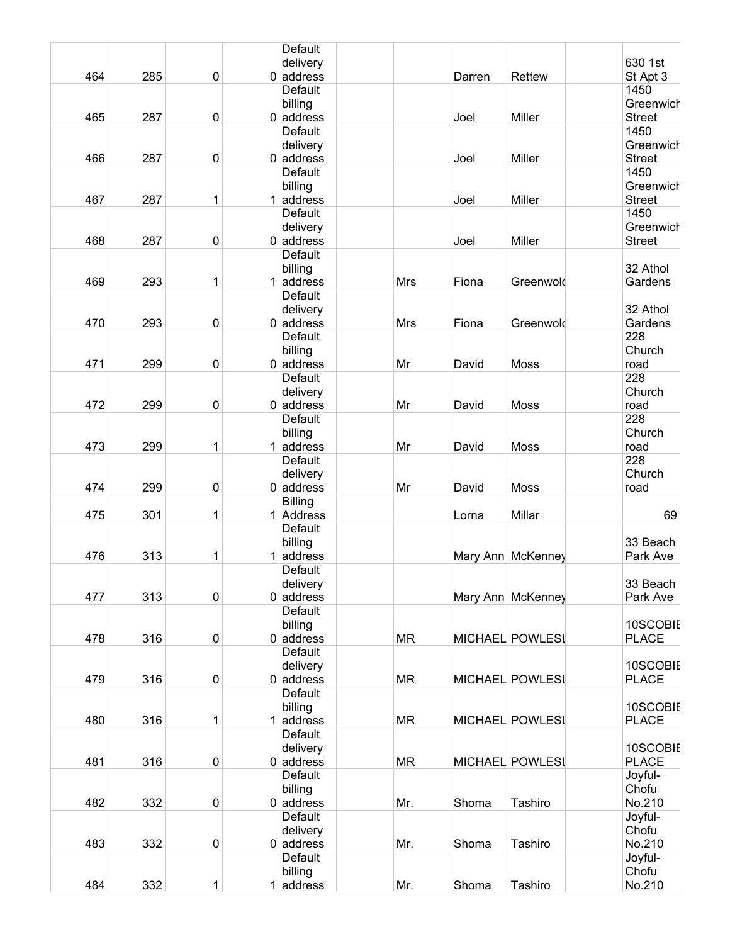|     |     |           | Default                 |            |        |                   |                            |
|-----|-----|-----------|-------------------------|------------|--------|-------------------|----------------------------|
|     |     |           | delivery                |            |        |                   | 630 1st                    |
| 464 | 285 | $\pmb{0}$ | $0$ address             |            | Darren | Rettew            | St Apt 3                   |
|     |     |           | Default                 |            |        |                   | 1450                       |
|     |     |           | billing                 |            |        |                   | Greenwich                  |
| 465 | 287 | 0         | $0$ address             |            | Joel   | <b>Miller</b>     | <b>Street</b>              |
|     |     |           | Default                 |            |        |                   | 1450                       |
|     |     |           | delivery                |            |        |                   | Greenwich                  |
| 466 | 287 | 0         | $0$ address             |            | Joel   | Miller            | <b>Street</b>              |
|     |     |           | <b>Default</b>          |            |        |                   | 1450                       |
| 467 |     |           | billing                 |            |        |                   | Greenwich                  |
|     | 287 | 1         | $1$ address             |            | Joel   | <b>Miller</b>     | <b>Street</b>              |
|     |     |           | Default                 |            |        |                   | 1450                       |
| 468 | 287 | 0         | delivery<br>$0$ address |            | Joel   | <b>Miller</b>     | Greenwich<br><b>Street</b> |
|     |     |           | <b>Default</b>          |            |        |                   |                            |
|     |     |           | billing                 |            |        |                   | 32 Athol                   |
| 469 | 293 | 1         | $1$ address             | <b>Mrs</b> | Fiona  | Greenwold         | Gardens                    |
|     |     |           | Default                 |            |        |                   |                            |
|     |     |           | delivery                |            |        |                   | 32 Athol                   |
| 470 | 293 | 0         | $0$ address             | <b>Mrs</b> | Fiona  | Greenwold         | Gardens                    |
|     |     |           | <b>Default</b>          |            |        |                   | 228                        |
|     |     |           | billing                 |            |        |                   | Church                     |
| 471 | 299 | $\pmb{0}$ | $0$ address             | Mr         | David  | <b>Moss</b>       | road                       |
|     |     |           | Default                 |            |        |                   | 228                        |
|     |     |           | delivery                |            |        |                   | Church                     |
| 472 | 299 | $\pmb{0}$ | $0$ address             | Mr         | David  | <b>Moss</b>       | road                       |
|     |     |           | Default                 |            |        |                   | 228                        |
|     |     |           | billing                 |            |        |                   | Church                     |
| 473 | 299 | 1         | $1$ address             | Mr         | David  | Moss              | road                       |
|     |     |           | Default                 |            |        |                   | 228                        |
|     |     |           | delivery                |            |        |                   | Church                     |
| 474 | 299 | 0         | $0$ address             | Mr         | David  | <b>Moss</b>       | road                       |
|     |     |           | <b>Billing</b>          |            |        |                   |                            |
| 475 | 301 | 1         | 1 Address               |            | Lorna  | Millar            | 69                         |
|     |     |           | Default                 |            |        |                   |                            |
|     |     |           | billing                 |            |        |                   | 33 Beach                   |
| 476 | 313 | 1         | $1 $ address<br>Default |            |        | Mary Ann McKenney | Park Ave                   |
|     |     |           |                         |            |        |                   | 33 Beach                   |
| 477 | 313 | 0         | delivery<br>$0$ address |            |        | Mary Ann McKenney | Park Ave                   |
|     |     |           | Default                 |            |        |                   |                            |
|     |     |           | billing                 |            |        |                   | 10SCOBIE                   |
| 478 | 316 | 0         | $0$ address             | <b>MR</b>  |        | MICHAEL POWLESI   | <b>PLACE</b>               |
|     |     |           | Default                 |            |        |                   |                            |
|     |     |           | delivery                |            |        |                   | 10SCOBIE                   |
| 479 | 316 | 0         | $0$ address             | <b>MR</b>  |        | MICHAEL POWLESI   | <b>PLACE</b>               |
|     |     |           | Default                 |            |        |                   |                            |
|     |     |           | billing                 |            |        |                   | 10SCOBIE                   |
| 480 | 316 | 1         | $1 $ address            | <b>MR</b>  |        | MICHAEL POWLESI   | <b>PLACE</b>               |
|     |     |           | Default                 |            |        |                   |                            |
|     |     |           | delivery                |            |        |                   | 10SCOBIE                   |
| 481 | 316 | $\pmb{0}$ | $0$ address             | <b>MR</b>  |        | MICHAEL POWLESI   | <b>PLACE</b>               |
|     |     |           | Default                 |            |        |                   | Joyful-                    |
|     |     |           | billing                 |            |        |                   | Chofu                      |
| 482 | 332 | 0         | $0$ address             | Mr.        | Shoma  | Tashiro           | No.210                     |
|     |     |           | Default                 |            |        |                   | Joyful-                    |
|     |     |           | delivery                |            |        |                   | Chofu                      |
| 483 | 332 | 0         | $0$ address             | Mr.        | Shoma  | Tashiro           | No.210                     |
|     |     |           | Default                 |            |        |                   | Joyful-<br>Chofu           |
| 484 | 332 | 1         | billing<br>$1$ address  | Mr.        | Shoma  | Tashiro           | No.210                     |
|     |     |           |                         |            |        |                   |                            |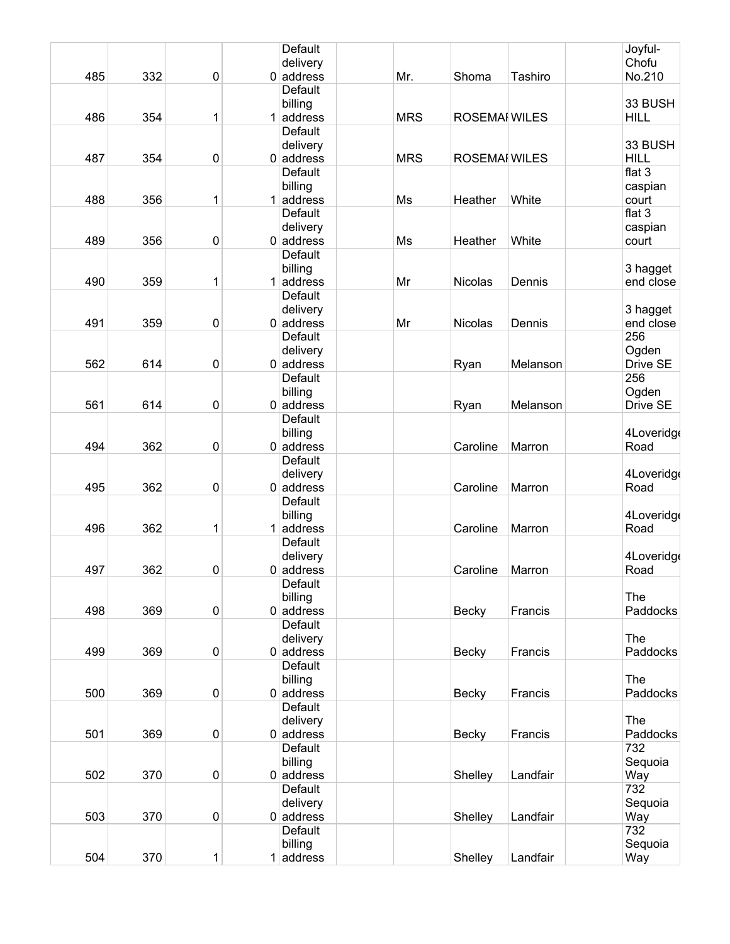|     |     |           | Default                 |            |                      |          | Joyful-            |
|-----|-----|-----------|-------------------------|------------|----------------------|----------|--------------------|
|     |     |           | delivery                |            |                      |          | Chofu              |
| 485 | 332 | 0         | $0$ address             | Mr.        | Shoma                | Tashiro  | No.210             |
|     |     |           | Default                 |            |                      |          | 33 BUSH            |
| 486 | 354 | 1         | billing<br>$1$ address  | <b>MRS</b> | <b>ROSEMAI WILES</b> |          | <b>HILL</b>        |
|     |     |           | Default                 |            |                      |          |                    |
|     |     |           | delivery                |            |                      |          | 33 BUSH            |
| 487 | 354 | 0         | $0$ address             | <b>MRS</b> | <b>ROSEMAI WILES</b> |          | <b>HILL</b>        |
|     |     |           | <b>Default</b>          |            |                      |          | flat $3$           |
|     |     |           | billing                 |            |                      |          | caspian            |
| 488 | 356 | 1         | $1$ address             | Ms         | Heather              | White    | court              |
|     |     |           | Default                 |            |                      |          | flat 3             |
| 489 | 356 | 0         | delivery<br>$0$ address | Ms         | Heather              | White    | caspian<br>court   |
|     |     |           | <b>Default</b>          |            |                      |          |                    |
|     |     |           | billing                 |            |                      |          | 3 hagget           |
| 490 | 359 | 1         | $1$ address             | Mr         | <b>Nicolas</b>       | Dennis   | end close          |
|     |     |           | Default                 |            |                      |          |                    |
|     |     |           | delivery                |            |                      |          | 3 hagget           |
| 491 | 359 | 0         | $0$ address             | Mr         | Nicolas              | Dennis   | end close          |
|     |     |           | <b>Default</b>          |            |                      |          | 256                |
| 562 | 614 | 0         | delivery<br>$0$ address |            | Ryan                 | Melanson | Ogden<br>Drive SE  |
|     |     |           | Default                 |            |                      |          | 256                |
|     |     |           | billing                 |            |                      |          | Ogden              |
| 561 | 614 | 0         | $0$ address             |            | Ryan                 | Melanson | Drive SE           |
|     |     |           | Default                 |            |                      |          |                    |
|     |     |           | billing                 |            |                      |          | 4Loveridge         |
| 494 | 362 | 0         | $0$ address             |            | Caroline             | Marron   | Road               |
|     |     |           | Default                 |            |                      |          |                    |
| 495 | 362 | 0         | delivery<br>$0$ address |            | Caroline             | Marron   | 4Loveridge<br>Road |
|     |     |           | Default                 |            |                      |          |                    |
|     |     |           | billing                 |            |                      |          | 4Loveridge         |
| 496 | 362 | 1         | $1$ address             |            | Caroline             | Marron   | Road               |
|     |     |           | Default                 |            |                      |          |                    |
|     |     |           | delivery                |            |                      |          | 4Loveridge         |
| 497 | 362 | 0         | $0$ address             |            | Caroline             | Marron   | Road               |
|     |     |           | Default<br>billing      |            |                      |          | The                |
| 498 | 369 | $\pmb{0}$ | $0$ address             |            | <b>Becky</b>         | Francis  | Paddocks           |
|     |     |           | Default                 |            |                      |          |                    |
|     |     |           | delivery                |            |                      |          | The                |
| 499 | 369 | $\pmb{0}$ | $0$ address             |            | <b>Becky</b>         | Francis  | Paddocks           |
|     |     |           | <b>Default</b>          |            |                      |          |                    |
|     |     |           | billing                 |            |                      |          | The                |
| 500 | 369 | 0         | $0$ address             |            | <b>Becky</b>         | Francis  | Paddocks           |
|     |     |           | Default<br>delivery     |            |                      |          | The                |
| 501 | 369 | $\pmb{0}$ | $0$ address             |            | <b>Becky</b>         | Francis  | Paddocks           |
|     |     |           | Default                 |            |                      |          | 732                |
|     |     |           | billing                 |            |                      |          | Sequoia            |
| 502 | 370 | $\pmb{0}$ | $0$ address             |            | Shelley              | Landfair | Way                |
|     |     |           | Default                 |            |                      |          | 732                |
|     |     |           | delivery                |            |                      |          | Sequoia            |
| 503 | 370 | $\pmb{0}$ | $0$ address<br>Default  |            | Shelley              | Landfair | Way<br>732         |
|     |     |           | billing                 |            |                      |          | Sequoia            |
| 504 | 370 | 1         | $1$ address             |            | Shelley              | Landfair | Way                |
|     |     |           |                         |            |                      |          |                    |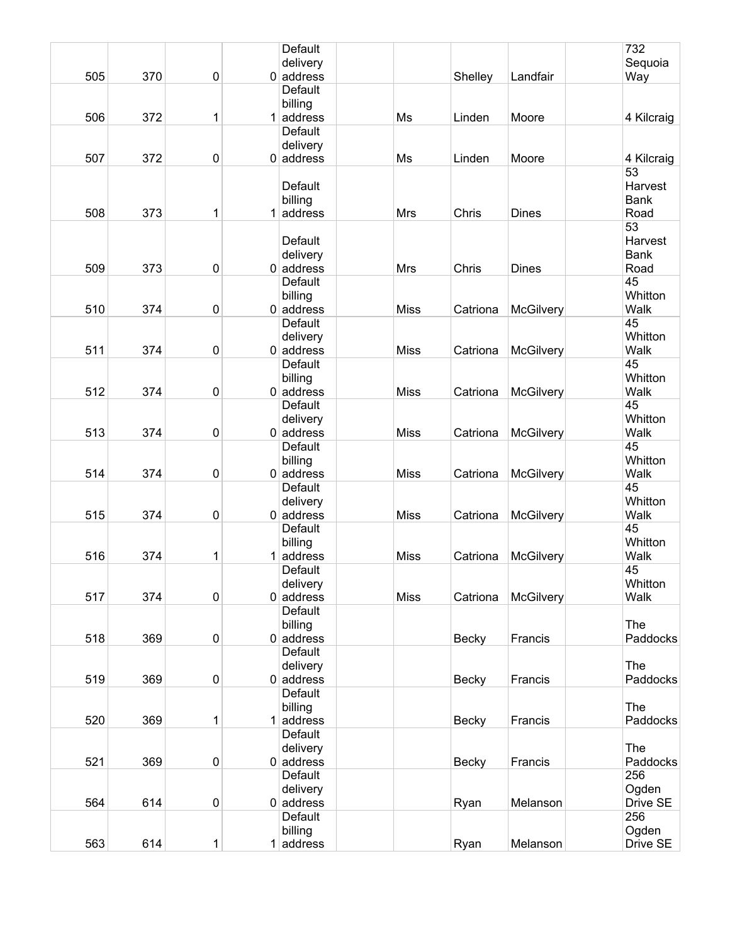|     |     |           |   | Default        |             |              |                  | 732         |
|-----|-----|-----------|---|----------------|-------------|--------------|------------------|-------------|
|     |     |           |   | delivery       |             |              |                  | Sequoia     |
| 505 | 370 | $\pmb{0}$ |   | $0$ address    |             | Shelley      | Landfair         | Way         |
|     |     |           |   | <b>Default</b> |             |              |                  |             |
|     |     |           |   | billing        |             |              |                  |             |
| 506 | 372 | 1         |   | $1$ address    | Ms          | Linden       | Moore            | 4 Kilcraig  |
|     |     |           |   | Default        |             |              |                  |             |
|     |     |           |   | delivery       |             |              |                  |             |
| 507 | 372 |           |   |                |             |              |                  |             |
|     |     | 0         |   | $0$ address    | Ms          | Linden       | Moore            | 4 Kilcraig  |
|     |     |           |   |                |             |              |                  | 53          |
|     |     |           |   | <b>Default</b> |             |              |                  | Harvest     |
|     |     |           |   | billing        |             |              |                  | <b>Bank</b> |
| 508 | 373 | 1         | 1 | address        | Mrs         | Chris        | <b>Dines</b>     | Road        |
|     |     |           |   |                |             |              |                  | 53          |
|     |     |           |   | Default        |             |              |                  | Harvest     |
|     |     |           |   | delivery       |             |              |                  | Bank        |
| 509 | 373 | 0         |   | $0$ address    | Mrs         | Chris        | <b>Dines</b>     | Road        |
|     |     |           |   | Default        |             |              |                  | 45          |
|     |     |           |   | billing        |             |              |                  | Whitton     |
| 510 | 374 | $\pmb{0}$ |   | $0$ address    | <b>Miss</b> | Catriona     | <b>McGilvery</b> | Walk        |
|     |     |           |   | <b>Default</b> |             |              |                  | 45          |
|     |     |           |   | delivery       |             |              |                  | Whitton     |
| 511 | 374 | 0         |   | $0$ address    | <b>Miss</b> | Catriona     | <b>McGilvery</b> | Walk        |
|     |     |           |   | <b>Default</b> |             |              |                  | 45          |
|     |     |           |   | billing        |             |              |                  | Whitton     |
| 512 | 374 | $\pmb{0}$ |   | $0$ address    | <b>Miss</b> | Catriona     | McGilvery        | Walk        |
|     |     |           |   | Default        |             |              |                  | 45          |
|     |     |           |   | delivery       |             |              |                  | Whitton     |
| 513 | 374 | 0         |   | $0$ address    | <b>Miss</b> |              |                  | Walk        |
|     |     |           |   |                |             | Catriona     | <b>McGilvery</b> | 45          |
|     |     |           |   | Default        |             |              |                  |             |
|     |     |           |   | billing        |             |              |                  | Whitton     |
| 514 | 374 | $\pmb{0}$ |   | $0$ address    | <b>Miss</b> | Catriona     | <b>McGilvery</b> | Walk        |
|     |     |           |   | Default        |             |              |                  | 45          |
|     |     |           |   | delivery       |             |              |                  | Whitton     |
| 515 | 374 | 0         |   | $0$ address    | <b>Miss</b> | Catriona     | McGilvery        | Walk        |
|     |     |           |   | Default        |             |              |                  | 45          |
|     |     |           |   | billing        |             |              |                  | Whitton     |
| 516 | 374 | 1         | 1 | address        | <b>Miss</b> | Catriona     | McGilvery        | Walk        |
|     |     |           |   | Default        |             |              |                  | 45          |
|     |     |           |   | delivery       |             |              |                  | Whitton     |
| 517 | 374 | 0         |   | $0$ address    | <b>Miss</b> | Catriona     | McGilvery        | Walk        |
|     |     |           |   | Default        |             |              |                  |             |
|     |     |           |   | billing        |             |              |                  | The         |
| 518 | 369 | $\pmb{0}$ |   | $0$ address    |             | <b>Becky</b> | Francis          | Paddocks    |
|     |     |           |   | Default        |             |              |                  |             |
|     |     |           |   | delivery       |             |              |                  | The         |
| 519 | 369 | $\pmb{0}$ |   | $0$ address    |             | <b>Becky</b> | Francis          | Paddocks    |
|     |     |           |   | <b>Default</b> |             |              |                  |             |
|     |     |           |   | billing        |             |              |                  | The         |
| 520 | 369 | 1         |   | $1$ address    |             | <b>Becky</b> | Francis          | Paddocks    |
|     |     |           |   | Default        |             |              |                  |             |
|     |     |           |   |                |             |              |                  | The         |
|     |     |           |   | delivery       |             |              |                  |             |
| 521 | 369 | 0         |   | $0$ address    |             | <b>Becky</b> | Francis          | Paddocks    |
|     |     |           |   | Default        |             |              |                  | 256         |
|     |     |           |   | delivery       |             |              |                  | Ogden       |
| 564 | 614 | $\pmb{0}$ |   | $0$ address    |             | Ryan         | Melanson         | Drive SE    |
|     |     |           |   | Default        |             |              |                  | 256         |
|     |     |           |   | billing        |             |              |                  | Ogden       |
| 563 | 614 | 1         |   | $1$ address    |             | Ryan         | Melanson         | Drive SE    |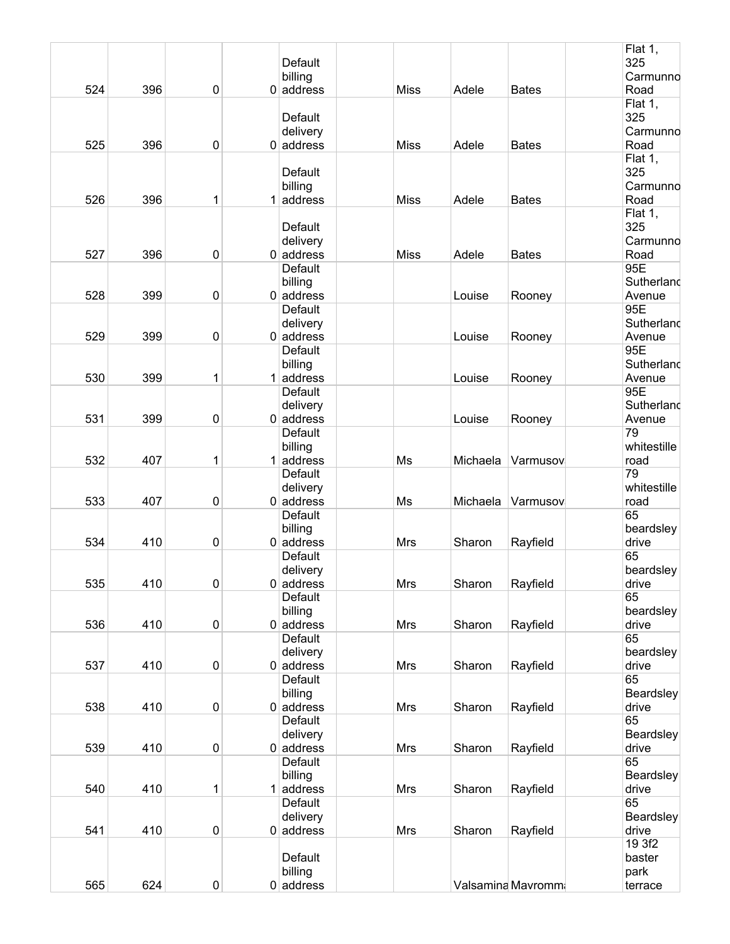|     |     |           | Default                  |             |          |                   | Flat 1,<br>325 |
|-----|-----|-----------|--------------------------|-------------|----------|-------------------|----------------|
|     |     |           | billing                  |             |          |                   | Carmunno       |
| 524 | 396 | 0         | $0$ address              | <b>Miss</b> | Adele    | <b>Bates</b>      | Road           |
|     |     |           |                          |             |          |                   | Flat 1,        |
|     |     |           | Default                  |             |          |                   | 325            |
|     |     |           | delivery                 |             |          |                   | Carmunno       |
| 525 | 396 | 0         | $0$ address              | <b>Miss</b> | Adele    | <b>Bates</b>      | Road           |
|     |     |           |                          |             |          |                   | Flat 1,        |
|     |     |           | Default                  |             |          |                   | 325            |
|     |     |           | billing                  |             |          |                   | Carmunno       |
| 526 | 396 | 1         | $1$ address              | <b>Miss</b> | Adele    | <b>Bates</b>      | Road           |
|     |     |           |                          |             |          |                   | Flat 1,        |
|     |     |           | Default                  |             |          |                   | 325            |
|     |     |           | delivery                 |             |          |                   | Carmunno       |
| 527 | 396 | 0         | $0$ address              | <b>Miss</b> | Adele    | <b>Bates</b>      | Road           |
|     |     |           | Default                  |             |          |                   | 95E            |
|     |     |           | billing                  |             |          |                   | Sutherland     |
| 528 | 399 | 0         | $0$ address              |             | Louise   | Rooney            | Avenue         |
|     |     |           | Default                  |             |          |                   | 95E            |
|     |     |           | delivery                 |             |          |                   | Sutherland     |
| 529 | 399 | 0         | $0$ address              |             | Louise   | Rooney            | Avenue         |
|     |     |           | Default                  |             |          |                   | 95E            |
|     |     |           | billing                  |             |          |                   | Sutherland     |
| 530 | 399 | 1         | $1$ address              |             | Louise   | Rooney            | Avenue         |
|     |     |           | Default                  |             |          |                   | 95E            |
|     |     |           | delivery                 |             |          |                   | Sutherland     |
| 531 | 399 | 0         | $0$ address              |             | Louise   | Rooney            | Avenue         |
|     |     |           | Default                  |             |          |                   | 79             |
|     |     |           | billing                  |             |          |                   | whitestille    |
| 532 | 407 | 1         | $1$ address              | Ms          | Michaela | Varmusov          | road           |
|     |     |           | Default                  |             |          |                   | 79             |
|     |     |           | delivery                 |             |          |                   | whitestille    |
| 533 | 407 | 0         | $0$ address              | Ms          | Michaela | Varmusov          | road           |
|     |     |           | Default                  |             |          |                   | 65             |
|     |     |           | billing                  |             |          |                   | beardsley      |
| 534 | 410 | 0         | $0$ address              | <b>Mrs</b>  | Sharon   | Rayfield          | drive          |
|     |     |           | Default                  |             |          |                   | 65             |
|     | 410 | $\pmb{0}$ | delivery<br>$0 $ address |             |          |                   | beardsley      |
| 535 |     |           |                          | Mrs         | Sharon   | Rayfield          | drive<br>65    |
|     |     |           | Default                  |             |          |                   | beardsley      |
|     |     |           | billing                  |             |          |                   |                |
| 536 | 410 | 0         | $0$ address<br>Default   | Mrs         | Sharon   | Rayfield          | drive<br>65    |
|     |     |           | delivery                 |             |          |                   | beardsley      |
| 537 | 410 | 0         | $0$ address              | Mrs         | Sharon   | Rayfield          | drive          |
|     |     |           | Default                  |             |          |                   | 65             |
|     |     |           | billing                  |             |          |                   | Beardsley      |
| 538 | 410 | 0         | $0$ address              | Mrs         | Sharon   | Rayfield          | drive          |
|     |     |           | Default                  |             |          |                   | 65             |
|     |     |           | delivery                 |             |          |                   | Beardsley      |
| 539 | 410 | 0         | $0$ address              | Mrs         | Sharon   | Rayfield          | drive          |
|     |     |           | Default                  |             |          |                   | 65             |
|     |     |           | billing                  |             |          |                   | Beardsley      |
| 540 | 410 | 1         | $1$ address              | Mrs         | Sharon   | Rayfield          | drive          |
|     |     |           | Default                  |             |          |                   | 65             |
|     |     |           | delivery                 |             |          |                   | Beardsley      |
| 541 | 410 | 0         | $0$ address              | <b>Mrs</b>  | Sharon   | Rayfield          | drive          |
|     |     |           |                          |             |          |                   | 19 3f2         |
|     |     |           | Default                  |             |          |                   | baster         |
|     |     |           | billing                  |             |          |                   | park           |
| 565 | 624 | 0         | $0$ address              |             |          | Valsamina Mavromm | terrace        |
|     |     |           |                          |             |          |                   |                |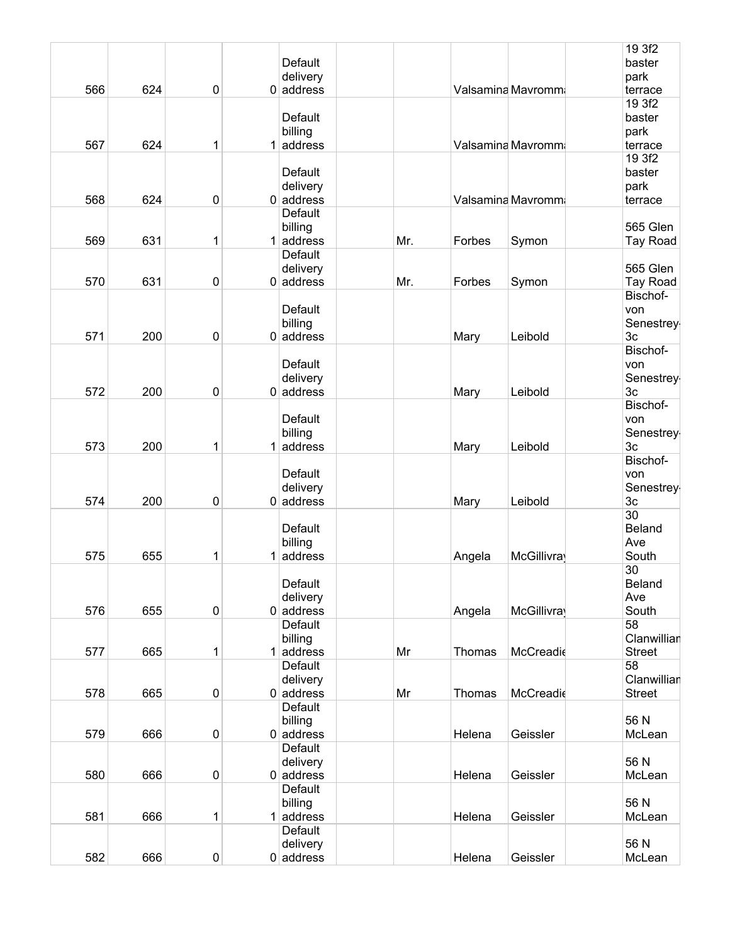|     |     |             |   |                |     |        |                   | 19 3f2         |
|-----|-----|-------------|---|----------------|-----|--------|-------------------|----------------|
|     |     |             |   | Default        |     |        |                   | baster         |
|     |     |             |   | delivery       |     |        |                   | park           |
| 566 | 624 | 0           |   | $0$ address    |     |        | Valsamina Mavromm | terrace        |
|     |     |             |   |                |     |        |                   | 19 3f2         |
|     |     |             |   | Default        |     |        |                   | baster         |
|     |     |             |   | billing        |     |        |                   | park           |
| 567 | 624 | 1           | 1 | address        |     |        | Valsamina Mavromm | terrace        |
|     |     |             |   |                |     |        |                   | 19 3f2         |
|     |     |             |   | Default        |     |        |                   | baster         |
|     |     |             |   | delivery       |     |        |                   | park           |
| 568 | 624 | $\pmb{0}$   |   | $0$ address    |     |        | Valsamina Mavromm | terrace        |
|     |     |             |   | <b>Default</b> |     |        |                   |                |
|     |     |             |   |                |     |        |                   |                |
|     |     |             |   | billing        |     |        |                   | 565 Glen       |
| 569 | 631 | 1           |   | $1$ address    | Mr. | Forbes | Symon             | Tay Road       |
|     |     |             |   | <b>Default</b> |     |        |                   |                |
|     |     |             |   | delivery       |     |        |                   | 565 Glen       |
| 570 | 631 | $\mathbf 0$ |   | $0$ address    | Mr. | Forbes | Symon             | Tay Road       |
|     |     |             |   |                |     |        |                   | Bischof-       |
|     |     |             |   | Default        |     |        |                   | von            |
|     |     |             |   | billing        |     |        |                   | Senestrey      |
| 571 | 200 | $\pmb{0}$   |   | $0$ address    |     | Mary   | Leibold           | 3 <sub>c</sub> |
|     |     |             |   |                |     |        |                   | Bischof-       |
|     |     |             |   | Default        |     |        |                   | von            |
|     |     |             |   | delivery       |     |        |                   | Senestrey      |
| 572 | 200 | $\pmb{0}$   |   | $0$ address    |     | Mary   | Leibold           | 3 <sub>c</sub> |
|     |     |             |   |                |     |        |                   | Bischof-       |
|     |     |             |   | Default        |     |        |                   | von            |
|     |     |             |   |                |     |        |                   |                |
|     |     |             |   | billing        |     |        |                   | Senestrey      |
| 573 | 200 | 1           |   | $1$ address    |     | Mary   | Leibold           | 3c             |
|     |     |             |   |                |     |        |                   | Bischof-       |
|     |     |             |   | Default        |     |        |                   | von            |
|     |     |             |   | delivery       |     |        |                   | Senestrey      |
| 574 | 200 | 0           |   | $0$ address    |     | Mary   | Leibold           | 3 <sub>c</sub> |
|     |     |             |   |                |     |        |                   | 30             |
|     |     |             |   | Default        |     |        |                   | Beland         |
|     |     |             |   | billing        |     |        |                   | Ave            |
| 575 | 655 | 1           | 1 | address        |     | Angela | McGillivray       | South          |
|     |     |             |   |                |     |        |                   | 30             |
|     |     |             |   | Default        |     |        |                   | Beland         |
|     |     |             |   | delivery       |     |        |                   | Ave            |
| 576 | 655 | $\pmb{0}$   |   | $0$ address    |     | Angela | <b>McGillivra</b> | South          |
|     |     |             |   | Default        |     |        |                   | 58             |
|     |     |             |   | billing        |     |        |                   | Clanwillian    |
| 577 | 665 |             |   | address        | Mr  | Thomas | McCreadie         | <b>Street</b>  |
|     |     | 1           |   |                |     |        |                   |                |
|     |     |             |   | Default        |     |        |                   | 58             |
|     |     |             |   | delivery       |     |        |                   | Clanwillian    |
| 578 | 665 | $\pmb{0}$   |   | $0$ address    | Mr  | Thomas | McCreadie         | <b>Street</b>  |
|     |     |             |   | <b>Default</b> |     |        |                   |                |
|     |     |             |   | billing        |     |        |                   | 56 N           |
| 579 | 666 | $\pmb{0}$   |   | $0$ address    |     | Helena | Geissler          | McLean         |
|     |     |             |   | Default        |     |        |                   |                |
|     |     |             |   | delivery       |     |        |                   | 56 N           |
| 580 | 666 | $\pmb{0}$   |   | $0$ address    |     | Helena | Geissler          | McLean         |
|     |     |             |   | <b>Default</b> |     |        |                   |                |
|     |     |             |   | billing        |     |        |                   | 56 N           |
| 581 | 666 | 1           |   | address        |     | Helena | Geissler          | McLean         |
|     |     |             |   | <b>Default</b> |     |        |                   |                |
|     |     |             |   | delivery       |     |        |                   | 56 N           |
| 582 | 666 | $\pmb{0}$   |   | $0$ address    |     | Helena | Geissler          | McLean         |
|     |     |             |   |                |     |        |                   |                |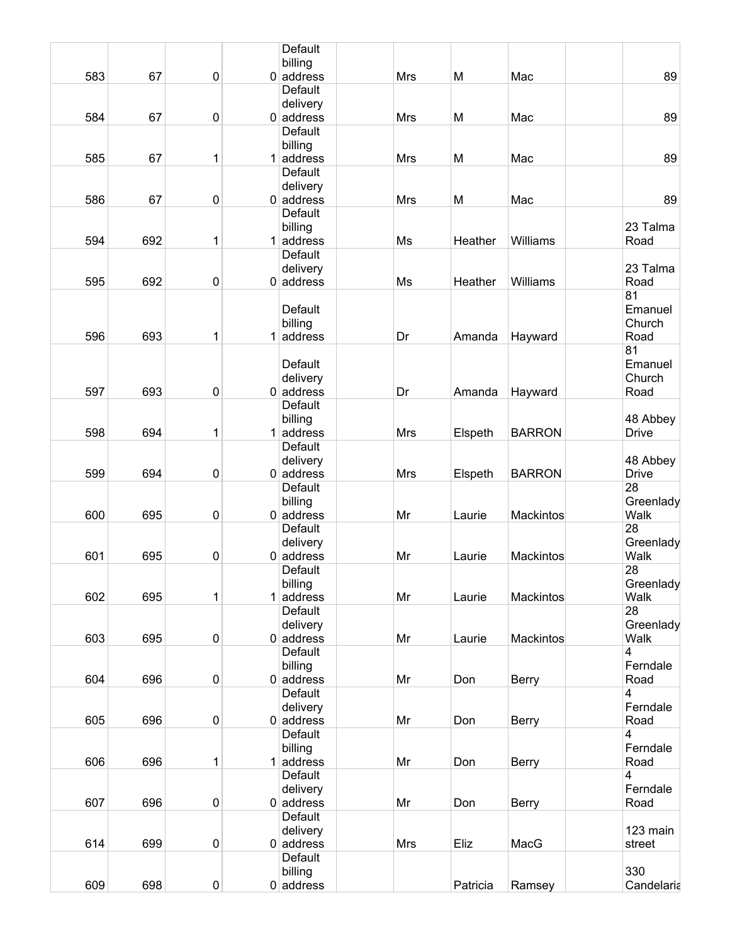|     |     |              | Default                 |            |          |               |              |
|-----|-----|--------------|-------------------------|------------|----------|---------------|--------------|
|     |     |              | billing                 |            |          |               |              |
| 583 | 67  | 0            | $0$ address             | Mrs        | M        | Mac           | 89           |
|     |     |              | Default                 |            |          |               |              |
|     |     |              | delivery                |            |          |               |              |
| 584 | 67  | $\pmb{0}$    | $0$ address             | <b>Mrs</b> | M        | Mac           | 89           |
|     |     |              | Default                 |            |          |               |              |
|     |     |              | billing                 |            |          |               |              |
| 585 | 67  | 1            | $1$ address             | <b>Mrs</b> | M        | Mac           | 89           |
|     |     |              | <b>Default</b>          |            |          |               |              |
|     |     |              | delivery                |            |          |               |              |
| 586 | 67  | $\pmb{0}$    | $0$ address             | Mrs        | M        | Mac           | 89           |
|     |     |              | Default                 |            |          |               |              |
|     |     |              | billing                 |            |          |               | 23 Talma     |
| 594 | 692 | 1            | $1$ address             | Ms         | Heather  | Williams      | Road         |
|     |     |              | Default                 |            |          |               |              |
|     |     |              | delivery                |            |          |               | 23 Talma     |
| 595 | 692 | $\pmb{0}$    | $0$ address             | Ms         | Heather  | Williams      | Road         |
|     |     |              |                         |            |          |               | 81           |
|     |     |              | Default                 |            |          |               | Emanuel      |
|     |     |              | billing                 |            |          |               | Church       |
| 596 | 693 | 1            | $1$ address             | Dr         | Amanda   | Hayward       | Road         |
|     |     |              |                         |            |          |               | 81           |
|     |     |              | Default                 |            |          |               | Emanuel      |
| 597 | 693 | 0            | delivery<br>$0$ address | Dr         |          |               | Church       |
|     |     |              | Default                 |            | Amanda   | Hayward       | Road         |
|     |     |              | billing                 |            |          |               | 48 Abbey     |
| 598 | 694 | 1            | $1$ address             | Mrs        | Elspeth  | <b>BARRON</b> | <b>Drive</b> |
|     |     |              | Default                 |            |          |               |              |
|     |     |              | delivery                |            |          |               | 48 Abbey     |
| 599 | 694 | 0            | $0$ address             | <b>Mrs</b> | Elspeth  | <b>BARRON</b> | <b>Drive</b> |
|     |     |              | Default                 |            |          |               | 28           |
|     |     |              | billing                 |            |          |               | Greenlady    |
| 600 | 695 | 0            | $0$ address             | Mr         | Laurie   | Mackintos     | Walk         |
|     |     |              | Default                 |            |          |               | 28           |
|     |     |              | delivery                |            |          |               | Greenlady    |
| 601 | 695 | 0            | $0$ address             | Mr         | Laurie   | Mackintos     | Walk         |
|     |     |              | Default                 |            |          |               | 28           |
|     |     |              | billing                 |            |          |               | Greenlady    |
| 602 | 695 | $\mathbf{1}$ | $1$ address             | Mr         | Laurie   | Mackintos     | Walk         |
|     |     |              | Default                 |            |          |               | 28           |
|     |     |              | delivery                |            |          |               | Greenlady    |
| 603 | 695 | 0            | $0$ address             | Mr         | Laurie   | Mackintos     | Walk         |
|     |     |              | <b>Default</b>          |            |          |               | 4            |
|     |     |              | billing                 |            |          |               | Ferndale     |
| 604 | 696 | $\pmb{0}$    | $0$ address             | Mr         | Don      | <b>Berry</b>  | Road         |
|     |     |              | Default                 |            |          |               | 4            |
|     |     |              | delivery                |            |          |               | Ferndale     |
| 605 | 696 | 0            | $0$ address             | Mr         | Don      | <b>Berry</b>  | Road         |
|     |     |              | Default                 |            |          |               | 4            |
|     |     |              | billing                 |            |          |               | Ferndale     |
| 606 | 696 | $\mathbf{1}$ | $1$ address             | Mr         | Don      | <b>Berry</b>  | Road         |
|     |     |              | Default                 |            |          |               | 4            |
|     |     |              | delivery                |            |          |               | Ferndale     |
| 607 | 696 | $\pmb{0}$    | $0$ address             | Mr         | Don      | <b>Berry</b>  | Road         |
|     |     |              | Default                 |            |          |               |              |
|     |     |              | delivery                |            |          |               | 123 main     |
| 614 | 699 | $\pmb{0}$    | $0$ address             | <b>Mrs</b> | Eliz     | MacG          | street       |
|     |     |              | Default                 |            |          |               | 330          |
| 609 |     |              | billing                 |            |          |               |              |
|     | 698 | 0            | $0$ address             |            | Patricia | Ramsey        | Candelaria   |